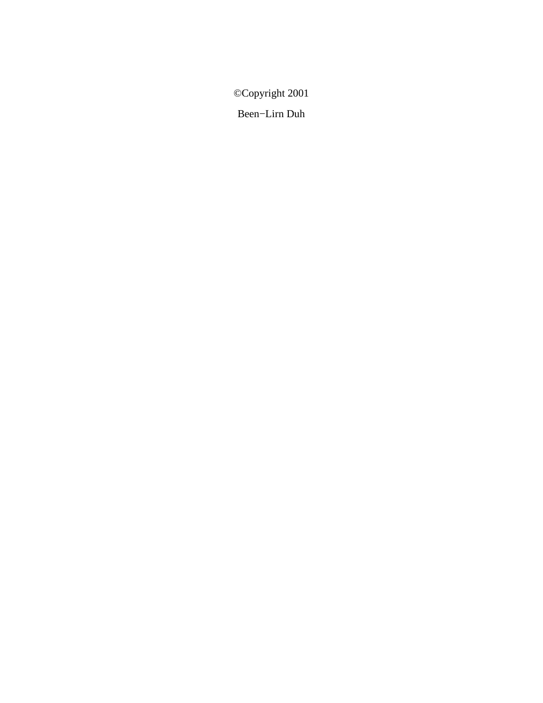©Copyright 2001

Been−Lirn Duh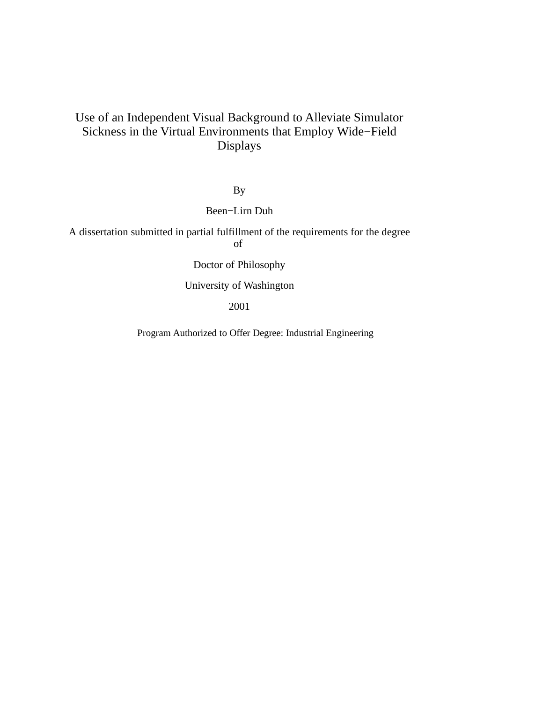# Use of an Independent Visual Background to Alleviate Simulator Sickness in the Virtual Environments that Employ Wide−Field Displays

By

Been−Lirn Duh

A dissertation submitted in partial fulfillment of the requirements for the degree

of

Doctor of Philosophy

University of Washington

2001

Program Authorized to Offer Degree: Industrial Engineering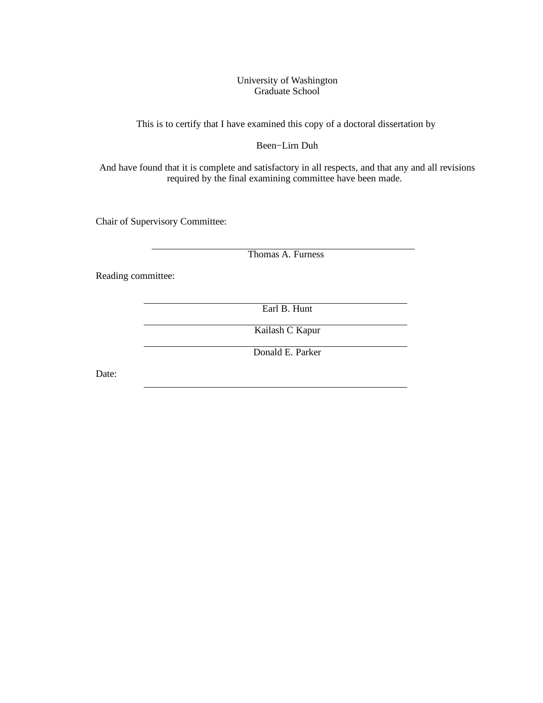#### University of Washington Graduate School

This is to certify that I have examined this copy of a doctoral dissertation by

#### Been−Lirn Duh

And have found that it is complete and satisfactory in all respects, and that any and all revisions required by the final examining committee have been made.

Chair of Supervisory Committee:

Thomas A. Furness

Reading committee:

Earl B. Hunt

Kailash C Kapur

Donald E. Parker

Date: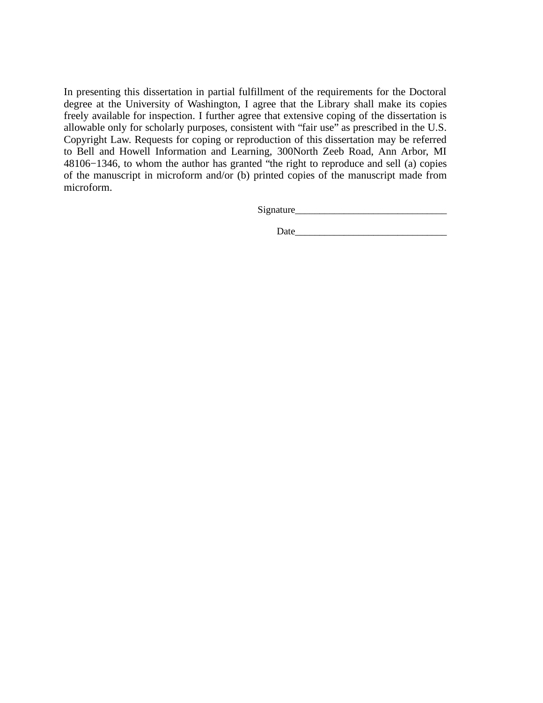In presenting this dissertation in partial fulfillment of the requirements for the Doctoral degree at the University of Washington, I agree that the Library shall make its copies freely available for inspection. I further agree that extensive coping of the dissertation is allowable only for scholarly purposes, consistent with "fair use" as prescribed in the U.S. Copyright Law. Requests for coping or reproduction of this dissertation may be referred to Bell and Howell Information and Learning, 300North Zeeb Road, Ann Arbor, MI 48106−1346, to whom the author has granted "the right to reproduce and sell (a) copies of the manuscript in microform and/or (b) printed copies of the manuscript made from microform.

Signature\_\_\_\_\_\_\_\_\_\_\_\_\_\_\_\_\_\_\_\_\_\_\_\_\_\_\_\_\_\_\_

Date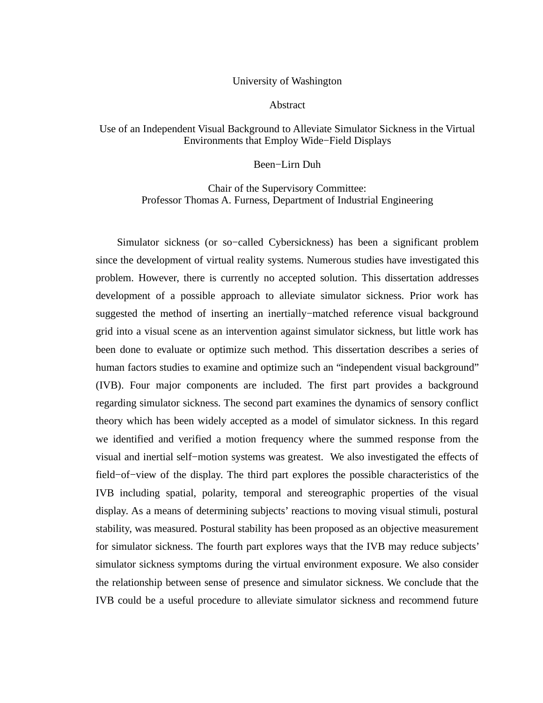#### University of Washington

#### Abstract

#### Use of an Independent Visual Background to Alleviate Simulator Sickness in the Virtual Environments that Employ Wide−Field Displays

#### Been−Lirn Duh

### Chair of the Supervisory Committee: Professor Thomas A. Furness, Department of Industrial Engineering

Simulator sickness (or so−called Cybersickness) has been a significant problem since the development of virtual reality systems. Numerous studies have investigated this problem. However, there is currently no accepted solution. This dissertation addresses development of a possible approach to alleviate simulator sickness. Prior work has suggested the method of inserting an inertially−matched reference visual background grid into a visual scene as an intervention against simulator sickness, but little work has been done to evaluate or optimize such method. This dissertation describes a series of human factors studies to examine and optimize such an "independent visual background" (IVB). Four major components are included. The first part provides a background regarding simulator sickness. The second part examines the dynamics of sensory conflict theory which has been widely accepted as a model of simulator sickness. In this regard we identified and verified a motion frequency where the summed response from the visual and inertial self−motion systems was greatest. We also investigated the effects of field−of−view of the display. The third part explores the possible characteristics of the IVB including spatial, polarity, temporal and stereographic properties of the visual display. As a means of determining subjects' reactions to moving visual stimuli, postural stability, was measured. Postural stability has been proposed as an objective measurement for simulator sickness. The fourth part explores ways that the IVB may reduce subjects' simulator sickness symptoms during the virtual environment exposure. We also consider the relationship between sense of presence and simulator sickness. We conclude that the IVB could be a useful procedure to alleviate simulator sickness and recommend future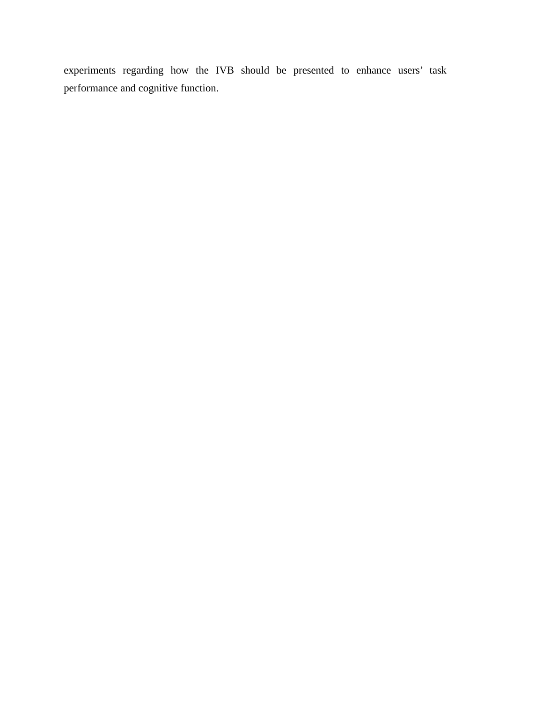experiments regarding how the IVB should be presented to enhance users' task performance and cognitive function.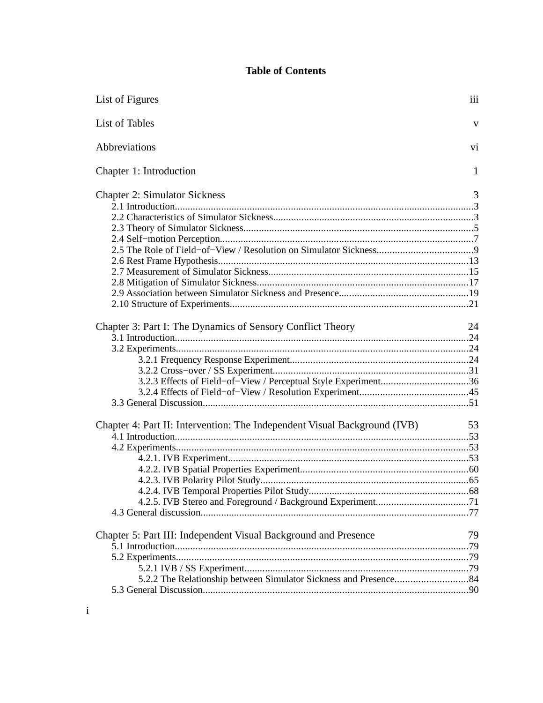# **Table of Contents**

| List of Figures                                                           | iii |
|---------------------------------------------------------------------------|-----|
| List of Tables                                                            | v   |
| Abbreviations                                                             | vi  |
| Chapter 1: Introduction                                                   | 1   |
| <b>Chapter 2: Simulator Sickness</b>                                      | 3   |
|                                                                           |     |
|                                                                           |     |
|                                                                           |     |
|                                                                           |     |
|                                                                           |     |
|                                                                           |     |
|                                                                           |     |
|                                                                           |     |
|                                                                           |     |
|                                                                           |     |
| Chapter 3: Part I: The Dynamics of Sensory Conflict Theory                | 24  |
|                                                                           |     |
|                                                                           |     |
|                                                                           |     |
|                                                                           |     |
|                                                                           |     |
|                                                                           |     |
|                                                                           |     |
|                                                                           |     |
| Chapter 4: Part II: Intervention: The Independent Visual Background (IVB) | 53  |
|                                                                           |     |
|                                                                           |     |
|                                                                           |     |
|                                                                           |     |
|                                                                           |     |
|                                                                           |     |
|                                                                           |     |
|                                                                           |     |
| Chapter 5: Part III: Independent Visual Background and Presence           | 79  |
|                                                                           |     |
|                                                                           |     |
|                                                                           |     |
|                                                                           |     |
|                                                                           |     |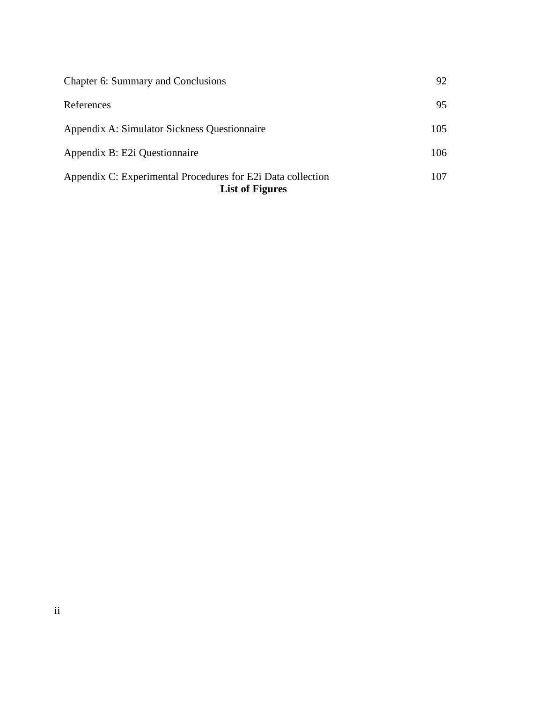| Chapter 6: Summary and Conclusions                                                    | 92  |
|---------------------------------------------------------------------------------------|-----|
| References                                                                            | 95  |
| Appendix A: Simulator Sickness Questionnaire                                          | 105 |
| Appendix B: E2i Questionnaire                                                         | 106 |
| Appendix C: Experimental Procedures for E2i Data collection<br><b>List of Figures</b> | 107 |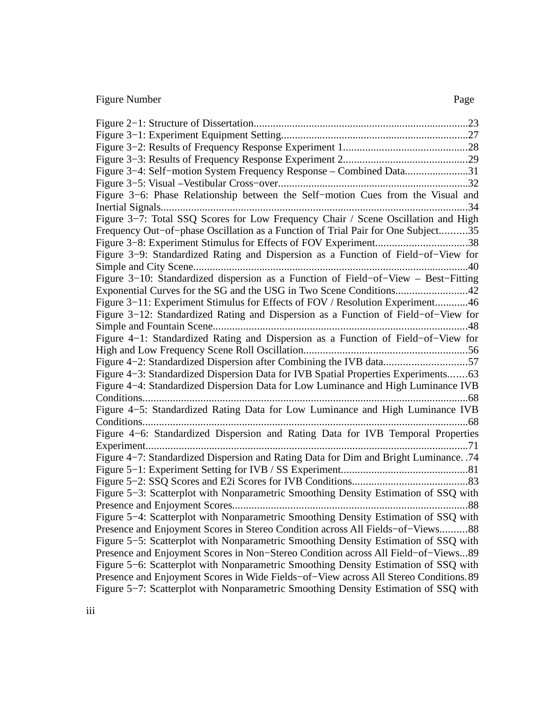# Figure Number Page

| Figure 3-4: Self-motion System Frequency Response - Combined Data31                   |
|---------------------------------------------------------------------------------------|
|                                                                                       |
| Figure 3-6: Phase Relationship between the Self-motion Cues from the Visual and       |
| .34                                                                                   |
| Figure 3-7: Total SSQ Scores for Low Frequency Chair / Scene Oscillation and High     |
| Frequency Out-of-phase Oscillation as a Function of Trial Pair for One Subject35      |
| Figure 3–8: Experiment Stimulus for Effects of FOV Experiment38                       |
| Figure 3-9: Standardized Rating and Dispersion as a Function of Field-of-View for     |
|                                                                                       |
| Figure 3-10: Standardized dispersion as a Function of Field-of-View - Best-Fitting    |
|                                                                                       |
| Figure 3–11: Experiment Stimulus for Effects of FOV / Resolution Experiment46         |
| Figure 3–12: Standardized Rating and Dispersion as a Function of Field–of–View for    |
|                                                                                       |
| Figure 4-1: Standardized Rating and Dispersion as a Function of Field-of-View for     |
|                                                                                       |
| Figure 4-2: Standardized Dispersion after Combining the IVB data57                    |
| Figure 4–3: Standardized Dispersion Data for IVB Spatial Properties Experiments63     |
| Figure 4–4: Standardized Dispersion Data for Low Luminance and High Luminance IVB     |
| .                                                                                     |
| Figure 4-5: Standardized Rating Data for Low Luminance and High Luminance IVB         |
|                                                                                       |
| Figure 4-6: Standardized Dispersion and Rating Data for IVB Temporal Properties       |
|                                                                                       |
| Figure 4-7: Standardized Dispersion and Rating Data for Dim and Bright Luminance. .74 |
|                                                                                       |
|                                                                                       |
| Figure 5–3: Scatterplot with Nonparametric Smoothing Density Estimation of SSQ with   |
|                                                                                       |
| Figure 5-4: Scatterplot with Nonparametric Smoothing Density Estimation of SSQ with   |
| Presence and Enjoyment Scores in Stereo Condition across All Fields-of-Views88        |
| Figure 5–5: Scatterplot with Nonparametric Smoothing Density Estimation of SSQ with   |
| Presence and Enjoyment Scores in Non-Stereo Condition across All Field-of-Views89     |
| Figure 5–6: Scatterplot with Nonparametric Smoothing Density Estimation of SSQ with   |
| Presence and Enjoyment Scores in Wide Fields-of-View across All Stereo Conditions. 89 |
| Figure 5–7: Scatterplot with Nonparametric Smoothing Density Estimation of SSQ with   |
|                                                                                       |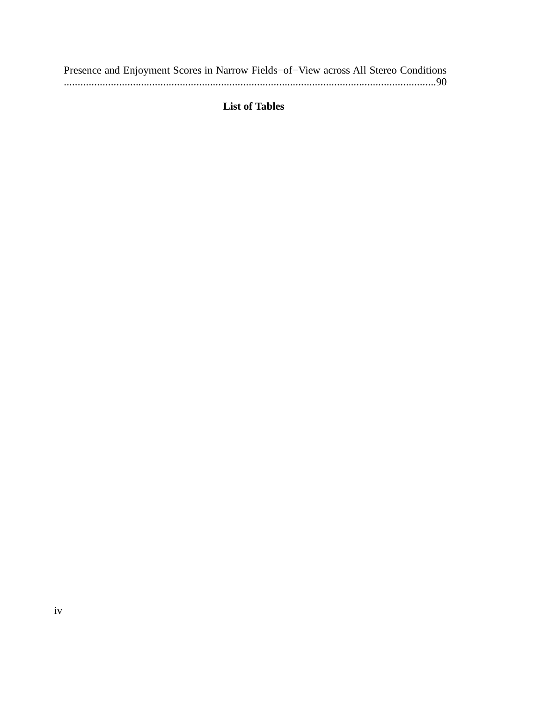|  |  |  |  |  | Presence and Enjoyment Scores in Narrow Fields-of-View across All Stereo Conditions |
|--|--|--|--|--|-------------------------------------------------------------------------------------|
|  |  |  |  |  |                                                                                     |

## **List of Tables**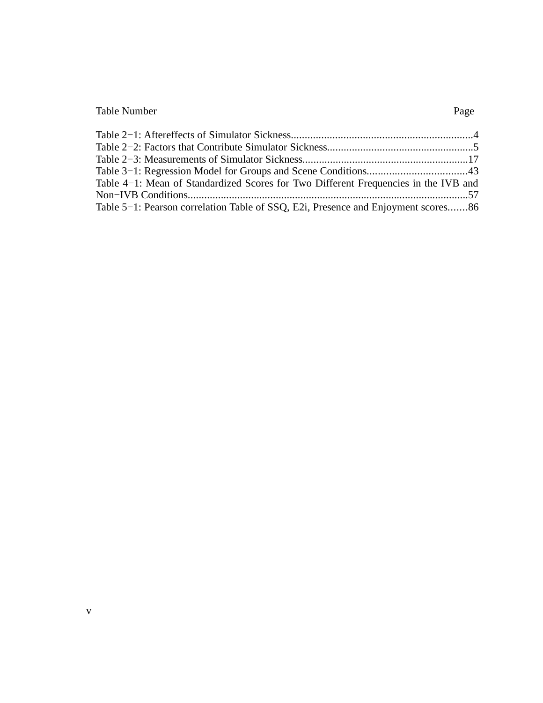# Table Number Page

| Table 4–1: Mean of Standardized Scores for Two Different Frequencies in the IVB and |  |
|-------------------------------------------------------------------------------------|--|
|                                                                                     |  |
| Table 5–1: Pearson correlation Table of SSQ, E2i, Presence and Enjoyment scores86   |  |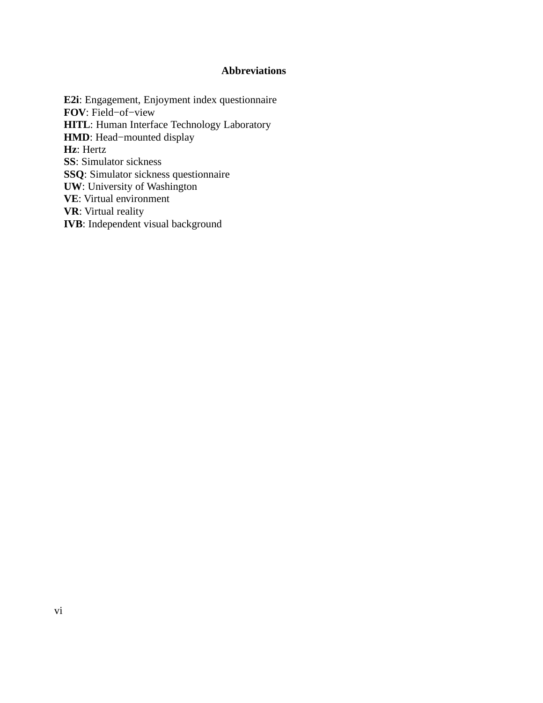## **Abbreviations**

**E2i**: Engagement, Enjoyment index questionnaire **FOV**: Field−of−view **HITL**: Human Interface Technology Laboratory **HMD**: Head−mounted display **Hz**: Hertz **SS**: Simulator sickness **SSQ**: Simulator sickness questionnaire **UW**: University of Washington **VE**: Virtual environment **VR**: Virtual reality **IVB**: Independent visual background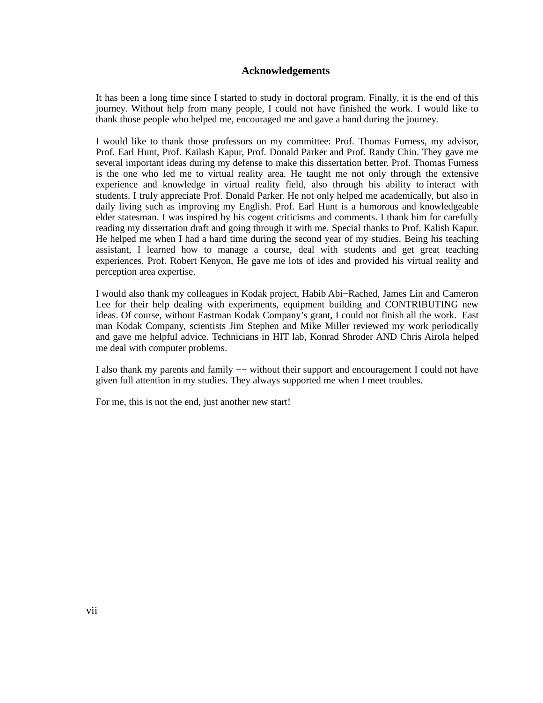#### **Acknowledgements**

It has been a long time since I started to study in doctoral program. Finally, it is the end of this journey. Without help from many people, I could not have finished the work. I would like to thank those people who helped me, encouraged me and gave a hand during the journey.

I would like to thank those professors on my committee: Prof. Thomas Furness, my advisor, Prof. Earl Hunt, Prof. Kailash Kapur, Prof. Donald Parker and Prof. Randy Chin. They gave me several important ideas during my defense to make this dissertation better. Prof. Thomas Furness is the one who led me to virtual reality area. He taught me not only through the extensive experience and knowledge in virtual reality field, also through his ability to interact with students. I truly appreciate Prof. Donald Parker. He not only helped me academically, but also in daily living such as improving my English. Prof. Earl Hunt is a humorous and knowledgeable elder statesman. I was inspired by his cogent criticisms and comments. I thank him for carefully reading my dissertation draft and going through it with me. Special thanks to Prof. Kalish Kapur. He helped me when I had a hard time during the second year of my studies. Being his teaching assistant, I learned how to manage a course, deal with students and get great teaching experiences. Prof. Robert Kenyon, He gave me lots of ides and provided his virtual reality and perception area expertise.

I would also thank my colleagues in Kodak project, Habib Abi−Rached, James Lin and Cameron Lee for their help dealing with experiments, equipment building and CONTRIBUTING new ideas. Of course, without Eastman Kodak Company's grant, I could not finish all the work. East man Kodak Company, scientists Jim Stephen and Mike Miller reviewed my work periodically and gave me helpful advice. Technicians in HIT lab, Konrad Shroder AND Chris Airola helped me deal with computer problems.

I also thank my parents and family −− without their support and encouragement I could not have given full attention in my studies. They always supported me when I meet troubles.

For me, this is not the end, just another new start!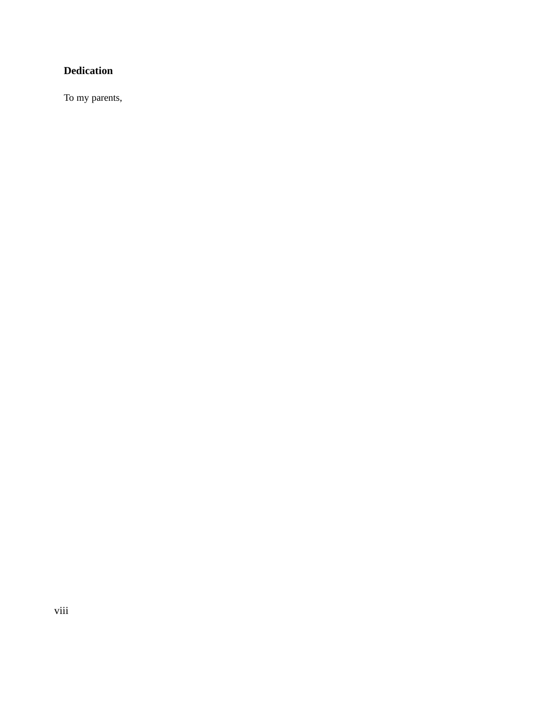# **Dedication**

To my parents,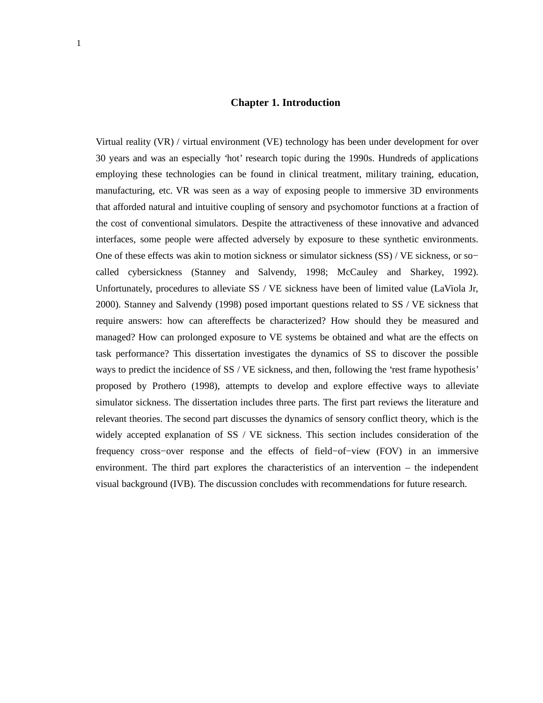#### **Chapter 1. Introduction**

Virtual reality (VR) / virtual environment (VE) technology has been under development for over 30 years and was an especially 'hot' research topic during the 1990s. Hundreds of applications employing these technologies can be found in clinical treatment, military training, education, manufacturing, etc. VR was seen as a way of exposing people to immersive 3D environments that afforded natural and intuitive coupling of sensory and psychomotor functions at a fraction of the cost of conventional simulators. Despite the attractiveness of these innovative and advanced interfaces, some people were affected adversely by exposure to these synthetic environments. One of these effects was akin to motion sickness or simulator sickness (SS) / VE sickness, or so− called cybersickness (Stanney and Salvendy, 1998; McCauley and Sharkey, 1992). Unfortunately, procedures to alleviate SS / VE sickness have been of limited value (LaViola Jr, 2000). Stanney and Salvendy (1998) posed important questions related to SS / VE sickness that require answers: how can aftereffects be characterized? How should they be measured and managed? How can prolonged exposure to VE systems be obtained and what are the effects on task performance? This dissertation investigates the dynamics of SS to discover the possible ways to predict the incidence of SS / VE sickness, and then, following the 'rest frame hypothesis' proposed by Prothero (1998), attempts to develop and explore effective ways to alleviate simulator sickness. The dissertation includes three parts. The first part reviews the literature and relevant theories. The second part discusses the dynamics of sensory conflict theory, which is the widely accepted explanation of SS / VE sickness. This section includes consideration of the frequency cross−over response and the effects of field−of−view (FOV) in an immersive environment. The third part explores the characteristics of an intervention – the independent visual background (IVB). The discussion concludes with recommendations for future research.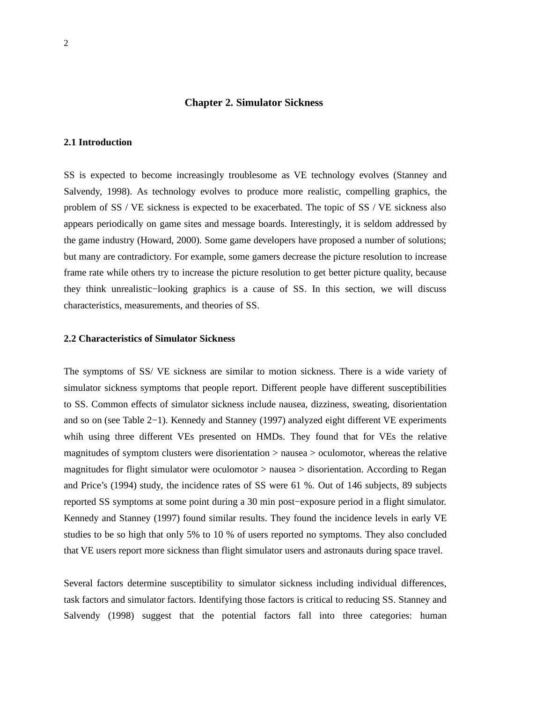#### **Chapter 2. Simulator Sickness**

#### **2.1 Introduction**

SS is expected to become increasingly troublesome as VE technology evolves (Stanney and Salvendy, 1998). As technology evolves to produce more realistic, compelling graphics, the problem of SS / VE sickness is expected to be exacerbated. The topic of SS / VE sickness also appears periodically on game sites and message boards. Interestingly, it is seldom addressed by the game industry (Howard, 2000). Some game developers have proposed a number of solutions; but many are contradictory. For example, some gamers decrease the picture resolution to increase frame rate while others try to increase the picture resolution to get better picture quality, because they think unrealistic−looking graphics is a cause of SS. In this section, we will discuss characteristics, measurements, and theories of SS.

#### **2.2 Characteristics of Simulator Sickness**

The symptoms of SS/ VE sickness are similar to motion sickness. There is a wide variety of simulator sickness symptoms that people report. Different people have different susceptibilities to SS. Common effects of simulator sickness include nausea, dizziness, sweating, disorientation and so on (see Table 2−1). Kennedy and Stanney (1997) analyzed eight different VE experiments whih using three different VEs presented on HMDs. They found that for VEs the relative magnitudes of symptom clusters were disorientation > nausea > oculomotor, whereas the relative magnitudes for flight simulator were oculomotor > nausea > disorientation. According to Regan and Price's (1994) study, the incidence rates of SS were 61 %. Out of 146 subjects, 89 subjects reported SS symptoms at some point during a 30 min post−exposure period in a flight simulator. Kennedy and Stanney (1997) found similar results. They found the incidence levels in early VE studies to be so high that only 5% to 10 % of users reported no symptoms. They also concluded that VE users report more sickness than flight simulator users and astronauts during space travel.

Several factors determine susceptibility to simulator sickness including individual differences, task factors and simulator factors. Identifying those factors is critical to reducing SS. Stanney and Salvendy (1998) suggest that the potential factors fall into three categories: human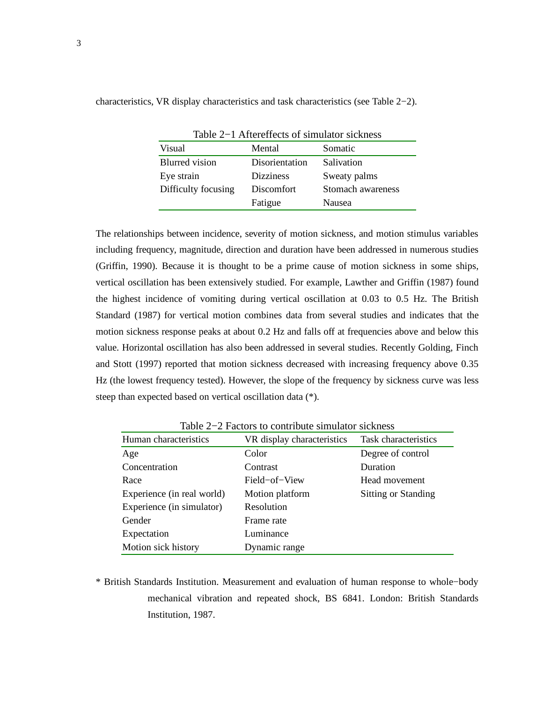| Table 2–1 Aftereffects of simulator sickness |                  |                   |  |
|----------------------------------------------|------------------|-------------------|--|
| Visual                                       | Mental           | Somatic           |  |
| <b>Blurred</b> vision                        | Disorientation   | Salivation        |  |
| Eye strain                                   | <b>Dizziness</b> | Sweaty palms      |  |
| Difficulty focusing                          | Discomfort       | Stomach awareness |  |
|                                              | Fatigue          | Nausea            |  |

characteristics, VR display characteristics and task characteristics (see Table 2−2).

The relationships between incidence, severity of motion sickness, and motion stimulus variables including frequency, magnitude, direction and duration have been addressed in numerous studies (Griffin, 1990). Because it is thought to be a prime cause of motion sickness in some ships, vertical oscillation has been extensively studied. For example, Lawther and Griffin (1987) found the highest incidence of vomiting during vertical oscillation at 0.03 to 0.5 Hz. The British Standard (1987) for vertical motion combines data from several studies and indicates that the motion sickness response peaks at about 0.2 Hz and falls off at frequencies above and below this value. Horizontal oscillation has also been addressed in several studies. Recently Golding, Finch and Stott (1997) reported that motion sickness decreased with increasing frequency above 0.35 Hz (the lowest frequency tested). However, the slope of the frequency by sickness curve was less steep than expected based on vertical oscillation data (\*).

| Human characteristics      | VR display characteristics | Task characteristics       |
|----------------------------|----------------------------|----------------------------|
| Age                        | Color                      | Degree of control          |
| Concentration              | Contrast                   | Duration                   |
| Race                       | Field-of-View              | Head movement              |
| Experience (in real world) | Motion platform            | <b>Sitting or Standing</b> |
| Experience (in simulator)  | Resolution                 |                            |
| Gender                     | Frame rate                 |                            |
| Expectation                | Luminance                  |                            |
| Motion sick history        | Dynamic range              |                            |

Table 2−2 Factors to contribute simulator sickness

\* British Standards Institution. Measurement and evaluation of human response to whole−body mechanical vibration and repeated shock, BS 6841. London: British Standards Institution, 1987.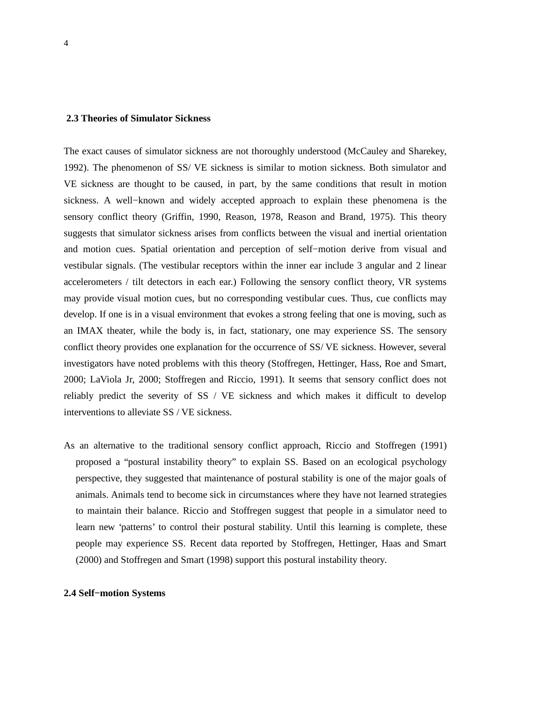#### **2.3 Theories of Simulator Sickness**

The exact causes of simulator sickness are not thoroughly understood (McCauley and Sharekey, 1992). The phenomenon of SS/ VE sickness is similar to motion sickness. Both simulator and VE sickness are thought to be caused, in part, by the same conditions that result in motion sickness. A well−known and widely accepted approach to explain these phenomena is the sensory conflict theory (Griffin, 1990, Reason, 1978, Reason and Brand, 1975). This theory suggests that simulator sickness arises from conflicts between the visual and inertial orientation and motion cues. Spatial orientation and perception of self−motion derive from visual and vestibular signals. (The vestibular receptors within the inner ear include 3 angular and 2 linear accelerometers / tilt detectors in each ear.) Following the sensory conflict theory, VR systems may provide visual motion cues, but no corresponding vestibular cues. Thus, cue conflicts may develop. If one is in a visual environment that evokes a strong feeling that one is moving, such as an IMAX theater, while the body is, in fact, stationary, one may experience SS. The sensory conflict theory provides one explanation for the occurrence of SS/ VE sickness. However, several investigators have noted problems with this theory (Stoffregen, Hettinger, Hass, Roe and Smart, 2000; LaViola Jr, 2000; Stoffregen and Riccio, 1991). It seems that sensory conflict does not reliably predict the severity of SS / VE sickness and which makes it difficult to develop interventions to alleviate SS / VE sickness.

As an alternative to the traditional sensory conflict approach, Riccio and Stoffregen (1991) proposed a "postural instability theory" to explain SS. Based on an ecological psychology perspective, they suggested that maintenance of postural stability is one of the major goals of animals. Animals tend to become sick in circumstances where they have not learned strategies to maintain their balance. Riccio and Stoffregen suggest that people in a simulator need to learn new 'patterns' to control their postural stability. Until this learning is complete, these people may experience SS. Recent data reported by Stoffregen, Hettinger, Haas and Smart (2000) and Stoffregen and Smart (1998) support this postural instability theory.

#### **2.4 Self−motion Systems**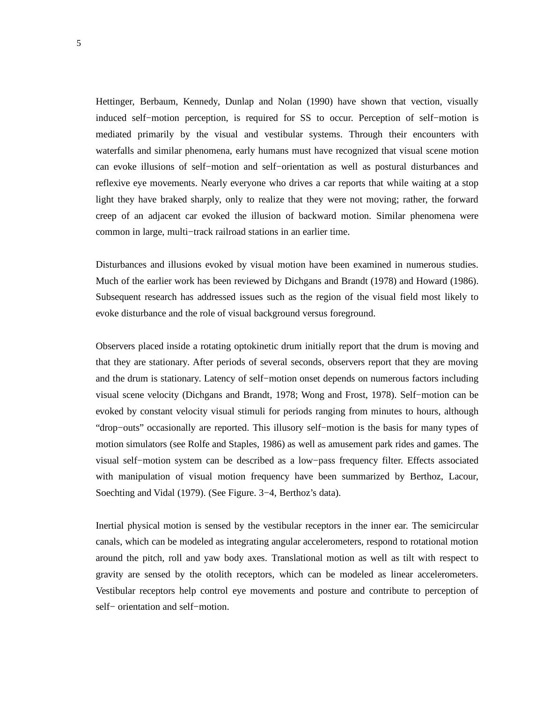Hettinger, Berbaum, Kennedy, Dunlap and Nolan (1990) have shown that vection, visually induced self−motion perception, is required for SS to occur. Perception of self−motion is mediated primarily by the visual and vestibular systems. Through their encounters with waterfalls and similar phenomena, early humans must have recognized that visual scene motion can evoke illusions of self−motion and self−orientation as well as postural disturbances and reflexive eye movements. Nearly everyone who drives a car reports that while waiting at a stop light they have braked sharply, only to realize that they were not moving; rather, the forward creep of an adjacent car evoked the illusion of backward motion. Similar phenomena were common in large, multi−track railroad stations in an earlier time.

Disturbances and illusions evoked by visual motion have been examined in numerous studies. Much of the earlier work has been reviewed by Dichgans and Brandt (1978) and Howard (1986). Subsequent research has addressed issues such as the region of the visual field most likely to evoke disturbance and the role of visual background versus foreground.

Observers placed inside a rotating optokinetic drum initially report that the drum is moving and that they are stationary. After periods of several seconds, observers report that they are moving and the drum is stationary. Latency of self−motion onset depends on numerous factors including visual scene velocity (Dichgans and Brandt, 1978; Wong and Frost, 1978). Self−motion can be evoked by constant velocity visual stimuli for periods ranging from minutes to hours, although "drop−outs" occasionally are reported. This illusory self−motion is the basis for many types of motion simulators (see Rolfe and Staples, 1986) as well as amusement park rides and games. The visual self−motion system can be described as a low−pass frequency filter. Effects associated with manipulation of visual motion frequency have been summarized by Berthoz, Lacour, Soechting and Vidal (1979). (See Figure. 3−4, Berthoz's data).

Inertial physical motion is sensed by the vestibular receptors in the inner ear. The semicircular canals, which can be modeled as integrating angular accelerometers, respond to rotational motion around the pitch, roll and yaw body axes. Translational motion as well as tilt with respect to gravity are sensed by the otolith receptors, which can be modeled as linear accelerometers. Vestibular receptors help control eye movements and posture and contribute to perception of self– orientation and self–motion.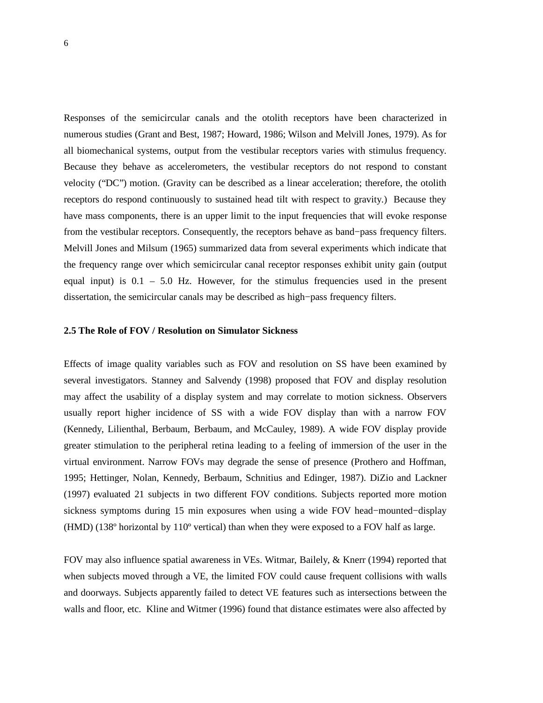Responses of the semicircular canals and the otolith receptors have been characterized in numerous studies (Grant and Best, 1987; Howard, 1986; Wilson and Melvill Jones, 1979). As for all biomechanical systems, output from the vestibular receptors varies with stimulus frequency. Because they behave as accelerometers, the vestibular receptors do not respond to constant velocity ("DC") motion. (Gravity can be described as a linear acceleration; therefore, the otolith receptors do respond continuously to sustained head tilt with respect to gravity.) Because they have mass components, there is an upper limit to the input frequencies that will evoke response from the vestibular receptors. Consequently, the receptors behave as band−pass frequency filters. Melvill Jones and Milsum (1965) summarized data from several experiments which indicate that the frequency range over which semicircular canal receptor responses exhibit unity gain (output equal input) is  $0.1 - 5.0$  Hz. However, for the stimulus frequencies used in the present dissertation, the semicircular canals may be described as high−pass frequency filters.

#### **2.5 The Role of FOV / Resolution on Simulator Sickness**

Effects of image quality variables such as FOV and resolution on SS have been examined by several investigators. Stanney and Salvendy (1998) proposed that FOV and display resolution may affect the usability of a display system and may correlate to motion sickness. Observers usually report higher incidence of SS with a wide FOV display than with a narrow FOV (Kennedy, Lilienthal, Berbaum, Berbaum, and McCauley, 1989). A wide FOV display provide greater stimulation to the peripheral retina leading to a feeling of immersion of the user in the virtual environment. Narrow FOVs may degrade the sense of presence (Prothero and Hoffman, 1995; Hettinger, Nolan, Kennedy, Berbaum, Schnitius and Edinger, 1987). DiZio and Lackner (1997) evaluated 21 subjects in two different FOV conditions. Subjects reported more motion sickness symptoms during 15 min exposures when using a wide FOV head−mounted−display (HMD) ( $138^\circ$  horizontal by  $110^\circ$  vertical) than when they were exposed to a FOV half as large.

FOV may also influence spatial awareness in VEs. Witmar, Bailely, & Knerr (1994) reported that when subjects moved through a VE, the limited FOV could cause frequent collisions with walls and doorways. Subjects apparently failed to detect VE features such as intersections between the walls and floor, etc. Kline and Witmer (1996) found that distance estimates were also affected by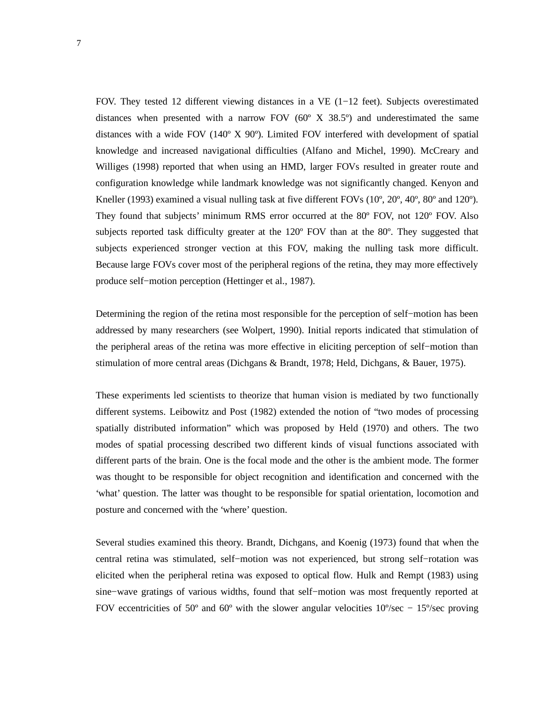FOV. They tested 12 different viewing distances in a VE (1−12 feet). Subjects overestimated distances when presented with a narrow FOV  $(60^\circ \text{ X } 38.5^\circ)$  and underestimated the same distances with a wide FOV (140º X 90º). Limited FOV interfered with development of spatial knowledge and increased navigational difficulties (Alfano and Michel, 1990). McCreary and Williges (1998) reported that when using an HMD, larger FOVs resulted in greater route and configuration knowledge while landmark knowledge was not significantly changed. Kenyon and Kneller (1993) examined a visual nulling task at five different FOVs (10<sup>o</sup>, 20<sup>o</sup>, 40<sup>o</sup>, 80<sup>o</sup> and 120<sup>o</sup>). They found that subjects' minimum RMS error occurred at the 80º FOV, not 120º FOV. Also subjects reported task difficulty greater at the 120º FOV than at the 80º. They suggested that subjects experienced stronger vection at this FOV, making the nulling task more difficult. Because large FOVs cover most of the peripheral regions of the retina, they may more effectively produce self−motion perception (Hettinger et al., 1987).

Determining the region of the retina most responsible for the perception of self−motion has been addressed by many researchers (see Wolpert, 1990). Initial reports indicated that stimulation of the peripheral areas of the retina was more effective in eliciting perception of self−motion than stimulation of more central areas (Dichgans & Brandt, 1978; Held, Dichgans, & Bauer, 1975).

These experiments led scientists to theorize that human vision is mediated by two functionally different systems. Leibowitz and Post (1982) extended the notion of "two modes of processing spatially distributed information" which was proposed by Held (1970) and others. The two modes of spatial processing described two different kinds of visual functions associated with different parts of the brain. One is the focal mode and the other is the ambient mode. The former was thought to be responsible for object recognition and identification and concerned with the 'what' question. The latter was thought to be responsible for spatial orientation, locomotion and posture and concerned with the 'where' question.

Several studies examined this theory. Brandt, Dichgans, and Koenig (1973) found that when the central retina was stimulated, self−motion was not experienced, but strong self−rotation was elicited when the peripheral retina was exposed to optical flow. Hulk and Rempt (1983) using sine−wave gratings of various widths, found that self−motion was most frequently reported at FOV eccentricities of 50° and 60° with the slower angular velocities  $10\%$  sec –  $15\%$  sec proving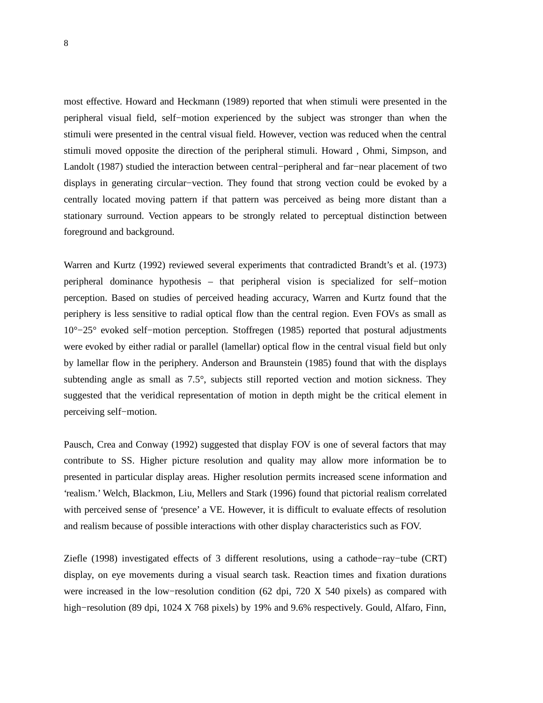most effective. Howard and Heckmann (1989) reported that when stimuli were presented in the peripheral visual field, self−motion experienced by the subject was stronger than when the stimuli were presented in the central visual field. However, vection was reduced when the central stimuli moved opposite the direction of the peripheral stimuli. Howard , Ohmi, Simpson, and Landolt (1987) studied the interaction between central−peripheral and far−near placement of two displays in generating circular−vection. They found that strong vection could be evoked by a centrally located moving pattern if that pattern was perceived as being more distant than a stationary surround. Vection appears to be strongly related to perceptual distinction between foreground and background.

Warren and Kurtz (1992) reviewed several experiments that contradicted Brandt's et al. (1973) peripheral dominance hypothesis – that peripheral vision is specialized for self−motion perception. Based on studies of perceived heading accuracy, Warren and Kurtz found that the periphery is less sensitive to radial optical flow than the central region. Even FOVs as small as 10°−25° evoked self−motion perception. Stoffregen (1985) reported that postural adjustments were evoked by either radial or parallel (lamellar) optical flow in the central visual field but only by lamellar flow in the periphery. Anderson and Braunstein (1985) found that with the displays subtending angle as small as 7.5°, subjects still reported vection and motion sickness. They suggested that the veridical representation of motion in depth might be the critical element in perceiving self−motion.

Pausch, Crea and Conway (1992) suggested that display FOV is one of several factors that may contribute to SS. Higher picture resolution and quality may allow more information be to presented in particular display areas. Higher resolution permits increased scene information and 'realism.' Welch, Blackmon, Liu, Mellers and Stark (1996) found that pictorial realism correlated with perceived sense of 'presence' a VE. However, it is difficult to evaluate effects of resolution and realism because of possible interactions with other display characteristics such as FOV.

Ziefle (1998) investigated effects of 3 different resolutions, using a cathode−ray−tube (CRT) display, on eye movements during a visual search task. Reaction times and fixation durations were increased in the low−resolution condition (62 dpi, 720 X 540 pixels) as compared with high−resolution (89 dpi, 1024 X 768 pixels) by 19% and 9.6% respectively. Gould, Alfaro, Finn,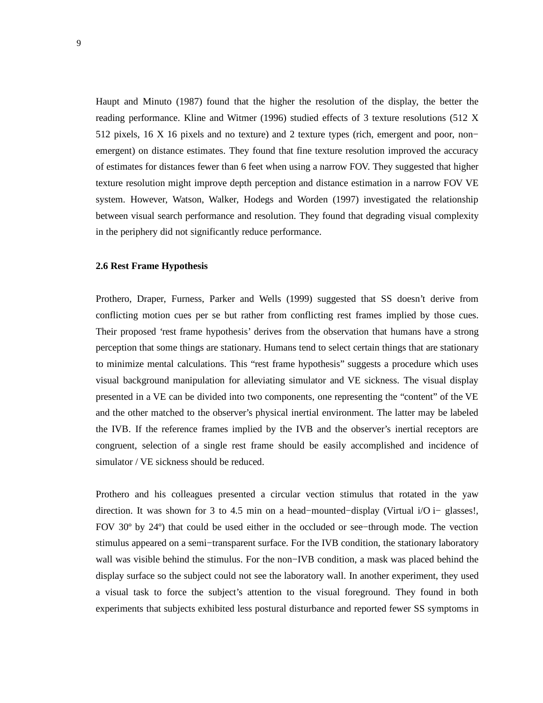Haupt and Minuto (1987) found that the higher the resolution of the display, the better the reading performance. Kline and Witmer (1996) studied effects of 3 texture resolutions (512 X 512 pixels, 16 X 16 pixels and no texture) and 2 texture types (rich, emergent and poor, non− emergent) on distance estimates. They found that fine texture resolution improved the accuracy of estimates for distances fewer than 6 feet when using a narrow FOV. They suggested that higher texture resolution might improve depth perception and distance estimation in a narrow FOV VE system. However, Watson, Walker, Hodegs and Worden (1997) investigated the relationship between visual search performance and resolution. They found that degrading visual complexity in the periphery did not significantly reduce performance.

#### **2.6 Rest Frame Hypothesis**

Prothero, Draper, Furness, Parker and Wells (1999) suggested that SS doesn't derive from conflicting motion cues per se but rather from conflicting rest frames implied by those cues. Their proposed 'rest frame hypothesis' derives from the observation that humans have a strong perception that some things are stationary. Humans tend to select certain things that are stationary to minimize mental calculations. This "rest frame hypothesis" suggests a procedure which uses visual background manipulation for alleviating simulator and VE sickness. The visual display presented in a VE can be divided into two components, one representing the "content" of the VE and the other matched to the observer's physical inertial environment. The latter may be labeled the IVB. If the reference frames implied by the IVB and the observer's inertial receptors are congruent, selection of a single rest frame should be easily accomplished and incidence of simulator / VE sickness should be reduced.

Prothero and his colleagues presented a circular vection stimulus that rotated in the yaw direction. It was shown for 3 to 4.5 min on a head−mounted−display (Virtual i/O i− glasses!, FOV 30º by 24º) that could be used either in the occluded or see−through mode. The vection stimulus appeared on a semi−transparent surface. For the IVB condition, the stationary laboratory wall was visible behind the stimulus. For the non−IVB condition, a mask was placed behind the display surface so the subject could not see the laboratory wall. In another experiment, they used a visual task to force the subject's attention to the visual foreground. They found in both experiments that subjects exhibited less postural disturbance and reported fewer SS symptoms in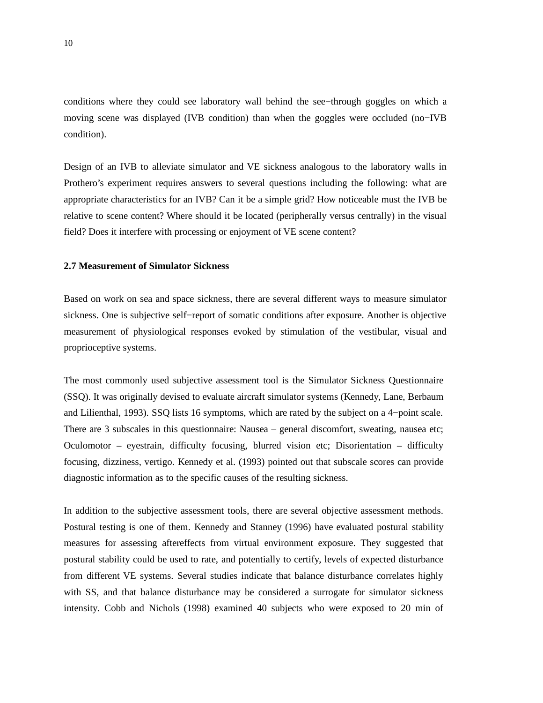conditions where they could see laboratory wall behind the see−through goggles on which a moving scene was displayed (IVB condition) than when the goggles were occluded (no−IVB condition).

Design of an IVB to alleviate simulator and VE sickness analogous to the laboratory walls in Prothero's experiment requires answers to several questions including the following: what are appropriate characteristics for an IVB? Can it be a simple grid? How noticeable must the IVB be relative to scene content? Where should it be located (peripherally versus centrally) in the visual field? Does it interfere with processing or enjoyment of VE scene content?

#### **2.7 Measurement of Simulator Sickness**

Based on work on sea and space sickness, there are several different ways to measure simulator sickness. One is subjective self−report of somatic conditions after exposure. Another is objective measurement of physiological responses evoked by stimulation of the vestibular, visual and proprioceptive systems.

The most commonly used subjective assessment tool is the Simulator Sickness Questionnaire (SSQ). It was originally devised to evaluate aircraft simulator systems (Kennedy, Lane, Berbaum and Lilienthal, 1993). SSQ lists 16 symptoms, which are rated by the subject on a 4−point scale. There are 3 subscales in this questionnaire: Nausea – general discomfort, sweating, nausea etc; Oculomotor – eyestrain, difficulty focusing, blurred vision etc; Disorientation – difficulty focusing, dizziness, vertigo. Kennedy et al. (1993) pointed out that subscale scores can provide diagnostic information as to the specific causes of the resulting sickness.

In addition to the subjective assessment tools, there are several objective assessment methods. Postural testing is one of them. Kennedy and Stanney (1996) have evaluated postural stability measures for assessing aftereffects from virtual environment exposure. They suggested that postural stability could be used to rate, and potentially to certify, levels of expected disturbance from different VE systems. Several studies indicate that balance disturbance correlates highly with SS, and that balance disturbance may be considered a surrogate for simulator sickness intensity. Cobb and Nichols (1998) examined 40 subjects who were exposed to 20 min of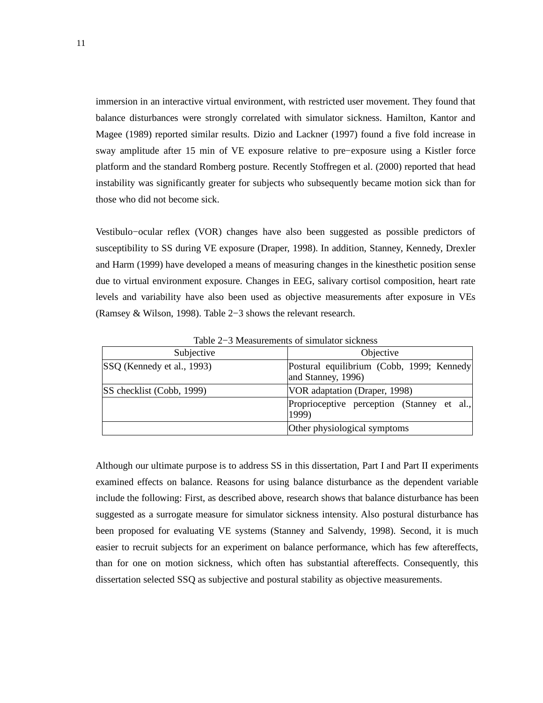immersion in an interactive virtual environment, with restricted user movement. They found that balance disturbances were strongly correlated with simulator sickness. Hamilton, Kantor and Magee (1989) reported similar results. Dizio and Lackner (1997) found a five fold increase in sway amplitude after 15 min of VE exposure relative to pre−exposure using a Kistler force platform and the standard Romberg posture. Recently Stoffregen et al. (2000) reported that head instability was significantly greater for subjects who subsequently became motion sick than for those who did not become sick.

Vestibulo−ocular reflex (VOR) changes have also been suggested as possible predictors of susceptibility to SS during VE exposure (Draper, 1998). In addition, Stanney, Kennedy, Drexler and Harm (1999) have developed a means of measuring changes in the kinesthetic position sense due to virtual environment exposure. Changes in EEG, salivary cortisol composition, heart rate levels and variability have also been used as objective measurements after exposure in VEs (Ramsey & Wilson, 1998). Table 2−3 shows the relevant research.

| Subjective                 | Objective                                                       |  |  |
|----------------------------|-----------------------------------------------------------------|--|--|
| SSQ (Kennedy et al., 1993) | Postural equilibrium (Cobb, 1999; Kennedy<br>and Stanney, 1996) |  |  |
| SS checklist (Cobb, 1999)  | VOR adaptation (Draper, 1998)                                   |  |  |
|                            | Proprioceptive perception (Stanney et al.,<br>1999)             |  |  |
|                            | Other physiological symptoms                                    |  |  |

Table 2−3 Measurements of simulator sickness

Although our ultimate purpose is to address SS in this dissertation, Part I and Part II experiments examined effects on balance. Reasons for using balance disturbance as the dependent variable include the following: First, as described above, research shows that balance disturbance has been suggested as a surrogate measure for simulator sickness intensity. Also postural disturbance has been proposed for evaluating VE systems (Stanney and Salvendy, 1998). Second, it is much easier to recruit subjects for an experiment on balance performance, which has few aftereffects, than for one on motion sickness, which often has substantial aftereffects. Consequently, this dissertation selected SSQ as subjective and postural stability as objective measurements.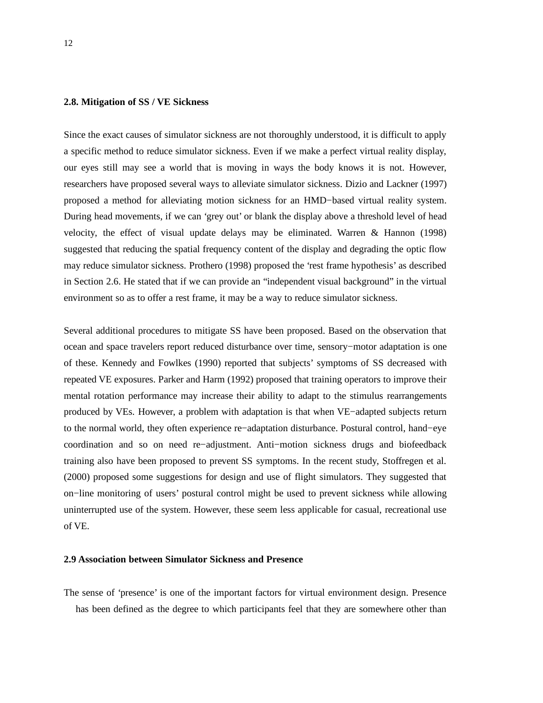#### **2.8. Mitigation of SS / VE Sickness**

Since the exact causes of simulator sickness are not thoroughly understood, it is difficult to apply a specific method to reduce simulator sickness. Even if we make a perfect virtual reality display, our eyes still may see a world that is moving in ways the body knows it is not. However, researchers have proposed several ways to alleviate simulator sickness. Dizio and Lackner (1997) proposed a method for alleviating motion sickness for an HMD−based virtual reality system. During head movements, if we can 'grey out' or blank the display above a threshold level of head velocity, the effect of visual update delays may be eliminated. Warren & Hannon (1998) suggested that reducing the spatial frequency content of the display and degrading the optic flow may reduce simulator sickness. Prothero (1998) proposed the 'rest frame hypothesis' as described in Section 2.6. He stated that if we can provide an "independent visual background" in the virtual environment so as to offer a rest frame, it may be a way to reduce simulator sickness.

Several additional procedures to mitigate SS have been proposed. Based on the observation that ocean and space travelers report reduced disturbance over time, sensory−motor adaptation is one of these. Kennedy and Fowlkes (1990) reported that subjects' symptoms of SS decreased with repeated VE exposures. Parker and Harm (1992) proposed that training operators to improve their mental rotation performance may increase their ability to adapt to the stimulus rearrangements produced by VEs. However, a problem with adaptation is that when VE−adapted subjects return to the normal world, they often experience re−adaptation disturbance. Postural control, hand−eye coordination and so on need re−adjustment. Anti−motion sickness drugs and biofeedback training also have been proposed to prevent SS symptoms. In the recent study, Stoffregen et al. (2000) proposed some suggestions for design and use of flight simulators. They suggested that on−line monitoring of users' postural control might be used to prevent sickness while allowing uninterrupted use of the system. However, these seem less applicable for casual, recreational use of VE.

#### **2.9 Association between Simulator Sickness and Presence**

The sense of 'presence' is one of the important factors for virtual environment design. Presence has been defined as the degree to which participants feel that they are somewhere other than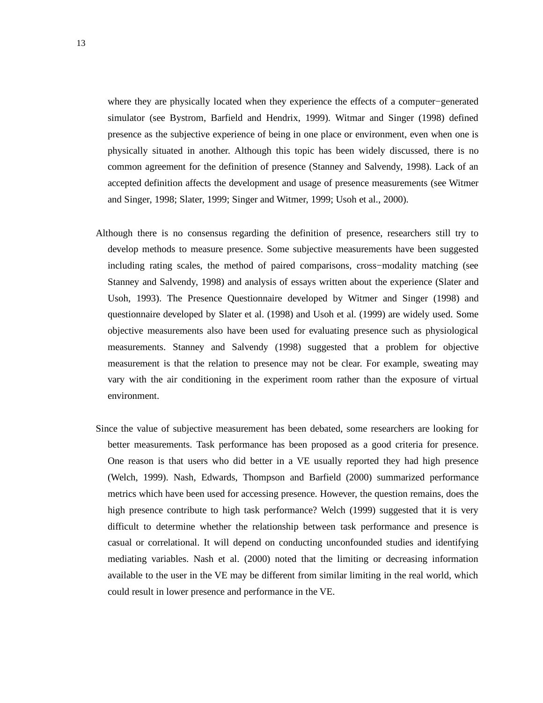where they are physically located when they experience the effects of a computer−generated simulator (see Bystrom, Barfield and Hendrix, 1999). Witmar and Singer (1998) defined presence as the subjective experience of being in one place or environment, even when one is physically situated in another. Although this topic has been widely discussed, there is no common agreement for the definition of presence (Stanney and Salvendy, 1998). Lack of an accepted definition affects the development and usage of presence measurements (see Witmer and Singer, 1998; Slater, 1999; Singer and Witmer, 1999; Usoh et al., 2000).

- Although there is no consensus regarding the definition of presence, researchers still try to develop methods to measure presence. Some subjective measurements have been suggested including rating scales, the method of paired comparisons, cross−modality matching (see Stanney and Salvendy, 1998) and analysis of essays written about the experience (Slater and Usoh, 1993). The Presence Questionnaire developed by Witmer and Singer (1998) and questionnaire developed by Slater et al. (1998) and Usoh et al. (1999) are widely used. Some objective measurements also have been used for evaluating presence such as physiological measurements. Stanney and Salvendy (1998) suggested that a problem for objective measurement is that the relation to presence may not be clear. For example, sweating may vary with the air conditioning in the experiment room rather than the exposure of virtual environment.
- Since the value of subjective measurement has been debated, some researchers are looking for better measurements. Task performance has been proposed as a good criteria for presence. One reason is that users who did better in a VE usually reported they had high presence (Welch, 1999). Nash, Edwards, Thompson and Barfield (2000) summarized performance metrics which have been used for accessing presence. However, the question remains, does the high presence contribute to high task performance? Welch (1999) suggested that it is very difficult to determine whether the relationship between task performance and presence is casual or correlational. It will depend on conducting unconfounded studies and identifying mediating variables. Nash et al. (2000) noted that the limiting or decreasing information available to the user in the VE may be different from similar limiting in the real world, which could result in lower presence and performance in the VE.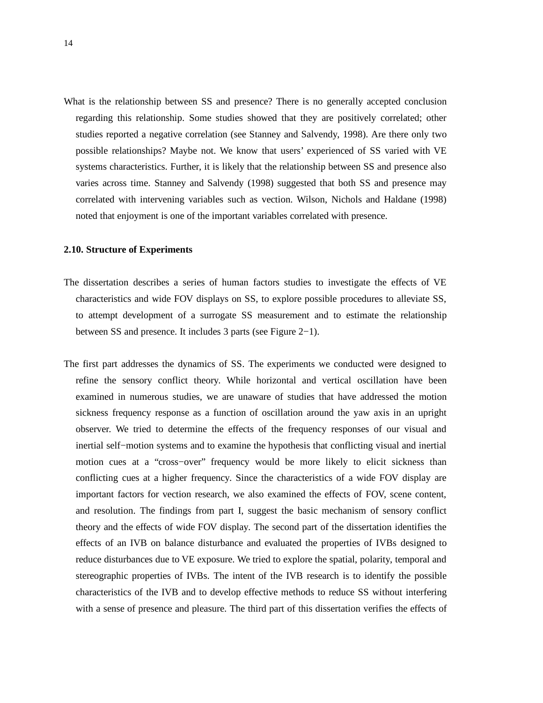What is the relationship between SS and presence? There is no generally accepted conclusion regarding this relationship. Some studies showed that they are positively correlated; other studies reported a negative correlation (see Stanney and Salvendy, 1998). Are there only two possible relationships? Maybe not. We know that users' experienced of SS varied with VE systems characteristics. Further, it is likely that the relationship between SS and presence also varies across time. Stanney and Salvendy (1998) suggested that both SS and presence may correlated with intervening variables such as vection. Wilson, Nichols and Haldane (1998) noted that enjoyment is one of the important variables correlated with presence.

#### **2.10. Structure of Experiments**

- The dissertation describes a series of human factors studies to investigate the effects of VE characteristics and wide FOV displays on SS, to explore possible procedures to alleviate SS, to attempt development of a surrogate SS measurement and to estimate the relationship between SS and presence. It includes 3 parts (see Figure 2−1).
- The first part addresses the dynamics of SS. The experiments we conducted were designed to refine the sensory conflict theory. While horizontal and vertical oscillation have been examined in numerous studies, we are unaware of studies that have addressed the motion sickness frequency response as a function of oscillation around the yaw axis in an upright observer. We tried to determine the effects of the frequency responses of our visual and inertial self−motion systems and to examine the hypothesis that conflicting visual and inertial motion cues at a "cross−over" frequency would be more likely to elicit sickness than conflicting cues at a higher frequency. Since the characteristics of a wide FOV display are important factors for vection research, we also examined the effects of FOV, scene content, and resolution. The findings from part I, suggest the basic mechanism of sensory conflict theory and the effects of wide FOV display. The second part of the dissertation identifies the effects of an IVB on balance disturbance and evaluated the properties of IVBs designed to reduce disturbances due to VE exposure. We tried to explore the spatial, polarity, temporal and stereographic properties of IVBs. The intent of the IVB research is to identify the possible characteristics of the IVB and to develop effective methods to reduce SS without interfering with a sense of presence and pleasure. The third part of this dissertation verifies the effects of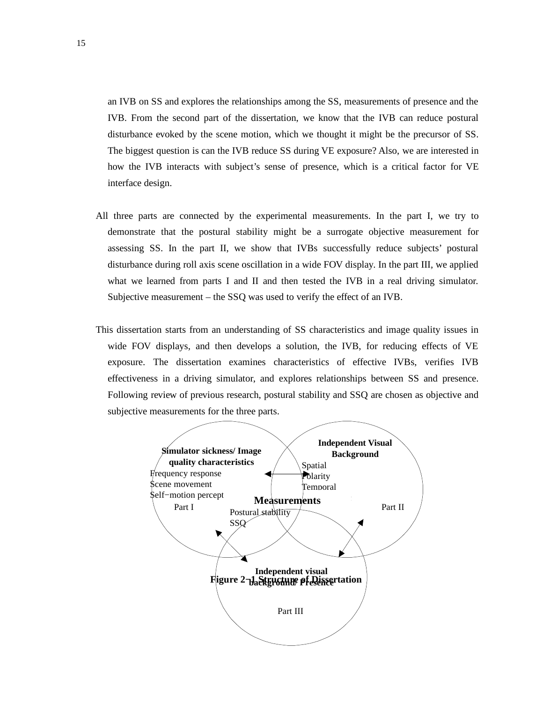an IVB on SS and explores the relationships among the SS, measurements of presence and the IVB. From the second part of the dissertation, we know that the IVB can reduce postural disturbance evoked by the scene motion, which we thought it might be the precursor of SS. The biggest question is can the IVB reduce SS during VE exposure? Also, we are interested in how the IVB interacts with subject's sense of presence, which is a critical factor for VE interface design.

- All three parts are connected by the experimental measurements. In the part I, we try to demonstrate that the postural stability might be a surrogate objective measurement for assessing SS. In the part II, we show that IVBs successfully reduce subjects' postural disturbance during roll axis scene oscillation in a wide FOV display. In the part III, we applied what we learned from parts I and II and then tested the IVB in a real driving simulator. Subjective measurement – the SSQ was used to verify the effect of an IVB.
- This dissertation starts from an understanding of SS characteristics and image quality issues in wide FOV displays, and then develops a solution, the IVB, for reducing effects of VE exposure. The dissertation examines characteristics of effective IVBs, verifies IVB effectiveness in a driving simulator, and explores relationships between SS and presence. Following review of previous research, postural stability and SSQ are chosen as objective and subjective measurements for the three parts.

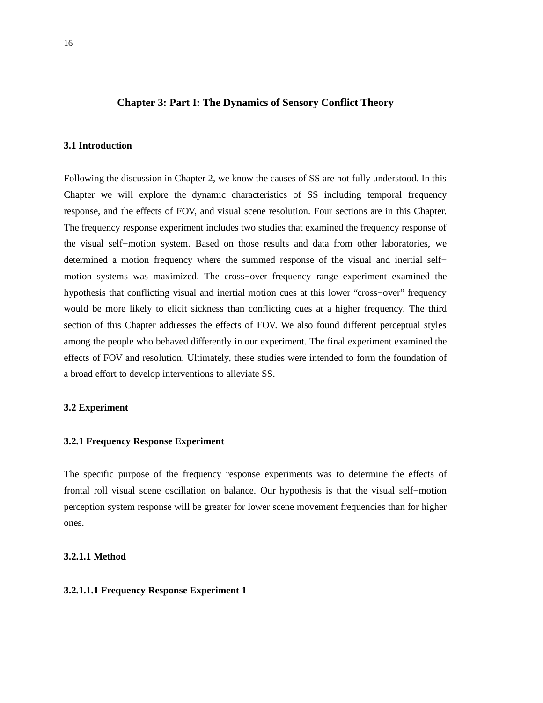#### **Chapter 3: Part I: The Dynamics of Sensory Conflict Theory**

#### **3.1 Introduction**

Following the discussion in Chapter 2, we know the causes of SS are not fully understood. In this Chapter we will explore the dynamic characteristics of SS including temporal frequency response, and the effects of FOV, and visual scene resolution. Four sections are in this Chapter. The frequency response experiment includes two studies that examined the frequency response of the visual self−motion system. Based on those results and data from other laboratories, we determined a motion frequency where the summed response of the visual and inertial self− motion systems was maximized. The cross−over frequency range experiment examined the hypothesis that conflicting visual and inertial motion cues at this lower "cross−over" frequency would be more likely to elicit sickness than conflicting cues at a higher frequency. The third section of this Chapter addresses the effects of FOV. We also found different perceptual styles among the people who behaved differently in our experiment. The final experiment examined the effects of FOV and resolution. Ultimately, these studies were intended to form the foundation of a broad effort to develop interventions to alleviate SS.

#### **3.2 Experiment**

#### **3.2.1 Frequency Response Experiment**

The specific purpose of the frequency response experiments was to determine the effects of frontal roll visual scene oscillation on balance. Our hypothesis is that the visual self−motion perception system response will be greater for lower scene movement frequencies than for higher ones.

#### **3.2.1.1 Method**

#### **3.2.1.1.1 Frequency Response Experiment 1**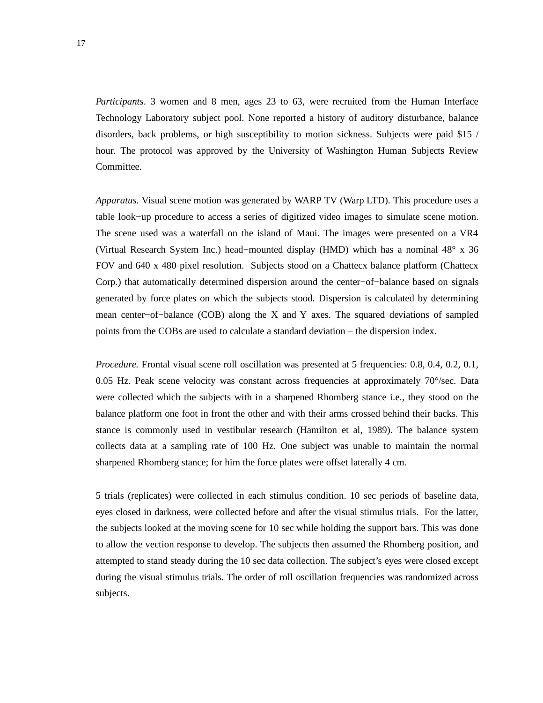*Participants*. 3 women and 8 men, ages 23 to 63, were recruited from the Human Interface Technology Laboratory subject pool. None reported a history of auditory disturbance, balance disorders, back problems, or high susceptibility to motion sickness. Subjects were paid \$15 / hour. The protocol was approved by the University of Washington Human Subjects Review Committee.

*Apparatus.* Visual scene motion was generated by WARP TV (Warp LTD). This procedure uses a table look−up procedure to access a series of digitized video images to simulate scene motion. The scene used was a waterfall on the island of Maui. The images were presented on a VR4 (Virtual Research System Inc.) head−mounted display (HMD) which has a nominal 48° x 36 FOV and 640 x 480 pixel resolution. Subjects stood on a Chattecx balance platform (Chattecx Corp.) that automatically determined dispersion around the center−of−balance based on signals generated by force plates on which the subjects stood. Dispersion is calculated by determining mean center−of−balance (COB) along the X and Y axes. The squared deviations of sampled points from the COBs are used to calculate a standard deviation – the dispersion index.

*Procedure.* Frontal visual scene roll oscillation was presented at 5 frequencies: 0.8, 0.4, 0.2, 0.1, 0.05 Hz. Peak scene velocity was constant across frequencies at approximately 70°/sec. Data were collected which the subjects with in a sharpened Rhomberg stance i.e., they stood on the balance platform one foot in front the other and with their arms crossed behind their backs. This stance is commonly used in vestibular research (Hamilton et al, 1989). The balance system collects data at a sampling rate of 100 Hz. One subject was unable to maintain the normal sharpened Rhomberg stance; for him the force plates were offset laterally 4 cm.

5 trials (replicates) were collected in each stimulus condition. 10 sec periods of baseline data, eyes closed in darkness, were collected before and after the visual stimulus trials. For the latter, the subjects looked at the moving scene for 10 sec while holding the support bars. This was done to allow the vection response to develop. The subjects then assumed the Rhomberg position, and attempted to stand steady during the 10 sec data collection. The subject's eyes were closed except during the visual stimulus trials. The order of roll oscillation frequencies was randomized across subjects.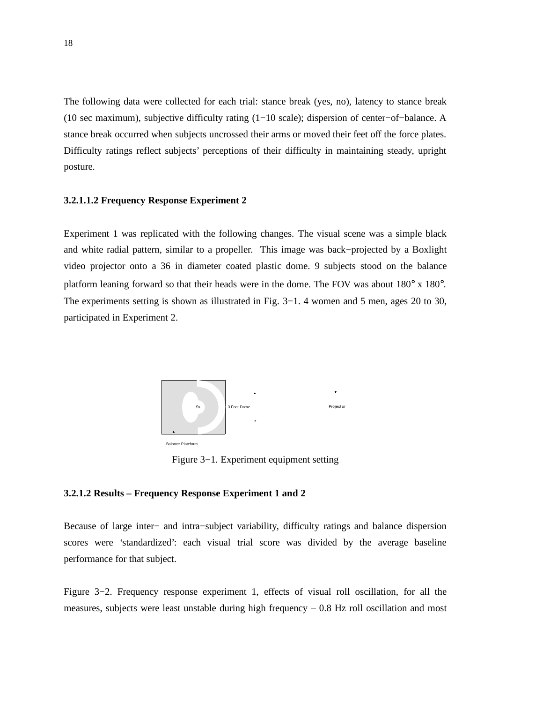The following data were collected for each trial: stance break (yes, no), latency to stance break (10 sec maximum), subjective difficulty rating (1−10 scale); dispersion of center−of−balance. A stance break occurred when subjects uncrossed their arms or moved their feet off the force plates. Difficulty ratings reflect subjects' perceptions of their difficulty in maintaining steady, upright posture.

#### **3.2.1.1.2 Frequency Response Experiment 2**

Experiment 1 was replicated with the following changes. The visual scene was a simple black and white radial pattern, similar to a propeller. This image was back−projected by a Boxlight video projector onto a 36 in diameter coated plastic dome. 9 subjects stood on the balance platform leaning forward so that their heads were in the dome. The FOV was about 180° x 180°. The experiments setting is shown as illustrated in Fig. 3−1. 4 women and 5 men, ages 20 to 30, participated in Experiment 2.



Figure 3−1. Experiment equipment setting

#### **3.2.1.2 Results – Frequency Response Experiment 1 and 2**

Because of large inter− and intra−subject variability, difficulty ratings and balance dispersion scores were 'standardized': each visual trial score was divided by the average baseline performance for that subject.

Figure 3−2. Frequency response experiment 1, effects of visual roll oscillation, for all the measures, subjects were least unstable during high frequency  $-0.8$  Hz roll oscillation and most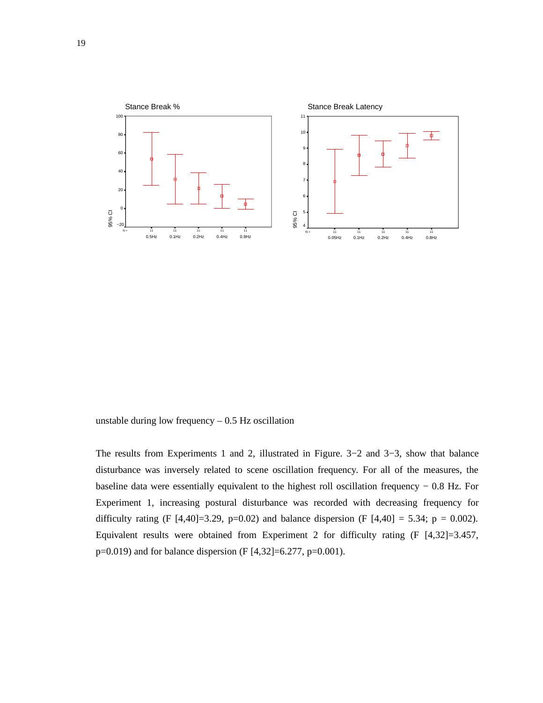

unstable during low frequency  $-0.5$  Hz oscillation

The results from Experiments 1 and 2, illustrated in Figure. 3−2 and 3−3, show that balance disturbance was inversely related to scene oscillation frequency. For all of the measures, the baseline data were essentially equivalent to the highest roll oscillation frequency − 0.8 Hz. For Experiment 1, increasing postural disturbance was recorded with decreasing frequency for difficulty rating (F [4,40]=3.29, p=0.02) and balance dispersion (F [4,40] = 5.34; p = 0.002). Equivalent results were obtained from Experiment 2 for difficulty rating (F [4,32]=3.457, p=0.019) and for balance dispersion (F [4,32]=6.277, p=0.001).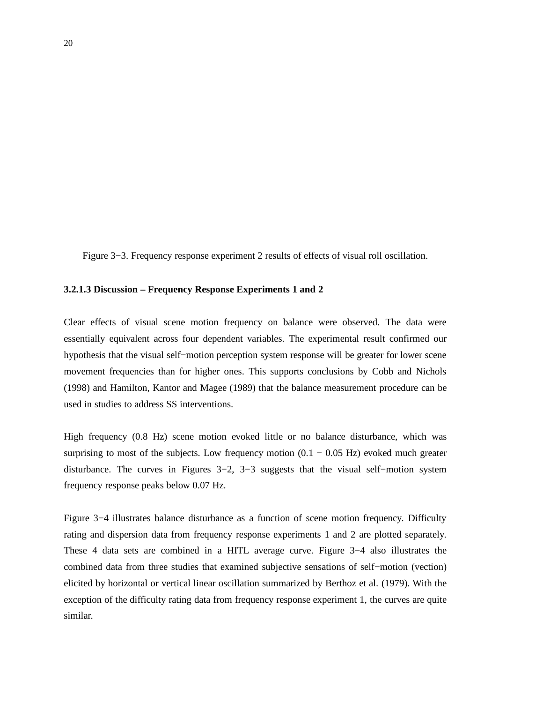Figure 3−3. Frequency response experiment 2 results of effects of visual roll oscillation.

#### **3.2.1.3 Discussion – Frequency Response Experiments 1 and 2**

Clear effects of visual scene motion frequency on balance were observed. The data were essentially equivalent across four dependent variables. The experimental result confirmed our hypothesis that the visual self−motion perception system response will be greater for lower scene movement frequencies than for higher ones. This supports conclusions by Cobb and Nichols (1998) and Hamilton, Kantor and Magee (1989) that the balance measurement procedure can be used in studies to address SS interventions.

High frequency (0.8 Hz) scene motion evoked little or no balance disturbance, which was surprising to most of the subjects. Low frequency motion  $(0.1 - 0.05 \text{ Hz})$  evoked much greater disturbance. The curves in Figures 3−2, 3−3 suggests that the visual self−motion system frequency response peaks below 0.07 Hz.

Figure 3−4 illustrates balance disturbance as a function of scene motion frequency. Difficulty rating and dispersion data from frequency response experiments 1 and 2 are plotted separately. These 4 data sets are combined in a HITL average curve. Figure 3−4 also illustrates the combined data from three studies that examined subjective sensations of self−motion (vection) elicited by horizontal or vertical linear oscillation summarized by Berthoz et al. (1979). With the exception of the difficulty rating data from frequency response experiment 1, the curves are quite similar.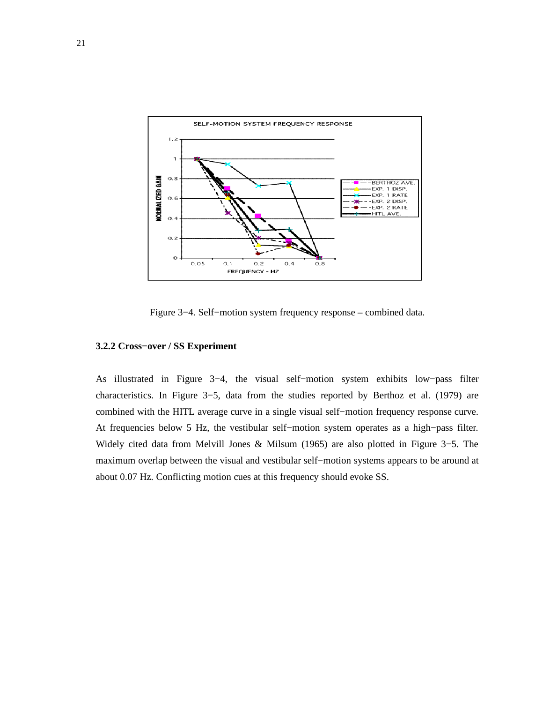

Figure 3−4. Self−motion system frequency response – combined data.

#### **3.2.2 Cross−over / SS Experiment**

As illustrated in Figure 3−4, the visual self−motion system exhibits low−pass filter characteristics. In Figure 3−5, data from the studies reported by Berthoz et al. (1979) are combined with the HITL average curve in a single visual self−motion frequency response curve. At frequencies below 5 Hz, the vestibular self−motion system operates as a high−pass filter. Widely cited data from Melvill Jones & Milsum (1965) are also plotted in Figure 3−5. The maximum overlap between the visual and vestibular self−motion systems appears to be around at about 0.07 Hz. Conflicting motion cues at this frequency should evoke SS.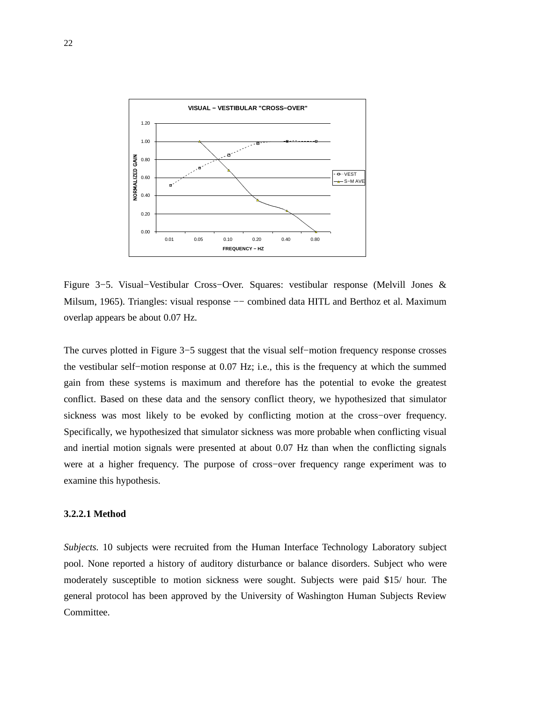

Figure 3−5. Visual−Vestibular Cross−Over. Squares: vestibular response (Melvill Jones & Milsum, 1965). Triangles: visual response −− combined data HITL and Berthoz et al. Maximum overlap appears be about 0.07 Hz.

The curves plotted in Figure 3−5 suggest that the visual self−motion frequency response crosses the vestibular self−motion response at 0.07 Hz; i.e., this is the frequency at which the summed gain from these systems is maximum and therefore has the potential to evoke the greatest conflict. Based on these data and the sensory conflict theory, we hypothesized that simulator sickness was most likely to be evoked by conflicting motion at the cross−over frequency. Specifically, we hypothesized that simulator sickness was more probable when conflicting visual and inertial motion signals were presented at about 0.07 Hz than when the conflicting signals were at a higher frequency. The purpose of cross−over frequency range experiment was to examine this hypothesis.

#### **3.2.2.1 Method**

*Subjects.* 10 subjects were recruited from the Human Interface Technology Laboratory subject pool. None reported a history of auditory disturbance or balance disorders. Subject who were moderately susceptible to motion sickness were sought. Subjects were paid \$15/ hour. The general protocol has been approved by the University of Washington Human Subjects Review Committee.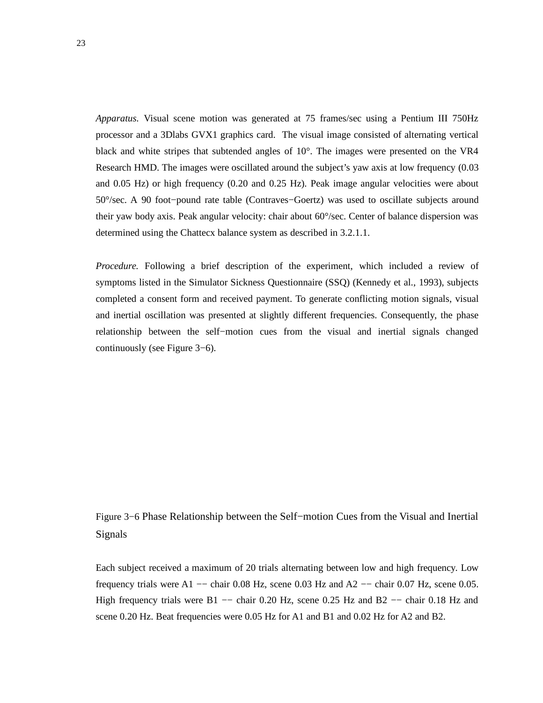*Apparatus.* Visual scene motion was generated at 75 frames/sec using a Pentium III 750Hz processor and a 3Dlabs GVX1 graphics card. The visual image consisted of alternating vertical black and white stripes that subtended angles of 10°. The images were presented on the VR4 Research HMD. The images were oscillated around the subject's yaw axis at low frequency (0.03 and 0.05 Hz) or high frequency (0.20 and 0.25 Hz). Peak image angular velocities were about 50°/sec. A 90 foot−pound rate table (Contraves−Goertz) was used to oscillate subjects around their yaw body axis. Peak angular velocity: chair about 60°/sec. Center of balance dispersion was determined using the Chattecx balance system as described in 3.2.1.1.

*Procedure.* Following a brief description of the experiment, which included a review of symptoms listed in the Simulator Sickness Questionnaire (SSQ) (Kennedy et al., 1993), subjects completed a consent form and received payment. To generate conflicting motion signals, visual and inertial oscillation was presented at slightly different frequencies. Consequently, the phase relationship between the self−motion cues from the visual and inertial signals changed continuously (see Figure 3−6).

Figure 3−6 Phase Relationship between the Self−motion Cues from the Visual and Inertial Signals

Each subject received a maximum of 20 trials alternating between low and high frequency. Low frequency trials were A1  $-$  chair 0.08 Hz, scene 0.03 Hz and A2  $-$  chair 0.07 Hz, scene 0.05. High frequency trials were B1 -- chair 0.20 Hz, scene 0.25 Hz and B2 -- chair 0.18 Hz and scene 0.20 Hz. Beat frequencies were 0.05 Hz for A1 and B1 and 0.02 Hz for A2 and B2.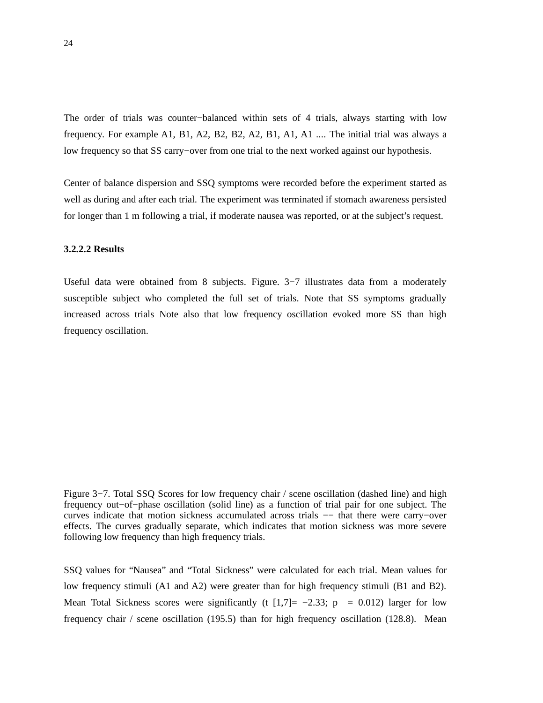The order of trials was counter−balanced within sets of 4 trials, always starting with low frequency. For example A1, B1, A2, B2, B2, A2, B1, A1, A1 .... The initial trial was always a low frequency so that SS carry−over from one trial to the next worked against our hypothesis.

Center of balance dispersion and SSQ symptoms were recorded before the experiment started as well as during and after each trial. The experiment was terminated if stomach awareness persisted for longer than 1 m following a trial, if moderate nausea was reported, or at the subject's request.

# **3.2.2.2 Results**

Useful data were obtained from 8 subjects. Figure. 3−7 illustrates data from a moderately susceptible subject who completed the full set of trials. Note that SS symptoms gradually increased across trials Note also that low frequency oscillation evoked more SS than high frequency oscillation.

Figure 3−7. Total SSQ Scores for low frequency chair / scene oscillation (dashed line) and high frequency out−of−phase oscillation (solid line) as a function of trial pair for one subject. The curves indicate that motion sickness accumulated across trials −− that there were carry−over effects. The curves gradually separate, which indicates that motion sickness was more severe following low frequency than high frequency trials.

SSQ values for "Nausea" and "Total Sickness" were calculated for each trial. Mean values for low frequency stimuli (A1 and A2) were greater than for high frequency stimuli (B1 and B2). Mean Total Sickness scores were significantly (t  $[1,7]= -2.33$ ; p = 0.012) larger for low frequency chair / scene oscillation (195.5) than for high frequency oscillation (128.8). Mean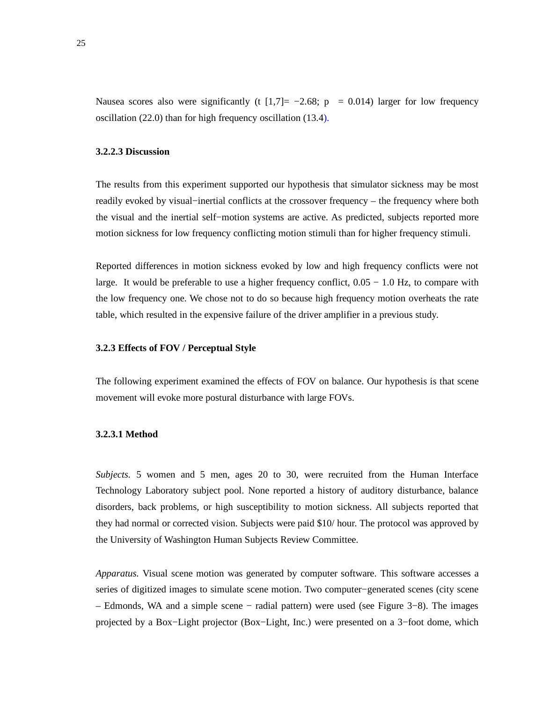Nausea scores also were significantly (t  $[1,7]= -2.68$ ; p = 0.014) larger for low frequency oscillation (22.0) than for high frequency oscillation (13.4).

## **3.2.2.3 Discussion**

The results from this experiment supported our hypothesis that simulator sickness may be most readily evoked by visual−inertial conflicts at the crossover frequency – the frequency where both the visual and the inertial self−motion systems are active. As predicted, subjects reported more motion sickness for low frequency conflicting motion stimuli than for higher frequency stimuli.

Reported differences in motion sickness evoked by low and high frequency conflicts were not large. It would be preferable to use a higher frequency conflict, 0.05 − 1.0 Hz, to compare with the low frequency one. We chose not to do so because high frequency motion overheats the rate table, which resulted in the expensive failure of the driver amplifier in a previous study.

## **3.2.3 Effects of FOV / Perceptual Style**

The following experiment examined the effects of FOV on balance. Our hypothesis is that scene movement will evoke more postural disturbance with large FOVs.

## **3.2.3.1 Method**

*Subjects.* 5 women and 5 men, ages 20 to 30, were recruited from the Human Interface Technology Laboratory subject pool. None reported a history of auditory disturbance, balance disorders, back problems, or high susceptibility to motion sickness. All subjects reported that they had normal or corrected vision. Subjects were paid \$10/ hour. The protocol was approved by the University of Washington Human Subjects Review Committee.

*Apparatus.* Visual scene motion was generated by computer software. This software accesses a series of digitized images to simulate scene motion. Two computer−generated scenes (city scene – Edmonds, WA and a simple scene − radial pattern) were used (see Figure 3−8). The images projected by a Box−Light projector (Box−Light, Inc.) were presented on a 3−foot dome, which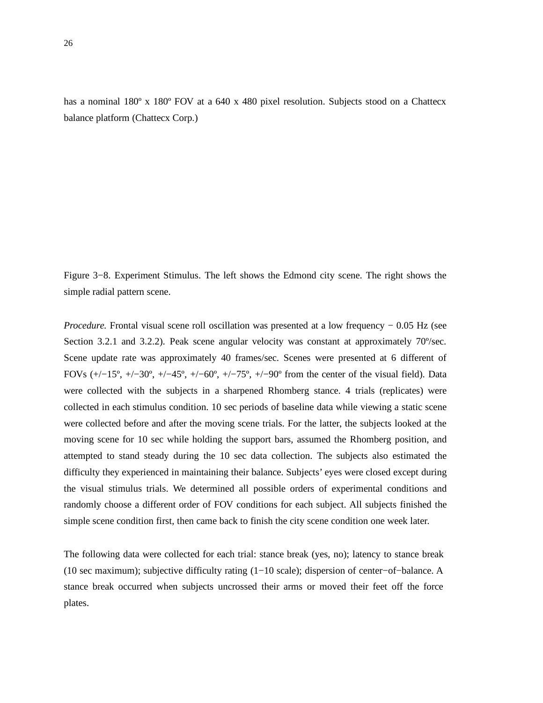has a nominal 180° x 180° FOV at a 640 x 480 pixel resolution. Subjects stood on a Chattecx balance platform (Chattecx Corp.)

Figure 3−8. Experiment Stimulus. The left shows the Edmond city scene. The right shows the simple radial pattern scene.

*Procedure.* Frontal visual scene roll oscillation was presented at a low frequency − 0.05 Hz (see Section 3.2.1 and 3.2.2). Peak scene angular velocity was constant at approximately 70°/sec. Scene update rate was approximately 40 frames/sec. Scenes were presented at 6 different of FOVs (+/−15º, +/−30º, +/−45º, +/−60º, +/−75º, +/−90º from the center of the visual field). Data were collected with the subjects in a sharpened Rhomberg stance. 4 trials (replicates) were collected in each stimulus condition. 10 sec periods of baseline data while viewing a static scene were collected before and after the moving scene trials. For the latter, the subjects looked at the moving scene for 10 sec while holding the support bars, assumed the Rhomberg position, and attempted to stand steady during the 10 sec data collection. The subjects also estimated the difficulty they experienced in maintaining their balance. Subjects' eyes were closed except during the visual stimulus trials. We determined all possible orders of experimental conditions and randomly choose a different order of FOV conditions for each subject. All subjects finished the simple scene condition first, then came back to finish the city scene condition one week later.

The following data were collected for each trial: stance break (yes, no); latency to stance break (10 sec maximum); subjective difficulty rating (1−10 scale); dispersion of center−of−balance. A stance break occurred when subjects uncrossed their arms or moved their feet off the force plates.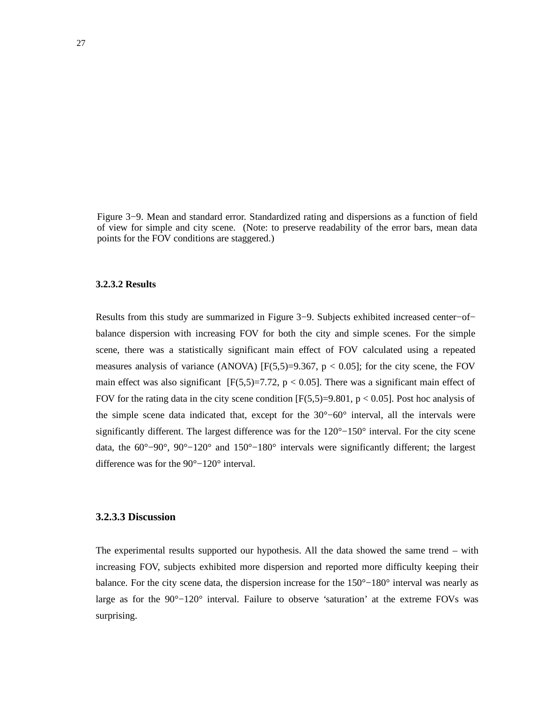Figure 3−9. Mean and standard error. Standardized rating and dispersions as a function of field of view for simple and city scene. (Note: to preserve readability of the error bars, mean data points for the FOV conditions are staggered.)

## **3.2.3.2 Results**

Results from this study are summarized in Figure 3−9. Subjects exhibited increased center−of− balance dispersion with increasing FOV for both the city and simple scenes. For the simple scene, there was a statistically significant main effect of FOV calculated using a repeated measures analysis of variance (ANOVA)  $[F(5,5)=9.367, p < 0.05]$ ; for the city scene, the FOV main effect was also significant  $[F(5,5)=7.72, p < 0.05]$ . There was a significant main effect of FOV for the rating data in the city scene condition  $[F(5,5)=9.801, p < 0.05]$ . Post hoc analysis of the simple scene data indicated that, except for the 30°−60° interval, all the intervals were significantly different. The largest difference was for the 120°–150° interval. For the city scene data, the 60°−90°, 90°−120° and 150°−180° intervals were significantly different; the largest difference was for the 90°−120° interval.

## **3.2.3.3 Discussion**

The experimental results supported our hypothesis. All the data showed the same trend – with increasing FOV, subjects exhibited more dispersion and reported more difficulty keeping their balance. For the city scene data, the dispersion increase for the 150°−180° interval was nearly as large as for the 90°−120° interval. Failure to observe 'saturation' at the extreme FOVs was surprising.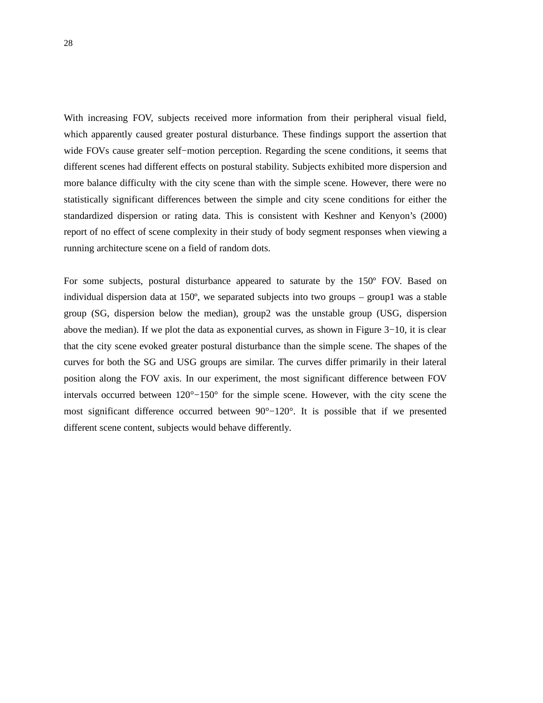With increasing FOV, subjects received more information from their peripheral visual field, which apparently caused greater postural disturbance. These findings support the assertion that wide FOVs cause greater self−motion perception. Regarding the scene conditions, it seems that different scenes had different effects on postural stability. Subjects exhibited more dispersion and more balance difficulty with the city scene than with the simple scene. However, there were no statistically significant differences between the simple and city scene conditions for either the standardized dispersion or rating data. This is consistent with Keshner and Kenyon's (2000) report of no effect of scene complexity in their study of body segment responses when viewing a running architecture scene on a field of random dots.

For some subjects, postural disturbance appeared to saturate by the 150º FOV. Based on individual dispersion data at 150º, we separated subjects into two groups – group1 was a stable group (SG, dispersion below the median), group2 was the unstable group (USG, dispersion above the median). If we plot the data as exponential curves, as shown in Figure 3−10, it is clear that the city scene evoked greater postural disturbance than the simple scene. The shapes of the curves for both the SG and USG groups are similar. The curves differ primarily in their lateral position along the FOV axis. In our experiment, the most significant difference between FOV intervals occurred between 120°−150° for the simple scene. However, with the city scene the most significant difference occurred between 90°−120°. It is possible that if we presented different scene content, subjects would behave differently.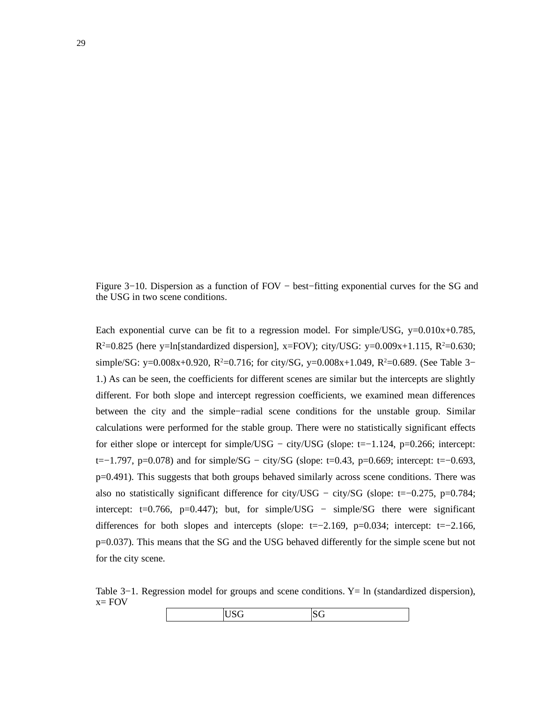Figure 3−10. Dispersion as a function of FOV − best−fitting exponential curves for the SG and the USG in two scene conditions.

Each exponential curve can be fit to a regression model. For simple/USG,  $y=0.010x+0.785$ ,  $R^2$ =0.825 (here y=ln[standardized dispersion], x=FOV); city/USG: y=0.009x+1.115, R<sup>2</sup>=0.630; simple/SG: y=0.008x+0.920, R<sup>2</sup>=0.716; for city/SG, y=0.008x+1.049, R<sup>2</sup>=0.689. (See Table 3– 1.) As can be seen, the coefficients for different scenes are similar but the intercepts are slightly different. For both slope and intercept regression coefficients, we examined mean differences between the city and the simple−radial scene conditions for the unstable group. Similar calculations were performed for the stable group. There were no statistically significant effects for either slope or intercept for simple/USG – city/USG (slope: t=−1.124, p=0.266; intercept: t=−1.797, p=0.078) and for simple/SG − city/SG (slope: t=0.43, p=0.669; intercept: t=−0.693, p=0.491). This suggests that both groups behaved similarly across scene conditions. There was also no statistically significant difference for city/USG − city/SG (slope: t=−0.275, p=0.784; intercept: t=0.766, p=0.447); but, for simple/USG – simple/SG there were significant differences for both slopes and intercepts (slope: t=−2.169, p=0.034; intercept: t=−2.166, p=0.037). This means that the SG and the USG behaved differently for the simple scene but not for the city scene.

Table 3–1. Regression model for groups and scene conditions. Y = ln (standardized dispersion),  $x=$  FOV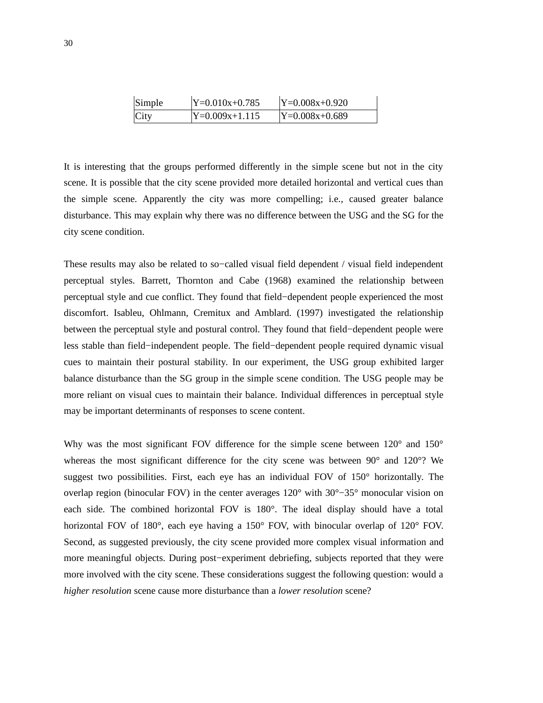| Simple | $ Y=0.010x+0.785$ | $Y=0.008x+0.920$ |
|--------|-------------------|------------------|
| City   | $Y=0.009x+1.115$  | $Y=0.008x+0.689$ |

It is interesting that the groups performed differently in the simple scene but not in the city scene. It is possible that the city scene provided more detailed horizontal and vertical cues than the simple scene. Apparently the city was more compelling; i.e., caused greater balance disturbance. This may explain why there was no difference between the USG and the SG for the city scene condition.

These results may also be related to so−called visual field dependent / visual field independent perceptual styles. Barrett, Thornton and Cabe (1968) examined the relationship between perceptual style and cue conflict. They found that field−dependent people experienced the most discomfort. Isableu, Ohlmann, Cremitux and Amblard. (1997) investigated the relationship between the perceptual style and postural control. They found that field−dependent people were less stable than field−independent people. The field−dependent people required dynamic visual cues to maintain their postural stability. In our experiment, the USG group exhibited larger balance disturbance than the SG group in the simple scene condition. The USG people may be more reliant on visual cues to maintain their balance. Individual differences in perceptual style may be important determinants of responses to scene content.

Why was the most significant FOV difference for the simple scene between  $120^{\circ}$  and  $150^{\circ}$ whereas the most significant difference for the city scene was between 90° and 120°? We suggest two possibilities. First, each eye has an individual FOV of 150° horizontally. The overlap region (binocular FOV) in the center averages 120° with 30°−35° monocular vision on each side. The combined horizontal FOV is 180°. The ideal display should have a total horizontal FOV of 180°, each eye having a 150° FOV, with binocular overlap of 120° FOV. Second, as suggested previously, the city scene provided more complex visual information and more meaningful objects. During post−experiment debriefing, subjects reported that they were more involved with the city scene. These considerations suggest the following question: would a *higher resolution* scene cause more disturbance than a *lower resolution* scene?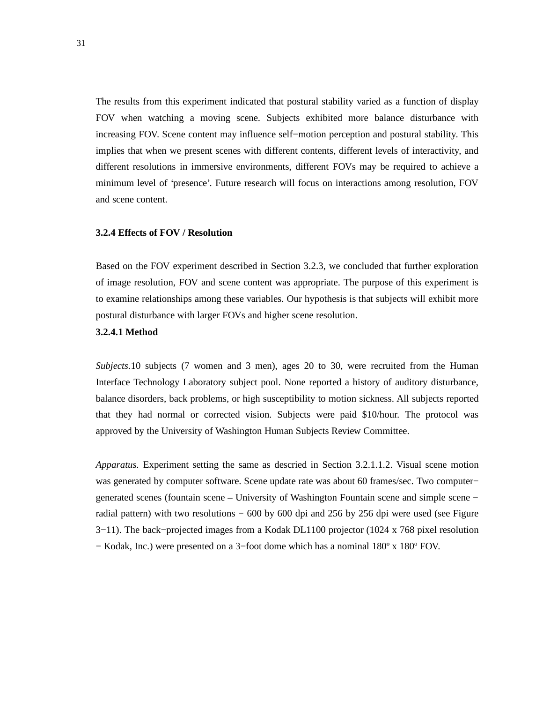The results from this experiment indicated that postural stability varied as a function of display FOV when watching a moving scene. Subjects exhibited more balance disturbance with increasing FOV. Scene content may influence self−motion perception and postural stability. This implies that when we present scenes with different contents, different levels of interactivity, and different resolutions in immersive environments, different FOVs may be required to achieve a minimum level of 'presence'. Future research will focus on interactions among resolution, FOV and scene content.

#### **3.2.4 Effects of FOV / Resolution**

Based on the FOV experiment described in Section 3.2.3, we concluded that further exploration of image resolution, FOV and scene content was appropriate. The purpose of this experiment is to examine relationships among these variables. Our hypothesis is that subjects will exhibit more postural disturbance with larger FOVs and higher scene resolution.

#### **3.2.4.1 Method**

*Subjects.*10 subjects (7 women and 3 men), ages 20 to 30, were recruited from the Human Interface Technology Laboratory subject pool. None reported a history of auditory disturbance, balance disorders, back problems, or high susceptibility to motion sickness. All subjects reported that they had normal or corrected vision. Subjects were paid \$10/hour. The protocol was approved by the University of Washington Human Subjects Review Committee.

*Apparatus.* Experiment setting the same as descried in Section 3.2.1.1.2. Visual scene motion was generated by computer software. Scene update rate was about 60 frames/sec. Two computer− generated scenes (fountain scene – University of Washington Fountain scene and simple scene – radial pattern) with two resolutions  $-600$  by 600 dpi and 256 by 256 dpi were used (see Figure 3−11). The back−projected images from a Kodak DL1100 projector (1024 x 768 pixel resolution − Kodak, Inc.) were presented on a 3−foot dome which has a nominal 180º x 180º FOV.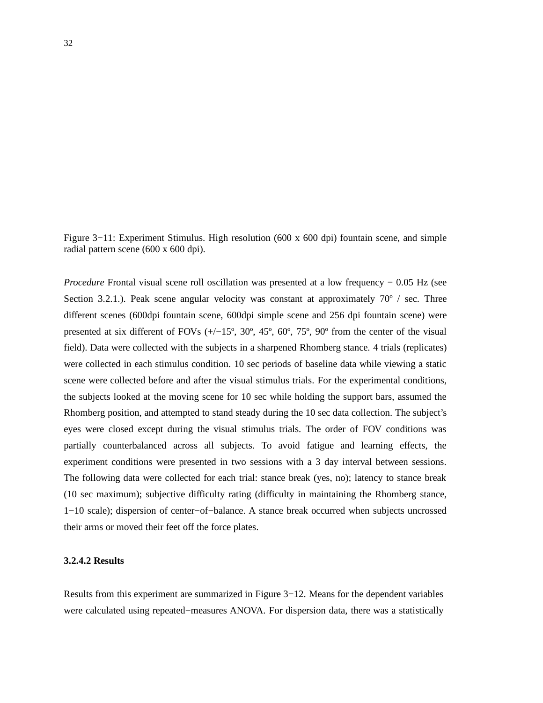Figure 3−11: Experiment Stimulus. High resolution (600 x 600 dpi) fountain scene, and simple radial pattern scene (600 x 600 dpi).

*Procedure* Frontal visual scene roll oscillation was presented at a low frequency − 0.05 Hz (see Section 3.2.1.). Peak scene angular velocity was constant at approximately  $70^{\circ}$  / sec. Three different scenes (600dpi fountain scene, 600dpi simple scene and 256 dpi fountain scene) were presented at six different of FOVs (+/−15º, 30º, 45º, 60º, 75º, 90º from the center of the visual field). Data were collected with the subjects in a sharpened Rhomberg stance. 4 trials (replicates) were collected in each stimulus condition. 10 sec periods of baseline data while viewing a static scene were collected before and after the visual stimulus trials. For the experimental conditions, the subjects looked at the moving scene for 10 sec while holding the support bars, assumed the Rhomberg position, and attempted to stand steady during the 10 sec data collection. The subject's eyes were closed except during the visual stimulus trials. The order of FOV conditions was partially counterbalanced across all subjects. To avoid fatigue and learning effects, the experiment conditions were presented in two sessions with a 3 day interval between sessions. The following data were collected for each trial: stance break (yes, no); latency to stance break (10 sec maximum); subjective difficulty rating (difficulty in maintaining the Rhomberg stance, 1−10 scale); dispersion of center−of−balance. A stance break occurred when subjects uncrossed their arms or moved their feet off the force plates.

## **3.2.4.2 Results**

Results from this experiment are summarized in Figure 3−12. Means for the dependent variables were calculated using repeated−measures ANOVA. For dispersion data, there was a statistically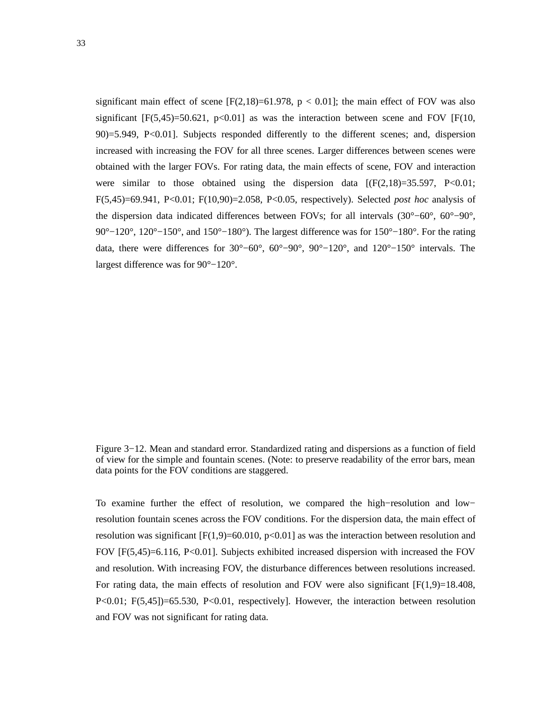significant main effect of scene  $[F(2,18)=61.978, p < 0.01]$ ; the main effect of FOV was also significant  $[F(5,45)=50.621, p<0.01]$  as was the interaction between scene and FOV  $[F(10,$ 90)=5.949, P<0.01]. Subjects responded differently to the different scenes; and, dispersion increased with increasing the FOV for all three scenes. Larger differences between scenes were obtained with the larger FOVs. For rating data, the main effects of scene, FOV and interaction were similar to those obtained using the dispersion data  $[(F(2,18)=35.597, P<0.01;$ F(5,45)=69.941, P<0.01; F(10,90)=2.058, P<0.05, respectively). Selected *post hoc* analysis of the dispersion data indicated differences between FOVs; for all intervals (30°−60°, 60°−90°, 90°–120°, 120°–150°, and 150°–180°). The largest difference was for 150°–180°. For the rating data, there were differences for 30°−60°, 60°−90°, 90°−120°, and 120°−150° intervals. The largest difference was for 90°−120°.

To examine further the effect of resolution, we compared the high−resolution and low− resolution fountain scenes across the FOV conditions. For the dispersion data, the main effect of resolution was significant  $[F(1,9)=60.010, p<0.01]$  as was the interaction between resolution and FOV [F(5,45)=6.116, P<0.01]. Subjects exhibited increased dispersion with increased the FOV and resolution. With increasing FOV, the disturbance differences between resolutions increased. For rating data, the main effects of resolution and FOV were also significant  $[F(1,9)=18.408,$ P<0.01; F(5,45])=65.530, P<0.01, respectively]. However, the interaction between resolution and FOV was not significant for rating data.

Figure 3−12. Mean and standard error. Standardized rating and dispersions as a function of field of view for the simple and fountain scenes. (Note: to preserve readability of the error bars, mean data points for the FOV conditions are staggered.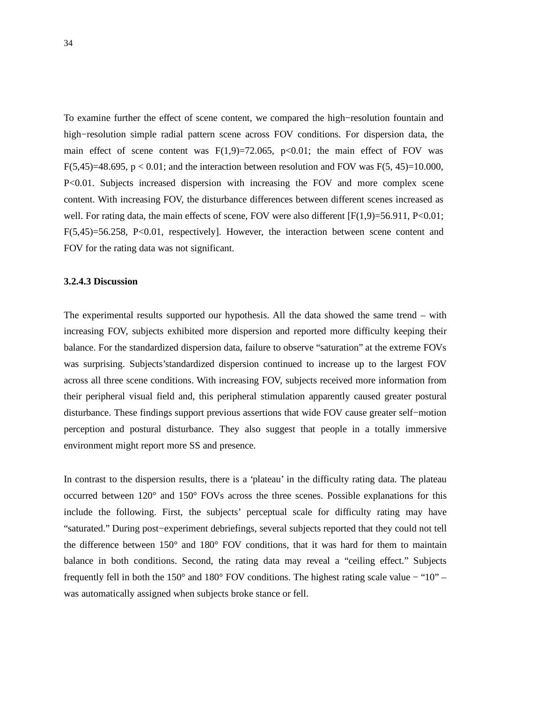To examine further the effect of scene content, we compared the high−resolution fountain and high−resolution simple radial pattern scene across FOV conditions. For dispersion data, the main effect of scene content was  $F(1,9)=72.065$ ,  $p<0.01$ ; the main effect of FOV was F(5,45)=48.695,  $p < 0.01$ ; and the interaction between resolution and FOV was F(5, 45)=10.000. P<0.01. Subjects increased dispersion with increasing the FOV and more complex scene content. With increasing FOV, the disturbance differences between different scenes increased as well. For rating data, the main effects of scene, FOV were also different  $[F(1,9)=56.911, P<0.01;$ F(5,45)=56.258, P<0.01, respectively]. However, the interaction between scene content and FOV for the rating data was not significant.

#### **3.2.4.3 Discussion**

The experimental results supported our hypothesis. All the data showed the same trend – with increasing FOV, subjects exhibited more dispersion and reported more difficulty keeping their balance. For the standardized dispersion data, failure to observe "saturation" at the extreme FOVs was surprising. Subjects'standardized dispersion continued to increase up to the largest FOV across all three scene conditions. With increasing FOV, subjects received more information from their peripheral visual field and, this peripheral stimulation apparently caused greater postural disturbance. These findings support previous assertions that wide FOV cause greater self−motion perception and postural disturbance. They also suggest that people in a totally immersive environment might report more SS and presence.

In contrast to the dispersion results, there is a 'plateau' in the difficulty rating data. The plateau occurred between 120° and 150° FOVs across the three scenes. Possible explanations for this include the following. First, the subjects' perceptual scale for difficulty rating may have "saturated." During post−experiment debriefings, several subjects reported that they could not tell the difference between 150° and 180° FOV conditions, that it was hard for them to maintain balance in both conditions. Second, the rating data may reveal a "ceiling effect." Subjects frequently fell in both the 150° and 180° FOV conditions. The highest rating scale value − "10" – was automatically assigned when subjects broke stance or fell.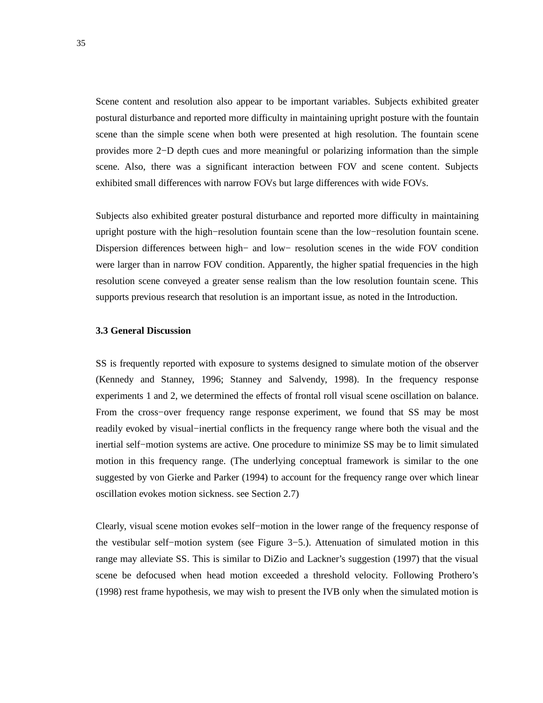Scene content and resolution also appear to be important variables. Subjects exhibited greater postural disturbance and reported more difficulty in maintaining upright posture with the fountain scene than the simple scene when both were presented at high resolution. The fountain scene provides more 2−D depth cues and more meaningful or polarizing information than the simple scene. Also, there was a significant interaction between FOV and scene content. Subjects exhibited small differences with narrow FOVs but large differences with wide FOVs.

Subjects also exhibited greater postural disturbance and reported more difficulty in maintaining upright posture with the high−resolution fountain scene than the low−resolution fountain scene. Dispersion differences between high− and low− resolution scenes in the wide FOV condition were larger than in narrow FOV condition. Apparently, the higher spatial frequencies in the high resolution scene conveyed a greater sense realism than the low resolution fountain scene. This supports previous research that resolution is an important issue, as noted in the Introduction.

#### **3.3 General Discussion**

SS is frequently reported with exposure to systems designed to simulate motion of the observer (Kennedy and Stanney, 1996; Stanney and Salvendy, 1998). In the frequency response experiments 1 and 2, we determined the effects of frontal roll visual scene oscillation on balance. From the cross−over frequency range response experiment, we found that SS may be most readily evoked by visual−inertial conflicts in the frequency range where both the visual and the inertial self−motion systems are active. One procedure to minimize SS may be to limit simulated motion in this frequency range. (The underlying conceptual framework is similar to the one suggested by von Gierke and Parker (1994) to account for the frequency range over which linear oscillation evokes motion sickness. see Section 2.7)

Clearly, visual scene motion evokes self−motion in the lower range of the frequency response of the vestibular self−motion system (see Figure 3−5.). Attenuation of simulated motion in this range may alleviate SS. This is similar to DiZio and Lackner's suggestion (1997) that the visual scene be defocused when head motion exceeded a threshold velocity. Following Prothero's (1998) rest frame hypothesis, we may wish to present the IVB only when the simulated motion is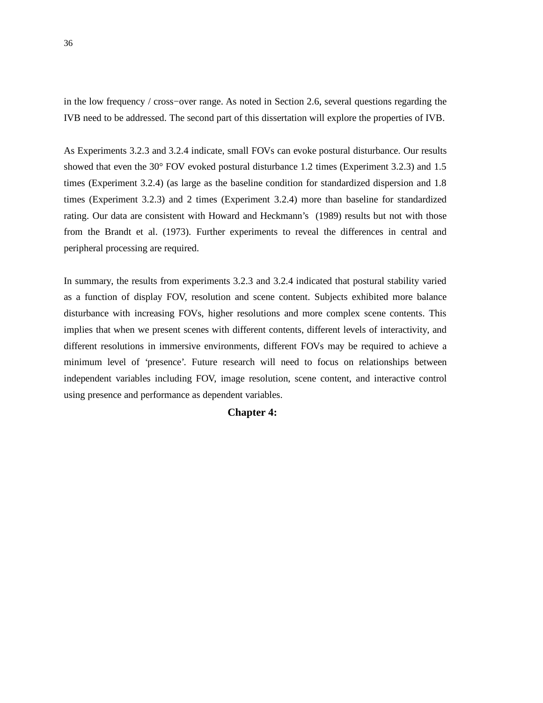in the low frequency / cross−over range. As noted in Section 2.6, several questions regarding the IVB need to be addressed. The second part of this dissertation will explore the properties of IVB.

As Experiments 3.2.3 and 3.2.4 indicate, small FOVs can evoke postural disturbance. Our results showed that even the 30° FOV evoked postural disturbance 1.2 times (Experiment 3.2.3) and 1.5 times (Experiment 3.2.4) (as large as the baseline condition for standardized dispersion and 1.8 times (Experiment 3.2.3) and 2 times (Experiment 3.2.4) more than baseline for standardized rating. Our data are consistent with Howard and Heckmann's (1989) results but not with those from the Brandt et al. (1973). Further experiments to reveal the differences in central and peripheral processing are required.

In summary, the results from experiments 3.2.3 and 3.2.4 indicated that postural stability varied as a function of display FOV, resolution and scene content. Subjects exhibited more balance disturbance with increasing FOVs, higher resolutions and more complex scene contents. This implies that when we present scenes with different contents, different levels of interactivity, and different resolutions in immersive environments, different FOVs may be required to achieve a minimum level of 'presence'. Future research will need to focus on relationships between independent variables including FOV, image resolution, scene content, and interactive control using presence and performance as dependent variables.

# **Chapter 4:**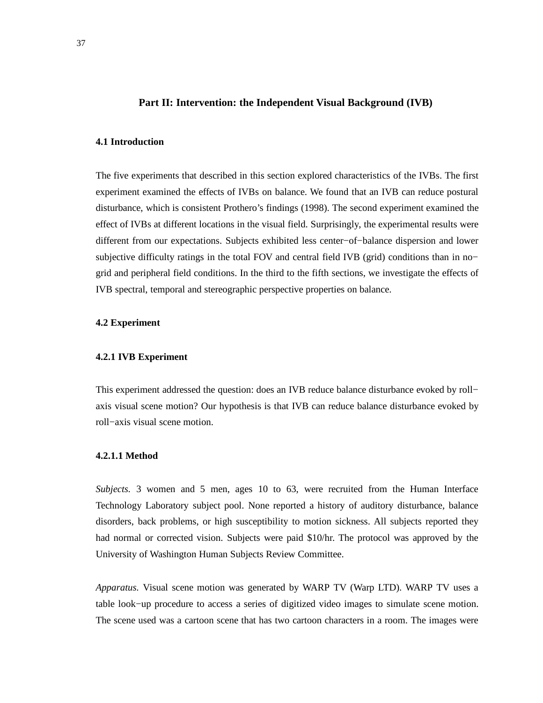## **Part II: Intervention: the Independent Visual Background (IVB)**

# **4.1 Introduction**

The five experiments that described in this section explored characteristics of the IVBs. The first experiment examined the effects of IVBs on balance. We found that an IVB can reduce postural disturbance, which is consistent Prothero's findings (1998). The second experiment examined the effect of IVBs at different locations in the visual field. Surprisingly, the experimental results were different from our expectations. Subjects exhibited less center−of−balance dispersion and lower subjective difficulty ratings in the total FOV and central field IVB (grid) conditions than in no− grid and peripheral field conditions. In the third to the fifth sections, we investigate the effects of IVB spectral, temporal and stereographic perspective properties on balance.

## **4.2 Experiment**

#### **4.2.1 IVB Experiment**

This experiment addressed the question: does an IVB reduce balance disturbance evoked by roll− axis visual scene motion? Our hypothesis is that IVB can reduce balance disturbance evoked by roll−axis visual scene motion.

# **4.2.1.1 Method**

*Subjects.* 3 women and 5 men, ages 10 to 63, were recruited from the Human Interface Technology Laboratory subject pool. None reported a history of auditory disturbance, balance disorders, back problems, or high susceptibility to motion sickness. All subjects reported they had normal or corrected vision. Subjects were paid \$10/hr. The protocol was approved by the University of Washington Human Subjects Review Committee.

*Apparatus.* Visual scene motion was generated by WARP TV (Warp LTD). WARP TV uses a table look−up procedure to access a series of digitized video images to simulate scene motion. The scene used was a cartoon scene that has two cartoon characters in a room. The images were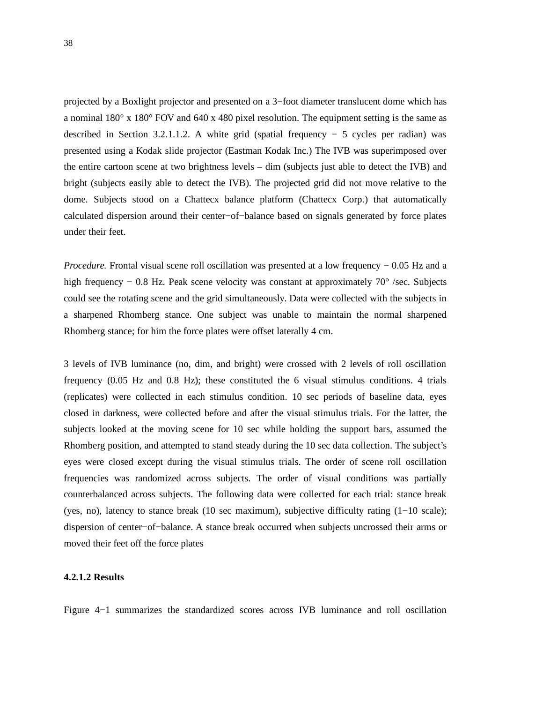projected by a Boxlight projector and presented on a 3−foot diameter translucent dome which has a nominal 180° x 180° FOV and 640 x 480 pixel resolution. The equipment setting is the same as described in Section 3.2.1.1.2. A white grid (spatial frequency − 5 cycles per radian) was presented using a Kodak slide projector (Eastman Kodak Inc.) The IVB was superimposed over the entire cartoon scene at two brightness levels – dim (subjects just able to detect the IVB) and bright (subjects easily able to detect the IVB). The projected grid did not move relative to the dome. Subjects stood on a Chattecx balance platform (Chattecx Corp.) that automatically calculated dispersion around their center−of−balance based on signals generated by force plates under their feet.

*Procedure.* Frontal visual scene roll oscillation was presented at a low frequency − 0.05 Hz and a high frequency − 0.8 Hz. Peak scene velocity was constant at approximately 70° /sec. Subjects could see the rotating scene and the grid simultaneously. Data were collected with the subjects in a sharpened Rhomberg stance. One subject was unable to maintain the normal sharpened Rhomberg stance; for him the force plates were offset laterally 4 cm.

3 levels of IVB luminance (no, dim, and bright) were crossed with 2 levels of roll oscillation frequency (0.05 Hz and 0.8 Hz); these constituted the 6 visual stimulus conditions. 4 trials (replicates) were collected in each stimulus condition. 10 sec periods of baseline data, eyes closed in darkness, were collected before and after the visual stimulus trials. For the latter, the subjects looked at the moving scene for 10 sec while holding the support bars, assumed the Rhomberg position, and attempted to stand steady during the 10 sec data collection. The subject's eyes were closed except during the visual stimulus trials. The order of scene roll oscillation frequencies was randomized across subjects. The order of visual conditions was partially counterbalanced across subjects. The following data were collected for each trial: stance break (yes, no), latency to stance break (10 sec maximum), subjective difficulty rating (1−10 scale); dispersion of center−of−balance. A stance break occurred when subjects uncrossed their arms or moved their feet off the force plates

# **4.2.1.2 Results**

Figure 4−1 summarizes the standardized scores across IVB luminance and roll oscillation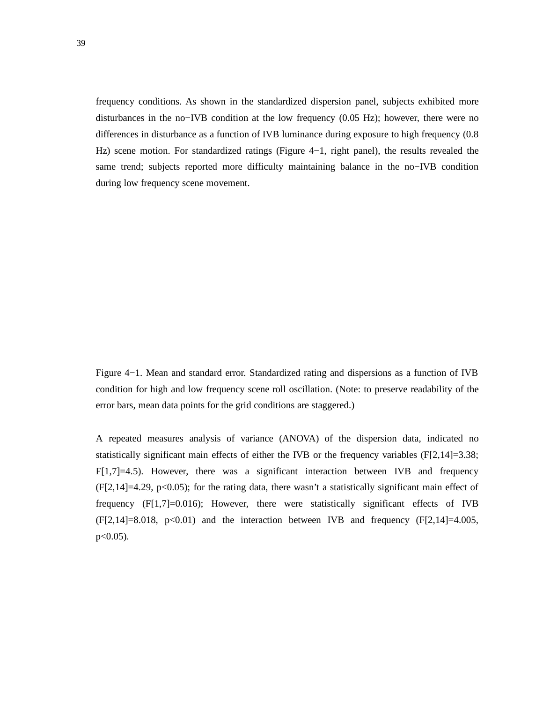frequency conditions. As shown in the standardized dispersion panel, subjects exhibited more disturbances in the no−IVB condition at the low frequency (0.05 Hz); however, there were no differences in disturbance as a function of IVB luminance during exposure to high frequency (0.8 Hz) scene motion. For standardized ratings (Figure 4−1, right panel), the results revealed the same trend; subjects reported more difficulty maintaining balance in the no−IVB condition during low frequency scene movement.

Figure 4−1. Mean and standard error. Standardized rating and dispersions as a function of IVB condition for high and low frequency scene roll oscillation. (Note: to preserve readability of the error bars, mean data points for the grid conditions are staggered.)

A repeated measures analysis of variance (ANOVA) of the dispersion data, indicated no statistically significant main effects of either the IVB or the frequency variables  $(F[2,14]=3.38;$  $F[1,7]=4.5$ ). However, there was a significant interaction between IVB and frequency  $(F[2,14]=4.29, p<0.05)$ ; for the rating data, there wasn't a statistically significant main effect of frequency  $(F[1,7]=0.016)$ ; However, there were statistically significant effects of IVB  $(F[2,14]=8.018, p<0.01)$  and the interaction between IVB and frequency  $(F[2,14]=4.005,$  $p<0.05$ ).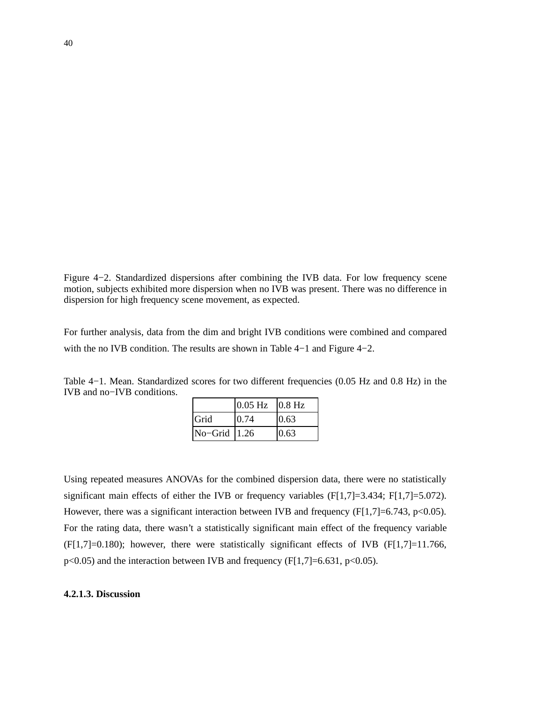Figure 4−2. Standardized dispersions after combining the IVB data. For low frequency scene motion, subjects exhibited more dispersion when no IVB was present. There was no difference in dispersion for high frequency scene movement, as expected.

For further analysis, data from the dim and bright IVB conditions were combined and compared with the no IVB condition. The results are shown in Table 4−1 and Figure 4−2.

| Table $4-1$ . Mean. Standardized scores for two different frequencies $(0.05 \text{ Hz}$ and $0.8 \text{ Hz})$ in the |  |  |  |  |  |
|-----------------------------------------------------------------------------------------------------------------------|--|--|--|--|--|
| IVB and no-IVB conditions.                                                                                            |  |  |  |  |  |

|              | $0.05$ Hz $0.8$ Hz |      |
|--------------|--------------------|------|
| Grid         | 0.74               | 0.63 |
| No-Grid 1.26 |                    | 0.63 |

Using repeated measures ANOVAs for the combined dispersion data, there were no statistically significant main effects of either the IVB or frequency variables (F[1,7]=3.434; F[1,7]=5.072). However, there was a significant interaction between IVB and frequency  $(F[1,7]=6.743, p<0.05)$ . For the rating data, there wasn't a statistically significant main effect of the frequency variable  $(F[1,7]=0.180)$ ; however, there were statistically significant effects of IVB  $(F[1,7]=11.766$ ,  $p<0.05$ ) and the interaction between IVB and frequency (F[1,7]=6.631,  $p<0.05$ ).

# **4.2.1.3. Discussion**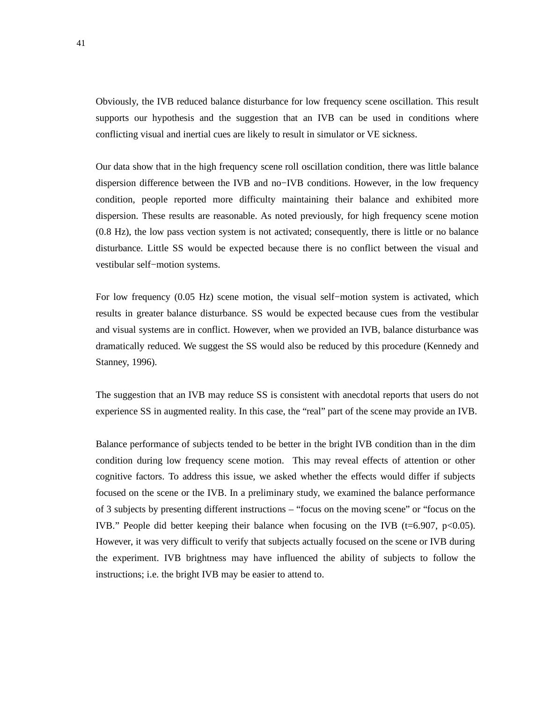Obviously, the IVB reduced balance disturbance for low frequency scene oscillation. This result supports our hypothesis and the suggestion that an IVB can be used in conditions where conflicting visual and inertial cues are likely to result in simulator or VE sickness.

Our data show that in the high frequency scene roll oscillation condition, there was little balance dispersion difference between the IVB and no−IVB conditions. However, in the low frequency condition, people reported more difficulty maintaining their balance and exhibited more dispersion. These results are reasonable. As noted previously, for high frequency scene motion (0.8 Hz), the low pass vection system is not activated; consequently, there is little or no balance disturbance. Little SS would be expected because there is no conflict between the visual and vestibular self−motion systems.

For low frequency (0.05 Hz) scene motion, the visual self−motion system is activated, which results in greater balance disturbance. SS would be expected because cues from the vestibular and visual systems are in conflict. However, when we provided an IVB, balance disturbance was dramatically reduced. We suggest the SS would also be reduced by this procedure (Kennedy and Stanney, 1996).

The suggestion that an IVB may reduce SS is consistent with anecdotal reports that users do not experience SS in augmented reality. In this case, the "real" part of the scene may provide an IVB.

Balance performance of subjects tended to be better in the bright IVB condition than in the dim condition during low frequency scene motion. This may reveal effects of attention or other cognitive factors. To address this issue, we asked whether the effects would differ if subjects focused on the scene or the IVB. In a preliminary study, we examined the balance performance of 3 subjects by presenting different instructions – "focus on the moving scene" or "focus on the IVB." People did better keeping their balance when focusing on the IVB (t=6.907, p<0.05). However, it was very difficult to verify that subjects actually focused on the scene or IVB during the experiment. IVB brightness may have influenced the ability of subjects to follow the instructions; i.e. the bright IVB may be easier to attend to.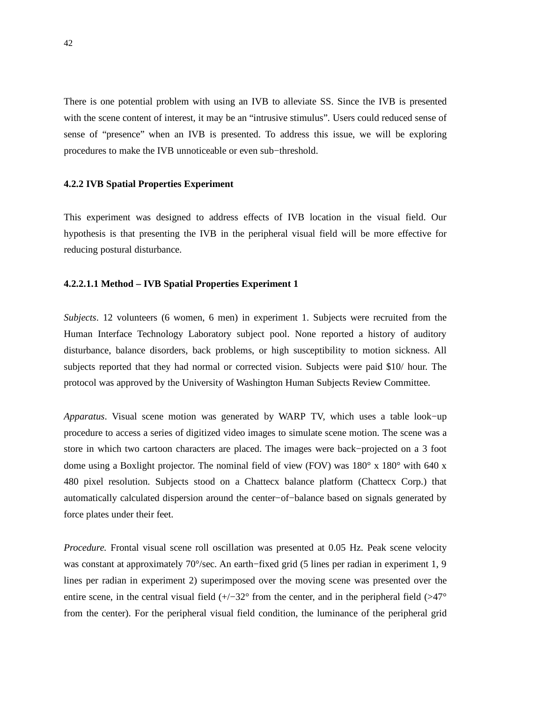There is one potential problem with using an IVB to alleviate SS. Since the IVB is presented with the scene content of interest, it may be an "intrusive stimulus". Users could reduced sense of sense of "presence" when an IVB is presented. To address this issue, we will be exploring procedures to make the IVB unnoticeable or even sub−threshold.

#### **4.2.2 IVB Spatial Properties Experiment**

This experiment was designed to address effects of IVB location in the visual field. Our hypothesis is that presenting the IVB in the peripheral visual field will be more effective for reducing postural disturbance.

### **4.2.2.1.1 Method – IVB Spatial Properties Experiment 1**

*Subjects*. 12 volunteers (6 women, 6 men) in experiment 1. Subjects were recruited from the Human Interface Technology Laboratory subject pool. None reported a history of auditory disturbance, balance disorders, back problems, or high susceptibility to motion sickness. All subjects reported that they had normal or corrected vision. Subjects were paid \$10/ hour. The protocol was approved by the University of Washington Human Subjects Review Committee.

*Apparatus*. Visual scene motion was generated by WARP TV, which uses a table look−up procedure to access a series of digitized video images to simulate scene motion. The scene was a store in which two cartoon characters are placed. The images were back−projected on a 3 foot dome using a Boxlight projector. The nominal field of view (FOV) was  $180^\circ \times 180^\circ$  with 640 x 480 pixel resolution. Subjects stood on a Chattecx balance platform (Chattecx Corp.) that automatically calculated dispersion around the center−of−balance based on signals generated by force plates under their feet.

*Procedure.* Frontal visual scene roll oscillation was presented at 0.05 Hz. Peak scene velocity was constant at approximately 70°/sec. An earth−fixed grid (5 lines per radian in experiment 1, 9 lines per radian in experiment 2) superimposed over the moving scene was presented over the entire scene, in the central visual field  $(+/-32^{\circ}$  from the center, and in the peripheral field (>47° from the center). For the peripheral visual field condition, the luminance of the peripheral grid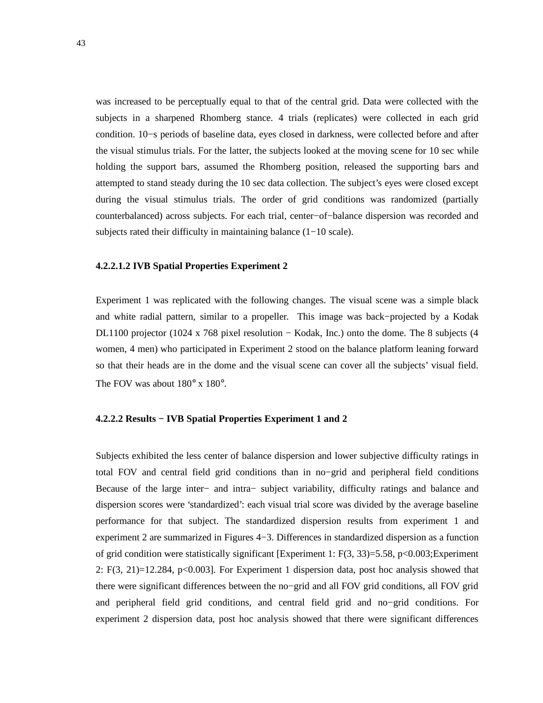was increased to be perceptually equal to that of the central grid. Data were collected with the subjects in a sharpened Rhomberg stance. 4 trials (replicates) were collected in each grid condition. 10−s periods of baseline data, eyes closed in darkness, were collected before and after the visual stimulus trials. For the latter, the subjects looked at the moving scene for 10 sec while holding the support bars, assumed the Rhomberg position, released the supporting bars and attempted to stand steady during the 10 sec data collection. The subject's eyes were closed except during the visual stimulus trials. The order of grid conditions was randomized (partially counterbalanced) across subjects. For each trial, center−of−balance dispersion was recorded and subjects rated their difficulty in maintaining balance (1−10 scale).

## **4.2.2.1.2 IVB Spatial Properties Experiment 2**

Experiment 1 was replicated with the following changes. The visual scene was a simple black and white radial pattern, similar to a propeller. This image was back−projected by a Kodak DL1100 projector (1024 x 768 pixel resolution − Kodak, Inc.) onto the dome. The 8 subjects (4 women, 4 men) who participated in Experiment 2 stood on the balance platform leaning forward so that their heads are in the dome and the visual scene can cover all the subjects' visual field. The FOV was about  $180^\circ$  x  $180^\circ$ .

#### **4.2.2.2 Results − IVB Spatial Properties Experiment 1 and 2**

Subjects exhibited the less center of balance dispersion and lower subjective difficulty ratings in total FOV and central field grid conditions than in no−grid and peripheral field conditions Because of the large inter− and intra− subject variability, difficulty ratings and balance and dispersion scores were 'standardized': each visual trial score was divided by the average baseline performance for that subject. The standardized dispersion results from experiment 1 and experiment 2 are summarized in Figures 4−3. Differences in standardized dispersion as a function of grid condition were statistically significant [Experiment 1:  $F(3, 33)=5.58$ , p<0.003;Experiment 2:  $F(3, 21)=12.284$ ,  $p<0.003$ . For Experiment 1 dispersion data, post hoc analysis showed that there were significant differences between the no−grid and all FOV grid conditions, all FOV grid and peripheral field grid conditions, and central field grid and no−grid conditions. For experiment 2 dispersion data, post hoc analysis showed that there were significant differences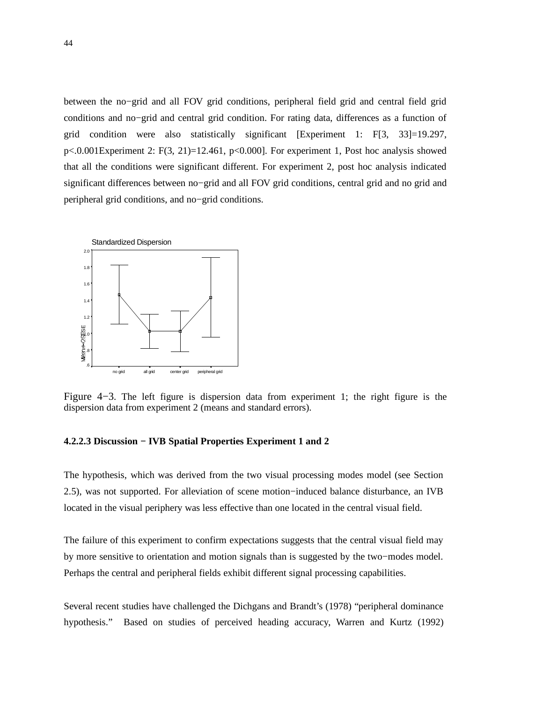between the no−grid and all FOV grid conditions, peripheral field grid and central field grid conditions and no−grid and central grid condition. For rating data, differences as a function of grid condition were also statistically significant [Experiment 1:  $F[3, 33] = 19.297$ ,  $p<0.001$ Experiment 2: F(3, 21)=12.461,  $p<0.000$ ]. For experiment 1, Post hoc analysis showed that all the conditions were significant different. For experiment 2, post hoc analysis indicated significant differences between no−grid and all FOV grid conditions, central grid and no grid and peripheral grid conditions, and no−grid conditions.



Figure 4−3. The left figure is dispersion data from experiment 1; the right figure is the dispersion data from experiment 2 (means and standard errors).

# **4.2.2.3 Discussion − IVB Spatial Properties Experiment 1 and 2**

The hypothesis, which was derived from the two visual processing modes model (see Section 2.5), was not supported. For alleviation of scene motion−induced balance disturbance, an IVB located in the visual periphery was less effective than one located in the central visual field.

The failure of this experiment to confirm expectations suggests that the central visual field may by more sensitive to orientation and motion signals than is suggested by the two−modes model. Perhaps the central and peripheral fields exhibit different signal processing capabilities.

Several recent studies have challenged the Dichgans and Brandt's (1978) "peripheral dominance hypothesis." Based on studies of perceived heading accuracy, Warren and Kurtz (1992)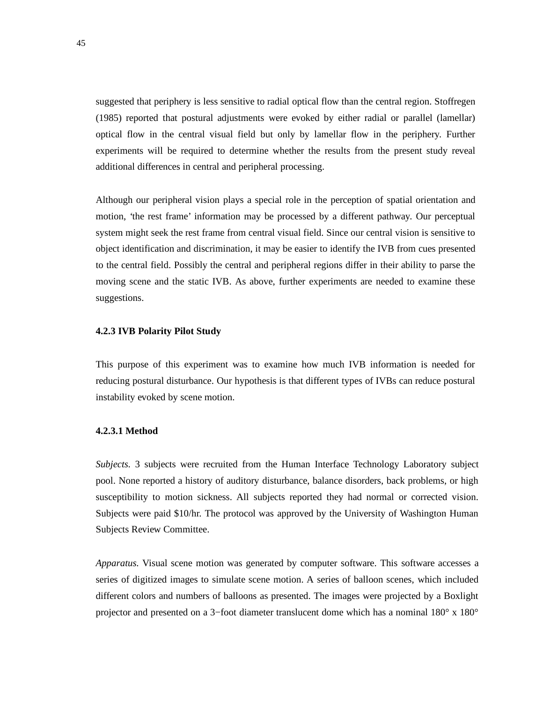suggested that periphery is less sensitive to radial optical flow than the central region. Stoffregen (1985) reported that postural adjustments were evoked by either radial or parallel (lamellar) optical flow in the central visual field but only by lamellar flow in the periphery. Further experiments will be required to determine whether the results from the present study reveal additional differences in central and peripheral processing.

Although our peripheral vision plays a special role in the perception of spatial orientation and motion, 'the rest frame' information may be processed by a different pathway. Our perceptual system might seek the rest frame from central visual field. Since our central vision is sensitive to object identification and discrimination, it may be easier to identify the IVB from cues presented to the central field. Possibly the central and peripheral regions differ in their ability to parse the moving scene and the static IVB. As above, further experiments are needed to examine these suggestions.

#### **4.2.3 IVB Polarity Pilot Study**

This purpose of this experiment was to examine how much IVB information is needed for reducing postural disturbance. Our hypothesis is that different types of IVBs can reduce postural instability evoked by scene motion.

#### **4.2.3.1 Method**

*Subjects.* 3 subjects were recruited from the Human Interface Technology Laboratory subject pool. None reported a history of auditory disturbance, balance disorders, back problems, or high susceptibility to motion sickness. All subjects reported they had normal or corrected vision. Subjects were paid \$10/hr. The protocol was approved by the University of Washington Human Subjects Review Committee.

*Apparatus.* Visual scene motion was generated by computer software. This software accesses a series of digitized images to simulate scene motion. A series of balloon scenes, which included different colors and numbers of balloons as presented. The images were projected by a Boxlight projector and presented on a 3−foot diameter translucent dome which has a nominal 180° x 180°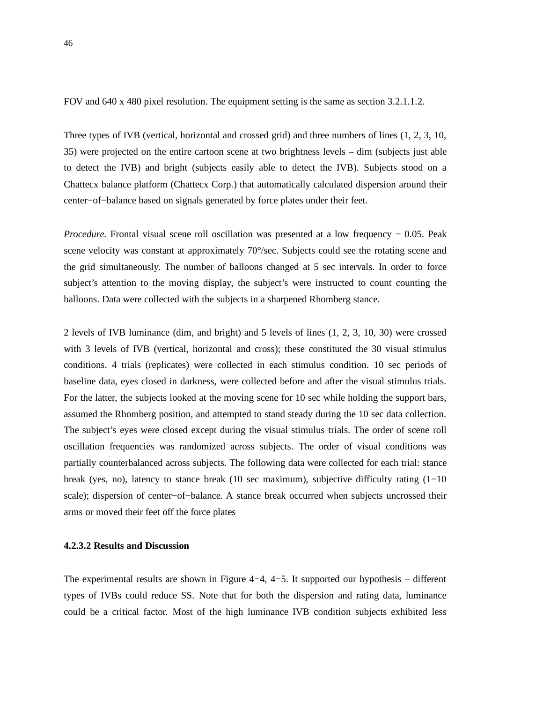FOV and 640 x 480 pixel resolution. The equipment setting is the same as section 3.2.1.1.2.

Three types of IVB (vertical, horizontal and crossed grid) and three numbers of lines (1, 2, 3, 10, 35) were projected on the entire cartoon scene at two brightness levels – dim (subjects just able to detect the IVB) and bright (subjects easily able to detect the IVB). Subjects stood on a Chattecx balance platform (Chattecx Corp.) that automatically calculated dispersion around their center−of−balance based on signals generated by force plates under their feet.

*Procedure.* Frontal visual scene roll oscillation was presented at a low frequency − 0.05. Peak scene velocity was constant at approximately 70°/sec. Subjects could see the rotating scene and the grid simultaneously. The number of balloons changed at 5 sec intervals. In order to force subject's attention to the moving display, the subject's were instructed to count counting the balloons. Data were collected with the subjects in a sharpened Rhomberg stance.

2 levels of IVB luminance (dim, and bright) and 5 levels of lines (1, 2, 3, 10, 30) were crossed with 3 levels of IVB (vertical, horizontal and cross); these constituted the 30 visual stimulus conditions. 4 trials (replicates) were collected in each stimulus condition. 10 sec periods of baseline data, eyes closed in darkness, were collected before and after the visual stimulus trials. For the latter, the subjects looked at the moving scene for 10 sec while holding the support bars, assumed the Rhomberg position, and attempted to stand steady during the 10 sec data collection. The subject's eyes were closed except during the visual stimulus trials. The order of scene roll oscillation frequencies was randomized across subjects. The order of visual conditions was partially counterbalanced across subjects. The following data were collected for each trial: stance break (yes, no), latency to stance break (10 sec maximum), subjective difficulty rating (1−10 scale); dispersion of center-of-balance. A stance break occurred when subjects uncrossed their arms or moved their feet off the force plates

#### **4.2.3.2 Results and Discussion**

The experimental results are shown in Figure 4−4, 4−5. It supported our hypothesis – different types of IVBs could reduce SS. Note that for both the dispersion and rating data, luminance could be a critical factor. Most of the high luminance IVB condition subjects exhibited less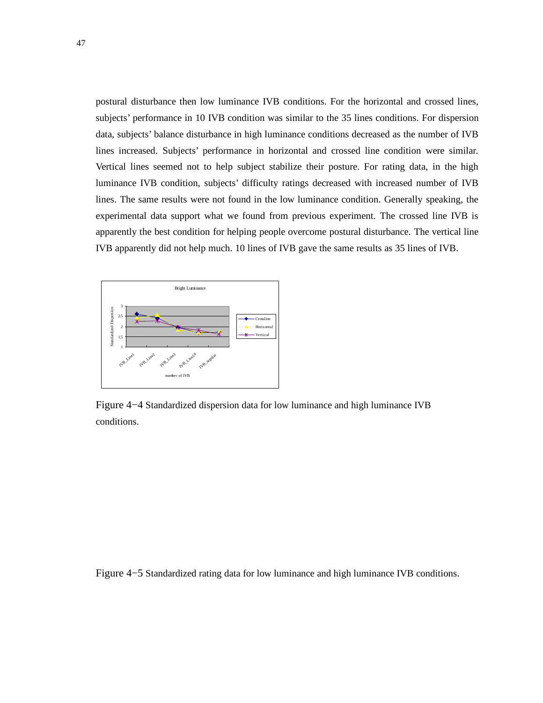postural disturbance then low luminance IVB conditions. For the horizontal and crossed lines, subjects' performance in 10 IVB condition was similar to the 35 lines conditions. For dispersion data, subjects' balance disturbance in high luminance conditions decreased as the number of IVB lines increased. Subjects' performance in horizontal and crossed line condition were similar. Vertical lines seemed not to help subject stabilize their posture. For rating data, in the high luminance IVB condition, subjects' difficulty ratings decreased with increased number of IVB lines. The same results were not found in the low luminance condition. Generally speaking, the experimental data support what we found from previous experiment. The crossed line IVB is apparently the best condition for helping people overcome postural disturbance. The vertical line IVB apparently did not help much. 10 lines of IVB gave the same results as 35 lines of IVB.



Figure 4−4 Standardized dispersion data for low luminance and high luminance IVB conditions.

Figure 4−5 Standardized rating data for low luminance and high luminance IVB conditions.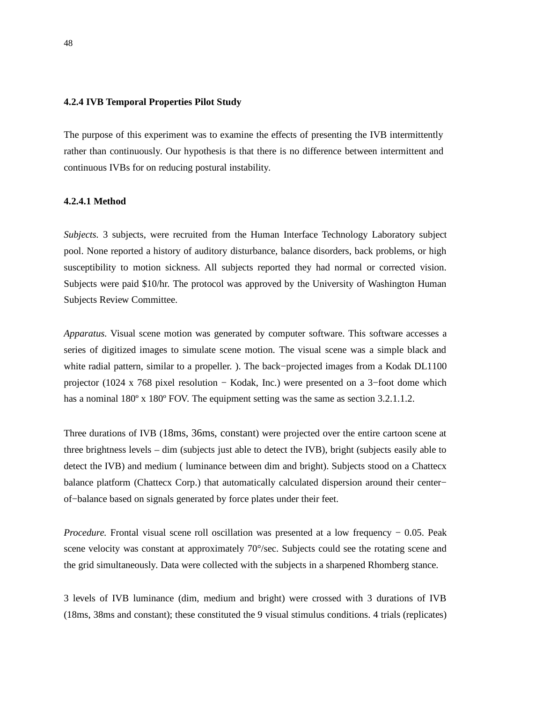## **4.2.4 IVB Temporal Properties Pilot Study**

The purpose of this experiment was to examine the effects of presenting the IVB intermittently rather than continuously. Our hypothesis is that there is no difference between intermittent and continuous IVBs for on reducing postural instability.

#### **4.2.4.1 Method**

*Subjects.* 3 subjects, were recruited from the Human Interface Technology Laboratory subject pool. None reported a history of auditory disturbance, balance disorders, back problems, or high susceptibility to motion sickness. All subjects reported they had normal or corrected vision. Subjects were paid \$10/hr. The protocol was approved by the University of Washington Human Subjects Review Committee.

*Apparatus.* Visual scene motion was generated by computer software. This software accesses a series of digitized images to simulate scene motion. The visual scene was a simple black and white radial pattern, similar to a propeller. ). The back−projected images from a Kodak DL1100 projector (1024 x 768 pixel resolution − Kodak, Inc.) were presented on a 3−foot dome which has a nominal  $180^\circ$  x  $180^\circ$  FOV. The equipment setting was the same as section 3.2.1.1.2.

Three durations of IVB (18ms, 36ms, constant) were projected over the entire cartoon scene at three brightness levels – dim (subjects just able to detect the IVB), bright (subjects easily able to detect the IVB) and medium ( luminance between dim and bright). Subjects stood on a Chattecx balance platform (Chattecx Corp.) that automatically calculated dispersion around their center− of−balance based on signals generated by force plates under their feet.

*Procedure.* Frontal visual scene roll oscillation was presented at a low frequency − 0.05. Peak scene velocity was constant at approximately 70°/sec. Subjects could see the rotating scene and the grid simultaneously. Data were collected with the subjects in a sharpened Rhomberg stance.

3 levels of IVB luminance (dim, medium and bright) were crossed with 3 durations of IVB (18ms, 38ms and constant); these constituted the 9 visual stimulus conditions. 4 trials (replicates)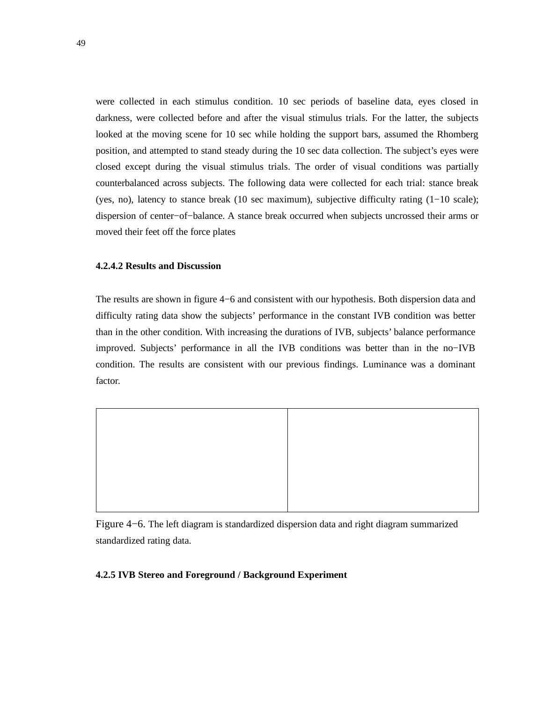were collected in each stimulus condition. 10 sec periods of baseline data, eyes closed in darkness, were collected before and after the visual stimulus trials. For the latter, the subjects looked at the moving scene for 10 sec while holding the support bars, assumed the Rhomberg position, and attempted to stand steady during the 10 sec data collection. The subject's eyes were closed except during the visual stimulus trials. The order of visual conditions was partially counterbalanced across subjects. The following data were collected for each trial: stance break (yes, no), latency to stance break (10 sec maximum), subjective difficulty rating (1−10 scale); dispersion of center−of−balance. A stance break occurred when subjects uncrossed their arms or moved their feet off the force plates

## **4.2.4.2 Results and Discussion**

The results are shown in figure 4−6 and consistent with our hypothesis. Both dispersion data and difficulty rating data show the subjects' performance in the constant IVB condition was better than in the other condition. With increasing the durations of IVB, subjects' balance performance improved. Subjects' performance in all the IVB conditions was better than in the no−IVB condition. The results are consistent with our previous findings. Luminance was a dominant factor.



Figure 4−6. The left diagram is standardized dispersion data and right diagram summarized standardized rating data.

#### **4.2.5 IVB Stereo and Foreground / Background Experiment**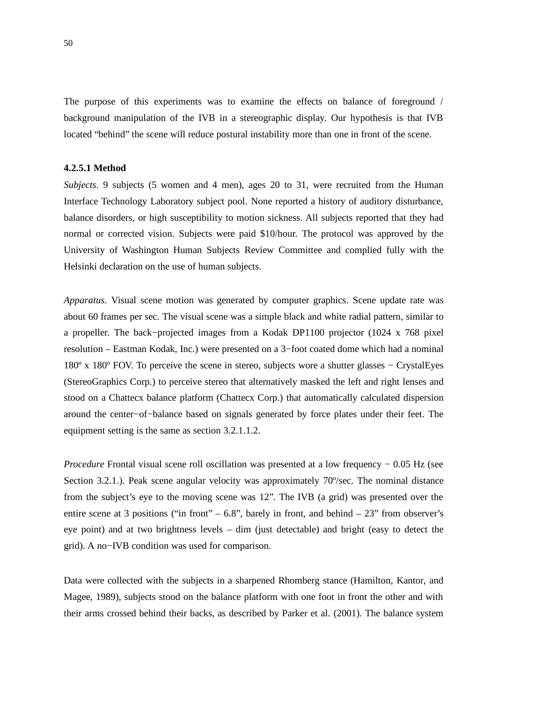The purpose of this experiments was to examine the effects on balance of foreground / background manipulation of the IVB in a stereographic display. Our hypothesis is that IVB located "behind" the scene will reduce postural instability more than one in front of the scene.

#### **4.2.5.1 Method**

*Subjects*. 9 subjects (5 women and 4 men), ages 20 to 31, were recruited from the Human Interface Technology Laboratory subject pool. None reported a history of auditory disturbance, balance disorders, or high susceptibility to motion sickness. All subjects reported that they had normal or corrected vision. Subjects were paid \$10/hour. The protocol was approved by the University of Washington Human Subjects Review Committee and complied fully with the Helsinki declaration on the use of human subjects.

*Apparatus.* Visual scene motion was generated by computer graphics. Scene update rate was about 60 frames per sec. The visual scene was a simple black and white radial pattern, similar to a propeller. The back−projected images from a Kodak DP1100 projector (1024 x 768 pixel resolution – Eastman Kodak, Inc.) were presented on a 3−foot coated dome which had a nominal 180º x 180º FOV. To perceive the scene in stereo, subjects wore a shutter glasses − CrystalEyes (StereoGraphics Corp.) to perceive stereo that alternatively masked the left and right lenses and stood on a Chattecx balance platform (Chattecx Corp.) that automatically calculated dispersion around the center−of−balance based on signals generated by force plates under their feet. The equipment setting is the same as section 3.2.1.1.2.

*Procedure* Frontal visual scene roll oscillation was presented at a low frequency − 0.05 Hz (see Section 3.2.1.). Peak scene angular velocity was approximately 70°/sec. The nominal distance from the subject's eye to the moving scene was 12". The IVB (a grid) was presented over the entire scene at 3 positions ("in front" – 6.8", barely in front, and behind –  $23$ " from observer's eye point) and at two brightness levels – dim (just detectable) and bright (easy to detect the grid). A no−IVB condition was used for comparison.

Data were collected with the subjects in a sharpened Rhomberg stance (Hamilton, Kantor, and Magee, 1989), subjects stood on the balance platform with one foot in front the other and with their arms crossed behind their backs, as described by Parker et al. (2001). The balance system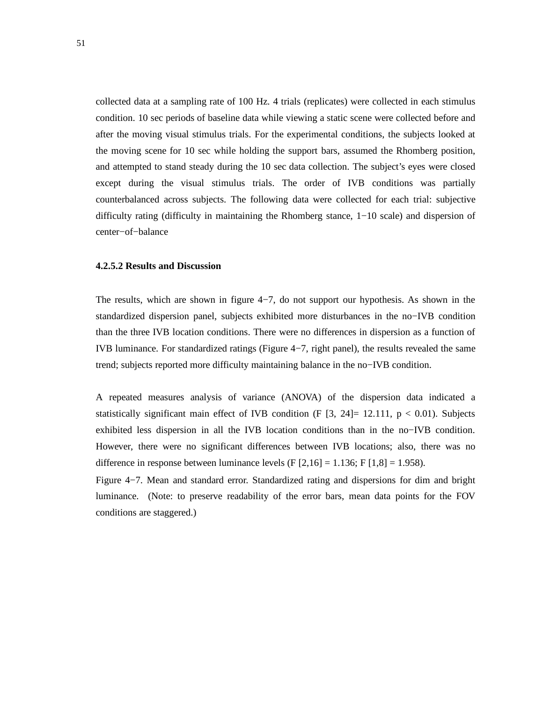collected data at a sampling rate of 100 Hz. 4 trials (replicates) were collected in each stimulus condition. 10 sec periods of baseline data while viewing a static scene were collected before and after the moving visual stimulus trials. For the experimental conditions, the subjects looked at the moving scene for 10 sec while holding the support bars, assumed the Rhomberg position, and attempted to stand steady during the 10 sec data collection. The subject's eyes were closed except during the visual stimulus trials. The order of IVB conditions was partially counterbalanced across subjects. The following data were collected for each trial: subjective difficulty rating (difficulty in maintaining the Rhomberg stance, 1−10 scale) and dispersion of center−of−balance

## **4.2.5.2 Results and Discussion**

The results, which are shown in figure 4−7, do not support our hypothesis. As shown in the standardized dispersion panel, subjects exhibited more disturbances in the no−IVB condition than the three IVB location conditions. There were no differences in dispersion as a function of IVB luminance. For standardized ratings (Figure 4−7, right panel), the results revealed the same trend; subjects reported more difficulty maintaining balance in the no−IVB condition.

A repeated measures analysis of variance (ANOVA) of the dispersion data indicated a statistically significant main effect of IVB condition (F  $[3, 24] = 12.111$ ,  $p < 0.01$ ). Subjects exhibited less dispersion in all the IVB location conditions than in the no−IVB condition. However, there were no significant differences between IVB locations; also, there was no difference in response between luminance levels  $(F [2, 16] = 1.136; F [1, 8] = 1.958)$ .

Figure 4−7. Mean and standard error. Standardized rating and dispersions for dim and bright luminance. (Note: to preserve readability of the error bars, mean data points for the FOV conditions are staggered.)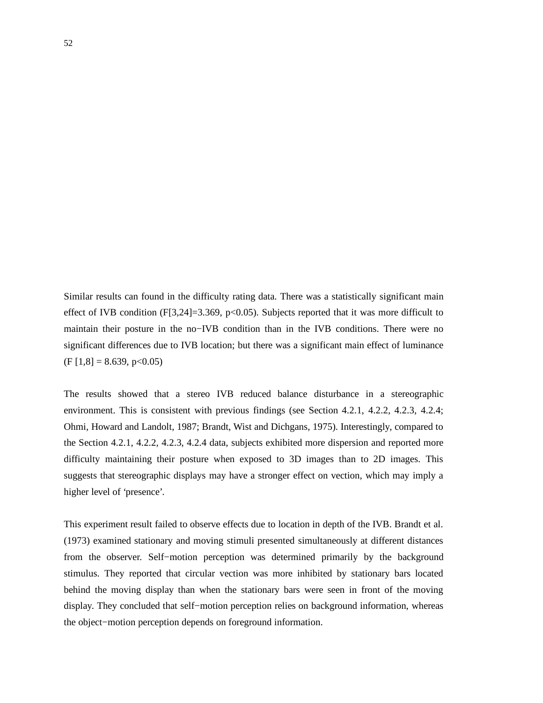Similar results can found in the difficulty rating data. There was a statistically significant main effect of IVB condition (F[3,24]=3.369, p<0.05). Subjects reported that it was more difficult to maintain their posture in the no−IVB condition than in the IVB conditions. There were no significant differences due to IVB location; but there was a significant main effect of luminance  $(F [1, 8] = 8.639, p < 0.05)$ 

The results showed that a stereo IVB reduced balance disturbance in a stereographic environment. This is consistent with previous findings (see Section 4.2.1, 4.2.2, 4.2.3, 4.2.4; Ohmi, Howard and Landolt, 1987; Brandt, Wist and Dichgans, 1975). Interestingly, compared to the Section 4.2.1, 4.2.2, 4.2.3, 4.2.4 data, subjects exhibited more dispersion and reported more difficulty maintaining their posture when exposed to 3D images than to 2D images. This suggests that stereographic displays may have a stronger effect on vection, which may imply a higher level of 'presence'.

This experiment result failed to observe effects due to location in depth of the IVB. Brandt et al. (1973) examined stationary and moving stimuli presented simultaneously at different distances from the observer. Self−motion perception was determined primarily by the background stimulus. They reported that circular vection was more inhibited by stationary bars located behind the moving display than when the stationary bars were seen in front of the moving display. They concluded that self−motion perception relies on background information, whereas the object−motion perception depends on foreground information.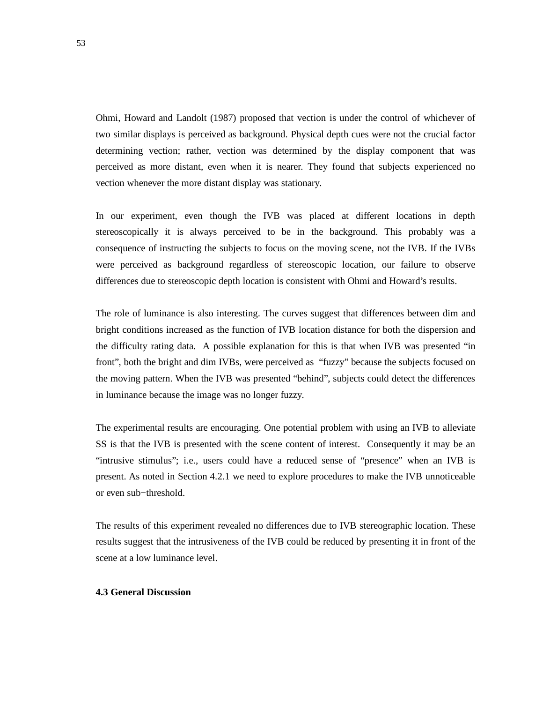Ohmi, Howard and Landolt (1987) proposed that vection is under the control of whichever of two similar displays is perceived as background. Physical depth cues were not the crucial factor determining vection; rather, vection was determined by the display component that was perceived as more distant, even when it is nearer. They found that subjects experienced no vection whenever the more distant display was stationary.

In our experiment, even though the IVB was placed at different locations in depth stereoscopically it is always perceived to be in the background. This probably was a consequence of instructing the subjects to focus on the moving scene, not the IVB. If the IVBs were perceived as background regardless of stereoscopic location, our failure to observe differences due to stereoscopic depth location is consistent with Ohmi and Howard's results.

The role of luminance is also interesting. The curves suggest that differences between dim and bright conditions increased as the function of IVB location distance for both the dispersion and the difficulty rating data. A possible explanation for this is that when IVB was presented "in front", both the bright and dim IVBs, were perceived as "fuzzy" because the subjects focused on the moving pattern. When the IVB was presented "behind", subjects could detect the differences in luminance because the image was no longer fuzzy.

The experimental results are encouraging. One potential problem with using an IVB to alleviate SS is that the IVB is presented with the scene content of interest. Consequently it may be an "intrusive stimulus"; i.e., users could have a reduced sense of "presence" when an IVB is present. As noted in Section 4.2.1 we need to explore procedures to make the IVB unnoticeable or even sub−threshold.

The results of this experiment revealed no differences due to IVB stereographic location. These results suggest that the intrusiveness of the IVB could be reduced by presenting it in front of the scene at a low luminance level.

## **4.3 General Discussion**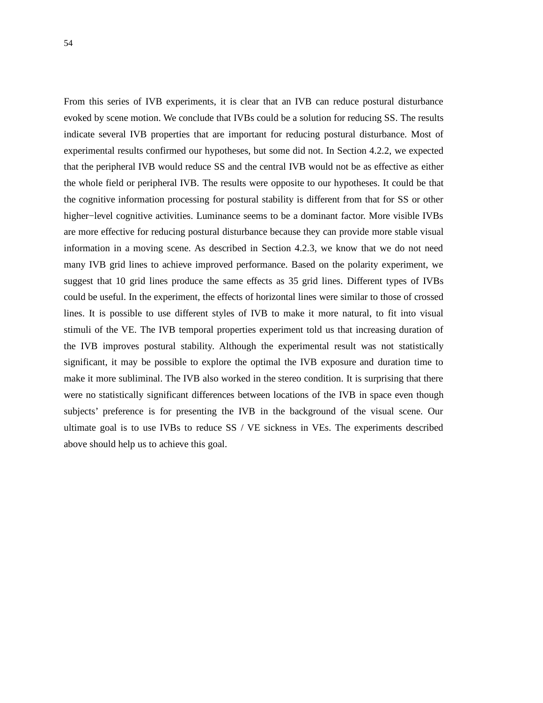From this series of IVB experiments, it is clear that an IVB can reduce postural disturbance evoked by scene motion. We conclude that IVBs could be a solution for reducing SS. The results indicate several IVB properties that are important for reducing postural disturbance. Most of experimental results confirmed our hypotheses, but some did not. In Section 4.2.2, we expected that the peripheral IVB would reduce SS and the central IVB would not be as effective as either the whole field or peripheral IVB. The results were opposite to our hypotheses. It could be that the cognitive information processing for postural stability is different from that for SS or other higher−level cognitive activities. Luminance seems to be a dominant factor. More visible IVBs are more effective for reducing postural disturbance because they can provide more stable visual information in a moving scene. As described in Section 4.2.3, we know that we do not need many IVB grid lines to achieve improved performance. Based on the polarity experiment, we suggest that 10 grid lines produce the same effects as 35 grid lines. Different types of IVBs could be useful. In the experiment, the effects of horizontal lines were similar to those of crossed lines. It is possible to use different styles of IVB to make it more natural, to fit into visual stimuli of the VE. The IVB temporal properties experiment told us that increasing duration of the IVB improves postural stability. Although the experimental result was not statistically significant, it may be possible to explore the optimal the IVB exposure and duration time to make it more subliminal. The IVB also worked in the stereo condition. It is surprising that there were no statistically significant differences between locations of the IVB in space even though subjects' preference is for presenting the IVB in the background of the visual scene. Our ultimate goal is to use IVBs to reduce SS / VE sickness in VEs. The experiments described above should help us to achieve this goal.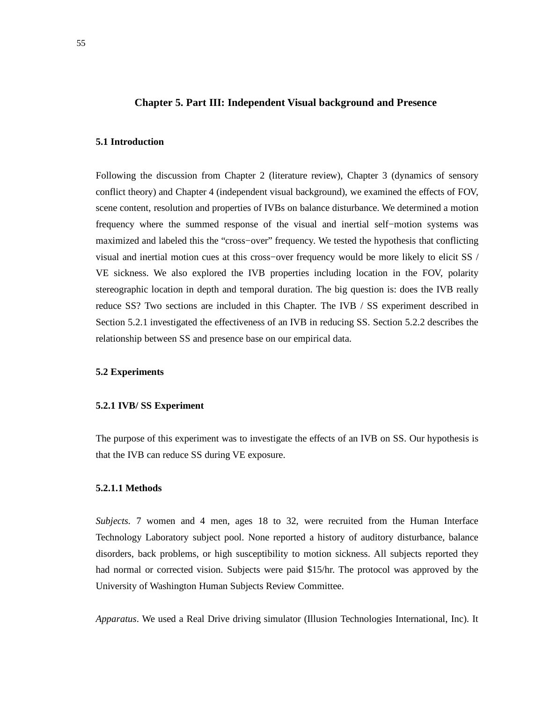## **Chapter 5. Part III: Independent Visual background and Presence**

# **5.1 Introduction**

Following the discussion from Chapter 2 (literature review), Chapter 3 (dynamics of sensory conflict theory) and Chapter 4 (independent visual background), we examined the effects of FOV, scene content, resolution and properties of IVBs on balance disturbance. We determined a motion frequency where the summed response of the visual and inertial self−motion systems was maximized and labeled this the "cross−over" frequency. We tested the hypothesis that conflicting visual and inertial motion cues at this cross−over frequency would be more likely to elicit SS / VE sickness. We also explored the IVB properties including location in the FOV, polarity stereographic location in depth and temporal duration. The big question is: does the IVB really reduce SS? Two sections are included in this Chapter. The IVB / SS experiment described in Section 5.2.1 investigated the effectiveness of an IVB in reducing SS. Section 5.2.2 describes the relationship between SS and presence base on our empirical data.

#### **5.2 Experiments**

#### **5.2.1 IVB/ SS Experiment**

The purpose of this experiment was to investigate the effects of an IVB on SS. Our hypothesis is that the IVB can reduce SS during VE exposure.

### **5.2.1.1 Methods**

*Subjects.* 7 women and 4 men, ages 18 to 32, were recruited from the Human Interface Technology Laboratory subject pool. None reported a history of auditory disturbance, balance disorders, back problems, or high susceptibility to motion sickness. All subjects reported they had normal or corrected vision. Subjects were paid \$15/hr. The protocol was approved by the University of Washington Human Subjects Review Committee.

*Apparatus*. We used a Real Drive driving simulator (Illusion Technologies International, Inc). It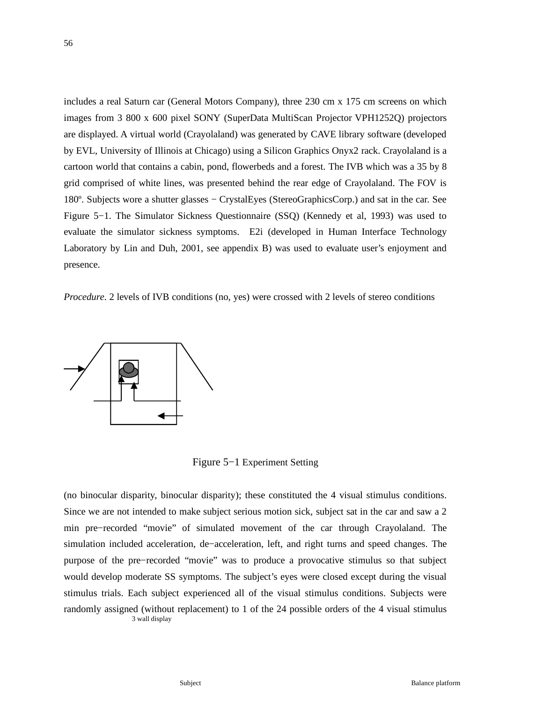includes a real Saturn car (General Motors Company), three 230 cm x 175 cm screens on which images from 3 800 x 600 pixel SONY (SuperData MultiScan Projector VPH1252Q) projectors are displayed. A virtual world (Crayolaland) was generated by CAVE library software (developed by EVL, University of Illinois at Chicago) using a Silicon Graphics Onyx2 rack. Crayolaland is a cartoon world that contains a cabin, pond, flowerbeds and a forest. The IVB which was a 35 by 8 grid comprised of white lines, was presented behind the rear edge of Crayolaland. The FOV is 180º. Subjects wore a shutter glasses − CrystalEyes (StereoGraphicsCorp.) and sat in the car. See Figure 5−1. The Simulator Sickness Questionnaire (SSQ) (Kennedy et al, 1993) was used to evaluate the simulator sickness symptoms. E2i (developed in Human Interface Technology Laboratory by Lin and Duh, 2001, see appendix B) was used to evaluate user's enjoyment and presence.

*Procedure*. 2 levels of IVB conditions (no, yes) were crossed with 2 levels of stereo conditions



Figure 5−1 Experiment Setting

(no binocular disparity, binocular disparity); these constituted the 4 visual stimulus conditions. Since we are not intended to make subject serious motion sick, subject sat in the car and saw a 2 min pre−recorded "movie" of simulated movement of the car through Crayolaland. The simulation included acceleration, de−acceleration, left, and right turns and speed changes. The purpose of the pre−recorded "movie" was to produce a provocative stimulus so that subject would develop moderate SS symptoms. The subject's eyes were closed except during the visual stimulus trials. Each subject experienced all of the visual stimulus conditions. Subjects were randomly assigned (without replacement) to 1 of the 24 possible orders of the 4 visual stimulus 3 wall display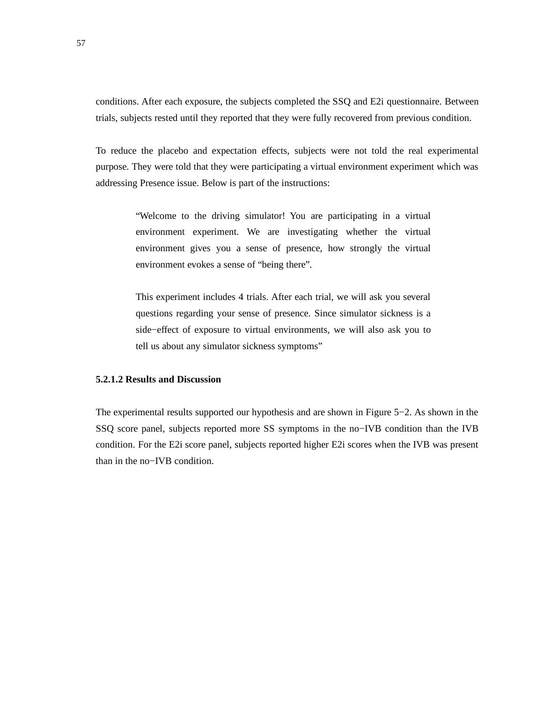conditions. After each exposure, the subjects completed the SSQ and E2i questionnaire. Between trials, subjects rested until they reported that they were fully recovered from previous condition.

To reduce the placebo and expectation effects, subjects were not told the real experimental purpose. They were told that they were participating a virtual environment experiment which was addressing Presence issue. Below is part of the instructions:

> "Welcome to the driving simulator! You are participating in a virtual environment experiment. We are investigating whether the virtual environment gives you a sense of presence, how strongly the virtual environment evokes a sense of "being there".

> This experiment includes 4 trials. After each trial, we will ask you several questions regarding your sense of presence. Since simulator sickness is a side−effect of exposure to virtual environments, we will also ask you to tell us about any simulator sickness symptoms"

## **5.2.1.2 Results and Discussion**

The experimental results supported our hypothesis and are shown in Figure 5−2. As shown in the SSQ score panel, subjects reported more SS symptoms in the no−IVB condition than the IVB condition. For the E2i score panel, subjects reported higher E2i scores when the IVB was present than in the no−IVB condition.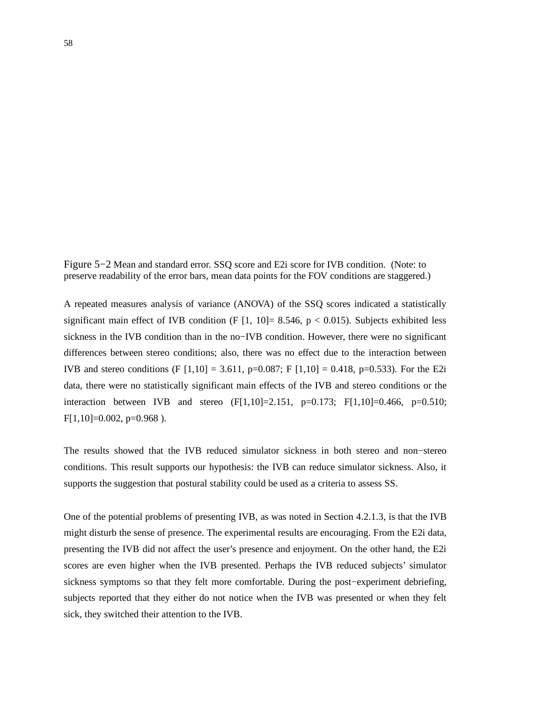Figure 5−2 Mean and standard error. SSQ score and E2i score for IVB condition. (Note: to preserve readability of the error bars, mean data points for the FOV conditions are staggered.)

A repeated measures analysis of variance (ANOVA) of the SSQ scores indicated a statistically significant main effect of IVB condition (F  $[1, 10] = 8.546$ , p < 0.015). Subjects exhibited less sickness in the IVB condition than in the no−IVB condition. However, there were no significant differences between stereo conditions; also, there was no effect due to the interaction between IVB and stereo conditions (F  $[1,10] = 3.611$ , p=0.087; F  $[1,10] = 0.418$ , p=0.533). For the E2i data, there were no statistically significant main effects of the IVB and stereo conditions or the interaction between IVB and stereo  $(F[1,10]=2.151, p=0.173; F[1,10]=0.466, p=0.510;$  $F[1,10] = 0.002$ , p=0.968).

The results showed that the IVB reduced simulator sickness in both stereo and non−stereo conditions. This result supports our hypothesis: the IVB can reduce simulator sickness. Also, it supports the suggestion that postural stability could be used as a criteria to assess SS.

One of the potential problems of presenting IVB, as was noted in Section 4.2.1.3, is that the IVB might disturb the sense of presence. The experimental results are encouraging. From the E2i data, presenting the IVB did not affect the user's presence and enjoyment. On the other hand, the E2i scores are even higher when the IVB presented. Perhaps the IVB reduced subjects' simulator sickness symptoms so that they felt more comfortable. During the post−experiment debriefing, subjects reported that they either do not notice when the IVB was presented or when they felt sick, they switched their attention to the IVB.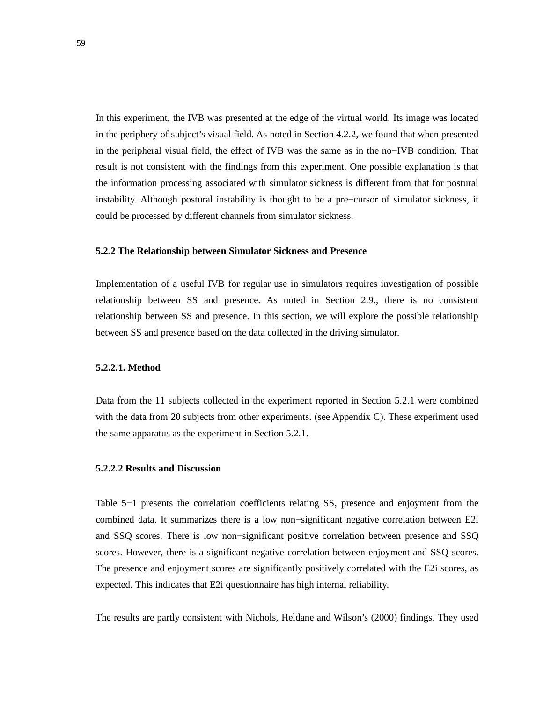In this experiment, the IVB was presented at the edge of the virtual world. Its image was located in the periphery of subject's visual field. As noted in Section 4.2.2, we found that when presented in the peripheral visual field, the effect of IVB was the same as in the no−IVB condition. That result is not consistent with the findings from this experiment. One possible explanation is that the information processing associated with simulator sickness is different from that for postural instability. Although postural instability is thought to be a pre−cursor of simulator sickness, it could be processed by different channels from simulator sickness.

### **5.2.2 The Relationship between Simulator Sickness and Presence**

Implementation of a useful IVB for regular use in simulators requires investigation of possible relationship between SS and presence. As noted in Section 2.9., there is no consistent relationship between SS and presence. In this section, we will explore the possible relationship between SS and presence based on the data collected in the driving simulator.

## **5.2.2.1. Method**

Data from the 11 subjects collected in the experiment reported in Section 5.2.1 were combined with the data from 20 subjects from other experiments. (see Appendix C). These experiment used the same apparatus as the experiment in Section 5.2.1.

### **5.2.2.2 Results and Discussion**

Table 5−1 presents the correlation coefficients relating SS, presence and enjoyment from the combined data. It summarizes there is a low non−significant negative correlation between E2i and SSQ scores. There is low non−significant positive correlation between presence and SSQ scores. However, there is a significant negative correlation between enjoyment and SSQ scores. The presence and enjoyment scores are significantly positively correlated with the E2i scores, as expected. This indicates that E2i questionnaire has high internal reliability.

The results are partly consistent with Nichols, Heldane and Wilson's (2000) findings. They used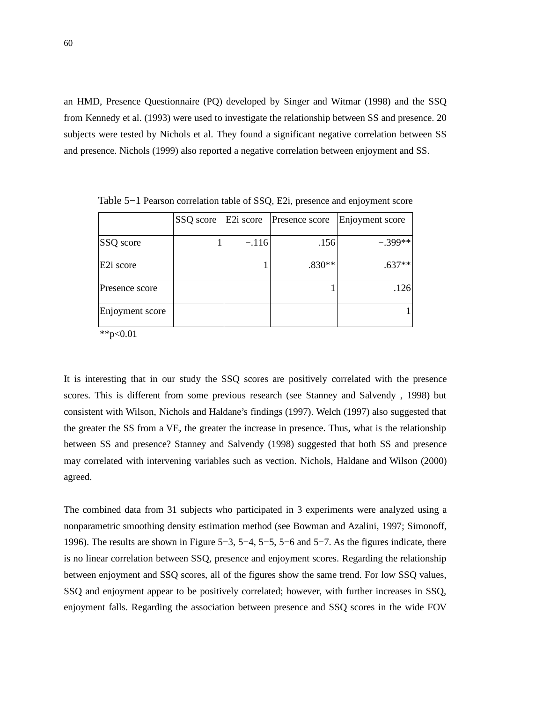an HMD, Presence Questionnaire (PQ) developed by Singer and Witmar (1998) and the SSQ from Kennedy et al. (1993) were used to investigate the relationship between SS and presence. 20 subjects were tested by Nichols et al. They found a significant negative correlation between SS and presence. Nichols (1999) also reported a negative correlation between enjoyment and SS.

|                       | SSQ score | E2i score | Presence score | Enjoyment score |
|-----------------------|-----------|-----------|----------------|-----------------|
| <b>SSQ</b> score      |           | $-.116$   | .156           | $-.399**$       |
| E <sub>2i</sub> score |           |           | $.830**$       | $.637**$        |
| Presence score        |           |           |                | .126            |
| Enjoyment score       |           |           |                |                 |

Table 5−1 Pearson correlation table of SSQ, E2i, presence and enjoyment score

 $*$  $p<0.01$ 

It is interesting that in our study the SSQ scores are positively correlated with the presence scores. This is different from some previous research (see Stanney and Salvendy , 1998) but consistent with Wilson, Nichols and Haldane's findings (1997). Welch (1997) also suggested that the greater the SS from a VE, the greater the increase in presence. Thus, what is the relationship between SS and presence? Stanney and Salvendy (1998) suggested that both SS and presence may correlated with intervening variables such as vection. Nichols, Haldane and Wilson (2000) agreed.

The combined data from 31 subjects who participated in 3 experiments were analyzed using a nonparametric smoothing density estimation method (see Bowman and Azalini, 1997; Simonoff, 1996). The results are shown in Figure 5−3, 5−4, 5−5, 5−6 and 5−7. As the figures indicate, there is no linear correlation between SSQ, presence and enjoyment scores. Regarding the relationship between enjoyment and SSQ scores, all of the figures show the same trend. For low SSQ values, SSQ and enjoyment appear to be positively correlated; however, with further increases in SSQ, enjoyment falls. Regarding the association between presence and SSQ scores in the wide FOV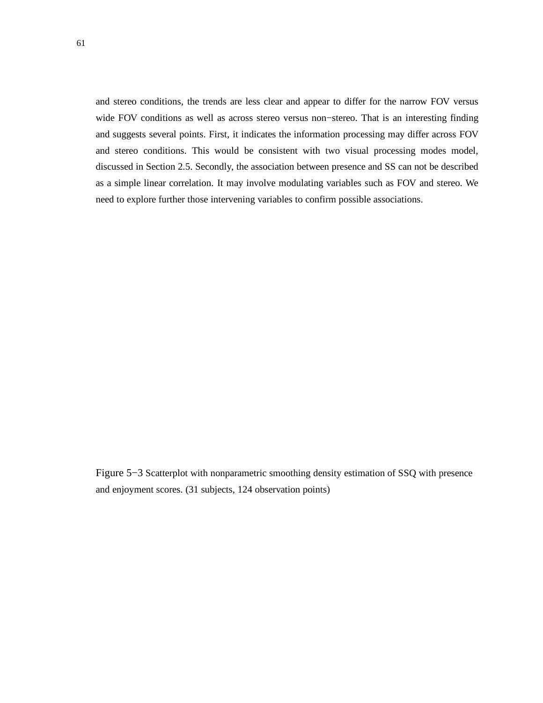and stereo conditions, the trends are less clear and appear to differ for the narrow FOV versus wide FOV conditions as well as across stereo versus non−stereo. That is an interesting finding and suggests several points. First, it indicates the information processing may differ across FOV and stereo conditions. This would be consistent with two visual processing modes model, discussed in Section 2.5. Secondly, the association between presence and SS can not be described as a simple linear correlation. It may involve modulating variables such as FOV and stereo. We need to explore further those intervening variables to confirm possible associations.

Figure 5−3 Scatterplot with nonparametric smoothing density estimation of SSQ with presence and enjoyment scores. (31 subjects, 124 observation points)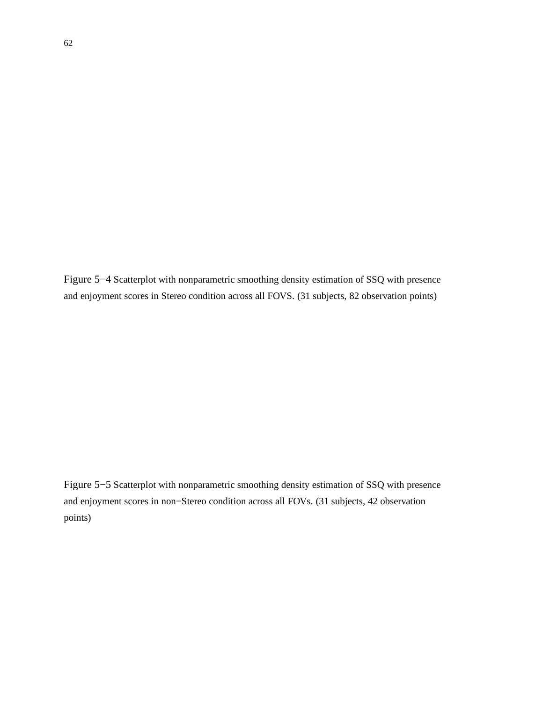Figure 5−4 Scatterplot with nonparametric smoothing density estimation of SSQ with presence and enjoyment scores in Stereo condition across all FOVS. (31 subjects, 82 observation points)

Figure 5−5 Scatterplot with nonparametric smoothing density estimation of SSQ with presence and enjoyment scores in non−Stereo condition across all FOVs. (31 subjects, 42 observation points)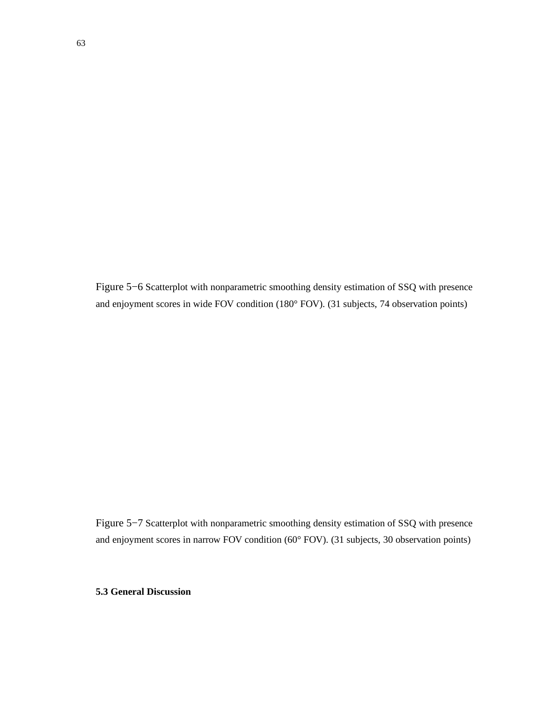Figure 5−6 Scatterplot with nonparametric smoothing density estimation of SSQ with presence and enjoyment scores in wide FOV condition (180° FOV). (31 subjects, 74 observation points)

Figure 5−7 Scatterplot with nonparametric smoothing density estimation of SSQ with presence and enjoyment scores in narrow FOV condition (60° FOV). (31 subjects, 30 observation points)

# **5.3 General Discussion**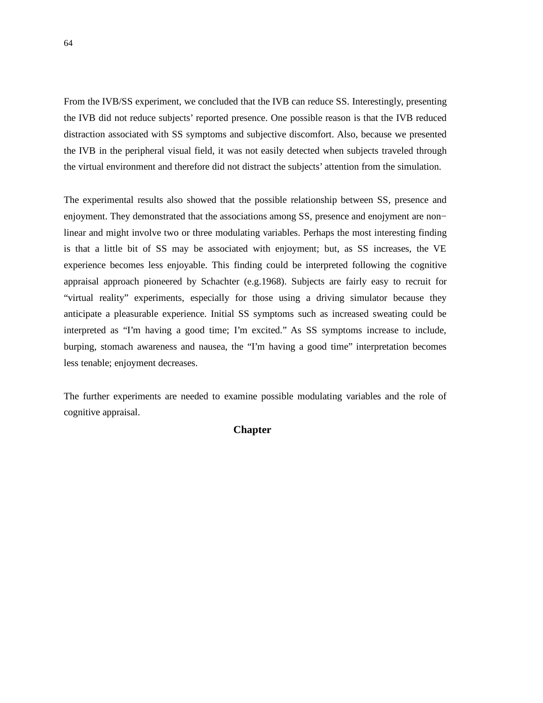From the IVB/SS experiment, we concluded that the IVB can reduce SS. Interestingly, presenting the IVB did not reduce subjects' reported presence. One possible reason is that the IVB reduced distraction associated with SS symptoms and subjective discomfort. Also, because we presented the IVB in the peripheral visual field, it was not easily detected when subjects traveled through the virtual environment and therefore did not distract the subjects' attention from the simulation.

The experimental results also showed that the possible relationship between SS, presence and enjoyment. They demonstrated that the associations among SS, presence and enojyment are non− linear and might involve two or three modulating variables. Perhaps the most interesting finding is that a little bit of SS may be associated with enjoyment; but, as SS increases, the VE experience becomes less enjoyable. This finding could be interpreted following the cognitive appraisal approach pioneered by Schachter (e.g.1968). Subjects are fairly easy to recruit for "virtual reality" experiments, especially for those using a driving simulator because they anticipate a pleasurable experience. Initial SS symptoms such as increased sweating could be interpreted as "I'm having a good time; I'm excited." As SS symptoms increase to include, burping, stomach awareness and nausea, the "I'm having a good time" interpretation becomes less tenable; enjoyment decreases.

The further experiments are needed to examine possible modulating variables and the role of cognitive appraisal.

# **Chapter**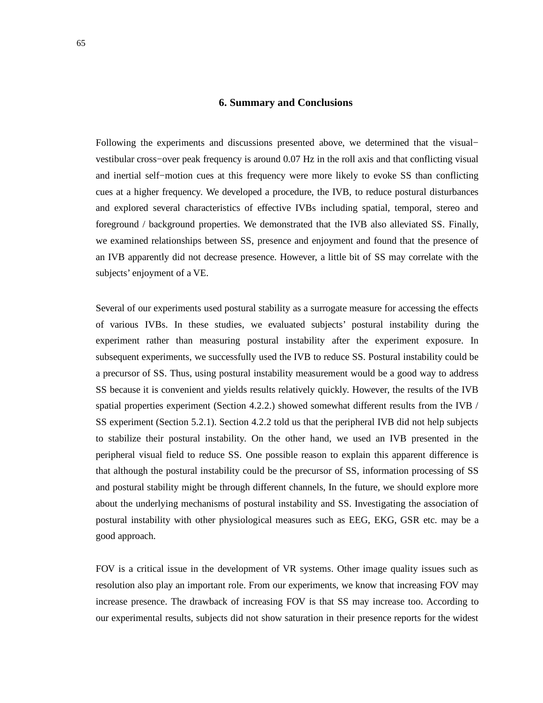## **6. Summary and Conclusions**

Following the experiments and discussions presented above, we determined that the visual− vestibular cross−over peak frequency is around 0.07 Hz in the roll axis and that conflicting visual and inertial self−motion cues at this frequency were more likely to evoke SS than conflicting cues at a higher frequency. We developed a procedure, the IVB, to reduce postural disturbances and explored several characteristics of effective IVBs including spatial, temporal, stereo and foreground / background properties. We demonstrated that the IVB also alleviated SS. Finally, we examined relationships between SS, presence and enjoyment and found that the presence of an IVB apparently did not decrease presence. However, a little bit of SS may correlate with the subjects' enjoyment of a VE.

Several of our experiments used postural stability as a surrogate measure for accessing the effects of various IVBs. In these studies, we evaluated subjects' postural instability during the experiment rather than measuring postural instability after the experiment exposure. In subsequent experiments, we successfully used the IVB to reduce SS. Postural instability could be a precursor of SS. Thus, using postural instability measurement would be a good way to address SS because it is convenient and yields results relatively quickly. However, the results of the IVB spatial properties experiment (Section 4.2.2.) showed somewhat different results from the IVB / SS experiment (Section 5.2.1). Section 4.2.2 told us that the peripheral IVB did not help subjects to stabilize their postural instability. On the other hand, we used an IVB presented in the peripheral visual field to reduce SS. One possible reason to explain this apparent difference is that although the postural instability could be the precursor of SS, information processing of SS and postural stability might be through different channels, In the future, we should explore more about the underlying mechanisms of postural instability and SS. Investigating the association of postural instability with other physiological measures such as EEG, EKG, GSR etc. may be a good approach.

FOV is a critical issue in the development of VR systems. Other image quality issues such as resolution also play an important role. From our experiments, we know that increasing FOV may increase presence. The drawback of increasing FOV is that SS may increase too. According to our experimental results, subjects did not show saturation in their presence reports for the widest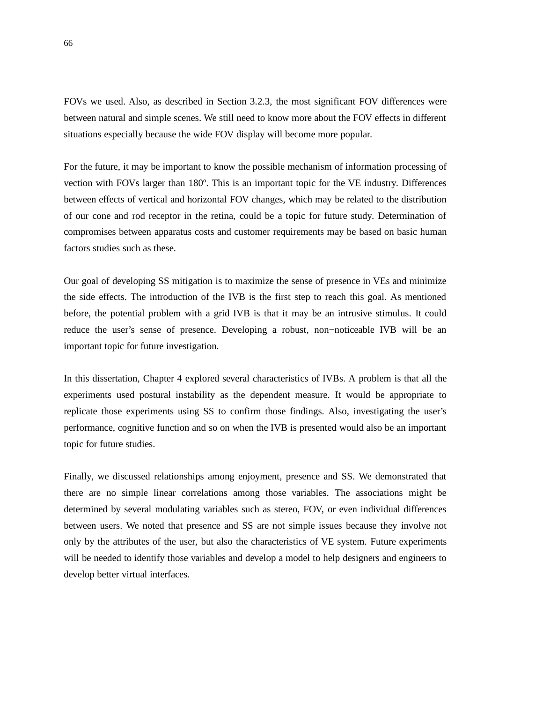FOVs we used. Also, as described in Section 3.2.3, the most significant FOV differences were between natural and simple scenes. We still need to know more about the FOV effects in different situations especially because the wide FOV display will become more popular.

For the future, it may be important to know the possible mechanism of information processing of vection with FOVs larger than 180º. This is an important topic for the VE industry. Differences between effects of vertical and horizontal FOV changes, which may be related to the distribution of our cone and rod receptor in the retina, could be a topic for future study. Determination of compromises between apparatus costs and customer requirements may be based on basic human factors studies such as these.

Our goal of developing SS mitigation is to maximize the sense of presence in VEs and minimize the side effects. The introduction of the IVB is the first step to reach this goal. As mentioned before, the potential problem with a grid IVB is that it may be an intrusive stimulus. It could reduce the user's sense of presence. Developing a robust, non−noticeable IVB will be an important topic for future investigation.

In this dissertation, Chapter 4 explored several characteristics of IVBs. A problem is that all the experiments used postural instability as the dependent measure. It would be appropriate to replicate those experiments using SS to confirm those findings. Also, investigating the user's performance, cognitive function and so on when the IVB is presented would also be an important topic for future studies.

Finally, we discussed relationships among enjoyment, presence and SS. We demonstrated that there are no simple linear correlations among those variables. The associations might be determined by several modulating variables such as stereo, FOV, or even individual differences between users. We noted that presence and SS are not simple issues because they involve not only by the attributes of the user, but also the characteristics of VE system. Future experiments will be needed to identify those variables and develop a model to help designers and engineers to develop better virtual interfaces.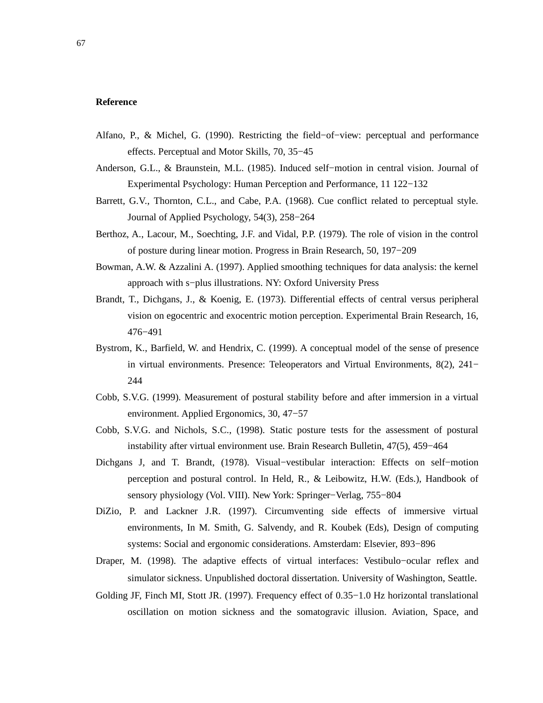# **Reference**

- Alfano, P., & Michel, G. (1990). Restricting the field−of−view: perceptual and performance effects. Perceptual and Motor Skills, 70, 35−45
- Anderson, G.L., & Braunstein, M.L. (1985). Induced self−motion in central vision. Journal of Experimental Psychology: Human Perception and Performance, 11 122−132
- Barrett, G.V., Thornton, C.L., and Cabe, P.A. (1968). Cue conflict related to perceptual style. Journal of Applied Psychology, 54(3), 258−264
- Berthoz, A., Lacour, M., Soechting, J.F. and Vidal, P.P. (1979). The role of vision in the control of posture during linear motion. Progress in Brain Research, 50, 197−209
- Bowman, A.W. & Azzalini A. (1997). Applied smoothing techniques for data analysis: the kernel approach with s−plus illustrations. NY: Oxford University Press
- Brandt, T., Dichgans, J., & Koenig, E. (1973). Differential effects of central versus peripheral vision on egocentric and exocentric motion perception. Experimental Brain Research, 16, 476−491
- Bystrom, K., Barfield, W. and Hendrix, C. (1999). A conceptual model of the sense of presence in virtual environments. Presence: Teleoperators and Virtual Environments, 8(2), 241− 244
- Cobb, S.V.G. (1999). Measurement of postural stability before and after immersion in a virtual environment. Applied Ergonomics, 30, 47−57
- Cobb, S.V.G. and Nichols, S.C., (1998). Static posture tests for the assessment of postural instability after virtual environment use. Brain Research Bulletin, 47(5), 459−464
- Dichgans J, and T. Brandt, (1978). Visual−vestibular interaction: Effects on self−motion perception and postural control. In Held, R., & Leibowitz, H.W. (Eds.), Handbook of sensory physiology (Vol. VIII). New York: Springer−Verlag, 755−804
- DiZio, P. and Lackner J.R. (1997). Circumventing side effects of immersive virtual environments, In M. Smith, G. Salvendy, and R. Koubek (Eds), Design of computing systems: Social and ergonomic considerations. Amsterdam: Elsevier, 893−896
- Draper, M. (1998). The adaptive effects of virtual interfaces: Vestibulo−ocular reflex and simulator sickness. Unpublished doctoral dissertation. University of Washington, Seattle.
- Golding JF, Finch MI, Stott JR. (1997). Frequency effect of 0.35−1.0 Hz horizontal translational oscillation on motion sickness and the somatogravic illusion. Aviation, Space, and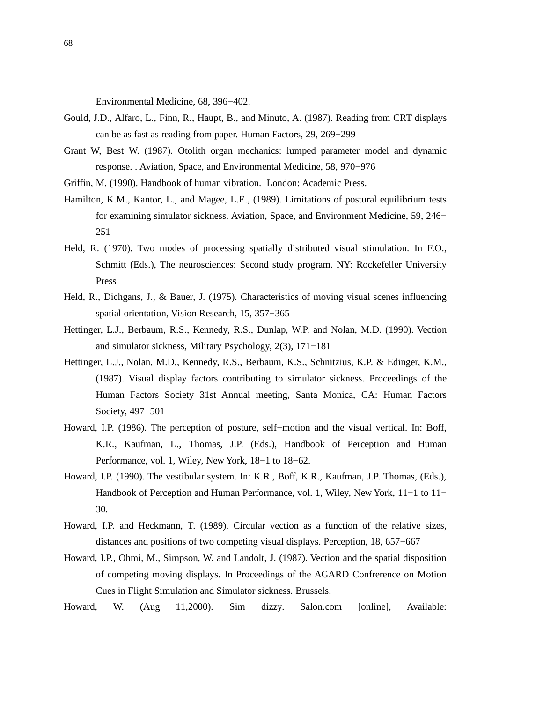Environmental Medicine, 68, 396−402.

- Gould, J.D., Alfaro, L., Finn, R., Haupt, B., and Minuto, A. (1987). Reading from CRT displays can be as fast as reading from paper. Human Factors, 29, 269−299
- Grant W, Best W. (1987). Otolith organ mechanics: lumped parameter model and dynamic response. . Aviation, Space, and Environmental Medicine, 58, 970−976
- Griffin, M. (1990). Handbook of human vibration. London: Academic Press.
- Hamilton, K.M., Kantor, L., and Magee, L.E., (1989). Limitations of postural equilibrium tests for examining simulator sickness. Aviation, Space, and Environment Medicine, 59, 246− 251
- Held, R. (1970). Two modes of processing spatially distributed visual stimulation. In F.O., Schmitt (Eds.), The neurosciences: Second study program. NY: Rockefeller University Press
- Held, R., Dichgans, J., & Bauer, J. (1975). Characteristics of moving visual scenes influencing spatial orientation, Vision Research, 15, 357−365
- Hettinger, L.J., Berbaum, R.S., Kennedy, R.S., Dunlap, W.P. and Nolan, M.D. (1990). Vection and simulator sickness, Military Psychology, 2(3), 171−181
- Hettinger, L.J., Nolan, M.D., Kennedy, R.S., Berbaum, K.S., Schnitzius, K.P. & Edinger, K.M., (1987). Visual display factors contributing to simulator sickness. Proceedings of the Human Factors Society 31st Annual meeting, Santa Monica, CA: Human Factors Society, 497−501
- Howard, I.P. (1986). The perception of posture, self−motion and the visual vertical. In: Boff, K.R., Kaufman, L., Thomas, J.P. (Eds.), Handbook of Perception and Human Performance, vol. 1, Wiley, New York, 18−1 to 18−62.
- Howard, I.P. (1990). The vestibular system. In: K.R., Boff, K.R., Kaufman, J.P. Thomas, (Eds.), Handbook of Perception and Human Performance, vol. 1, Wiley, New York, 11−1 to 11− 30.
- Howard, I.P. and Heckmann, T. (1989). Circular vection as a function of the relative sizes, distances and positions of two competing visual displays. Perception, 18, 657−667
- Howard, I.P., Ohmi, M., Simpson, W. and Landolt, J. (1987). Vection and the spatial disposition of competing moving displays. In Proceedings of the AGARD Confrerence on Motion Cues in Flight Simulation and Simulator sickness. Brussels.
- Howard, W. (Aug 11,2000). Sim dizzy. Salon.com [online], Available: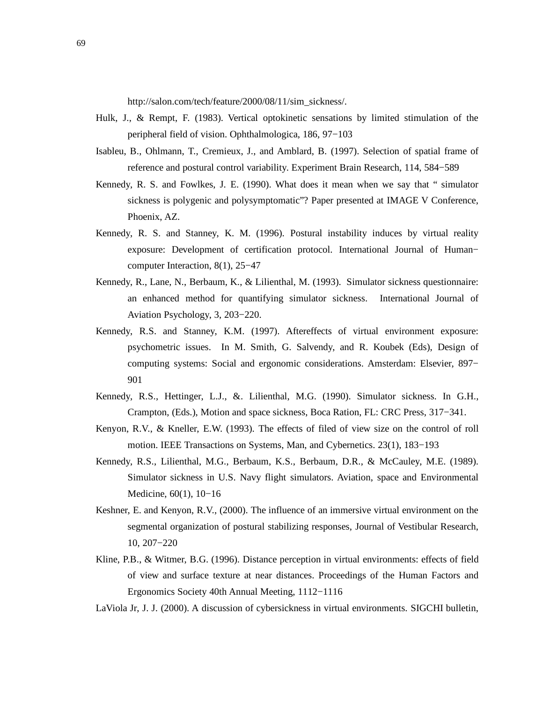http://salon.com/tech/feature/2000/08/11/sim\_sickness/.

- Hulk, J., & Rempt, F. (1983). Vertical optokinetic sensations by limited stimulation of the peripheral field of vision. Ophthalmologica, 186, 97−103
- Isableu, B., Ohlmann, T., Cremieux, J., and Amblard, B. (1997). Selection of spatial frame of reference and postural control variability. Experiment Brain Research, 114, 584−589
- Kennedy, R. S. and Fowlkes, J. E. (1990). What does it mean when we say that " simulator sickness is polygenic and polysymptomatic"? Paper presented at IMAGE V Conference, Phoenix, AZ.
- Kennedy, R. S. and Stanney, K. M. (1996). Postural instability induces by virtual reality exposure: Development of certification protocol. International Journal of Human− computer Interaction, 8(1), 25−47
- Kennedy, R., Lane, N., Berbaum, K., & Lilienthal, M. (1993). Simulator sickness questionnaire: an enhanced method for quantifying simulator sickness. International Journal of Aviation Psychology, 3, 203−220.
- Kennedy, R.S. and Stanney, K.M. (1997). Aftereffects of virtual environment exposure: psychometric issues. In M. Smith, G. Salvendy, and R. Koubek (Eds), Design of computing systems: Social and ergonomic considerations. Amsterdam: Elsevier, 897− 901
- Kennedy, R.S., Hettinger, L.J., &. Lilienthal, M.G. (1990). Simulator sickness. In G.H., Crampton, (Eds.), Motion and space sickness, Boca Ration, FL: CRC Press, 317−341.
- Kenyon, R.V., & Kneller, E.W. (1993). The effects of filed of view size on the control of roll motion. IEEE Transactions on Systems, Man, and Cybernetics. 23(1), 183−193
- Kennedy, R.S., Lilienthal, M.G., Berbaum, K.S., Berbaum, D.R., & McCauley, M.E. (1989). Simulator sickness in U.S. Navy flight simulators. Aviation, space and Environmental Medicine, 60(1), 10−16
- Keshner, E. and Kenyon, R.V., (2000). The influence of an immersive virtual environment on the segmental organization of postural stabilizing responses, Journal of Vestibular Research, 10, 207−220
- Kline, P.B., & Witmer, B.G. (1996). Distance perception in virtual environments: effects of field of view and surface texture at near distances. Proceedings of the Human Factors and Ergonomics Society 40th Annual Meeting, 1112−1116

LaViola Jr, J. J. (2000). A discussion of cybersickness in virtual environments. SIGCHI bulletin,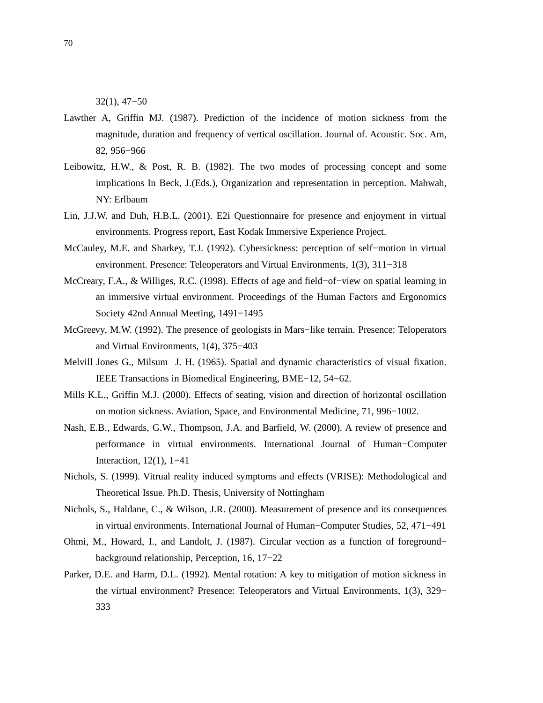32(1), 47−50

- Lawther A, Griffin MJ. (1987). Prediction of the incidence of motion sickness from the magnitude, duration and frequency of vertical oscillation. Journal of. Acoustic. Soc. Am, 82, 956−966
- Leibowitz, H.W., & Post, R. B. (1982). The two modes of processing concept and some implications In Beck, J.(Eds.), Organization and representation in perception. Mahwah, NY: Erlbaum
- Lin, J.J.W. and Duh, H.B.L. (2001). E2i Questionnaire for presence and enjoyment in virtual environments. Progress report, East Kodak Immersive Experience Project.
- McCauley, M.E. and Sharkey, T.J. (1992). Cybersickness: perception of self−motion in virtual environment. Presence: Teleoperators and Virtual Environments, 1(3), 311−318
- McCreary, F.A., & Williges, R.C. (1998). Effects of age and field−of−view on spatial learning in an immersive virtual environment. Proceedings of the Human Factors and Ergonomics Society 42nd Annual Meeting, 1491−1495
- McGreevy, M.W. (1992). The presence of geologists in Mars−like terrain. Presence: Teloperators and Virtual Environments, 1(4), 375−403
- Melvill Jones G., Milsum J. H. (1965). Spatial and dynamic characteristics of visual fixation. IEEE Transactions in Biomedical Engineering, BME−12, 54−62.
- Mills K.L., Griffin M.J. (2000). Effects of seating, vision and direction of horizontal oscillation on motion sickness. Aviation, Space, and Environmental Medicine, 71, 996−1002.
- Nash, E.B., Edwards, G.W., Thompson, J.A. and Barfield, W. (2000). A review of presence and performance in virtual environments. International Journal of Human−Computer Interaction, 12(1), 1−41
- Nichols, S. (1999). Vitrual reality induced symptoms and effects (VRISE): Methodological and Theoretical Issue. Ph.D. Thesis, University of Nottingham
- Nichols, S., Haldane, C., & Wilson, J.R. (2000). Measurement of presence and its consequences in virtual environments. International Journal of Human−Computer Studies, 52, 471−491
- Ohmi, M., Howard, I., and Landolt, J. (1987). Circular vection as a function of foreground− background relationship, Perception, 16, 17−22
- Parker, D.E. and Harm, D.L. (1992). Mental rotation: A key to mitigation of motion sickness in the virtual environment? Presence: Teleoperators and Virtual Environments, 1(3), 329− 333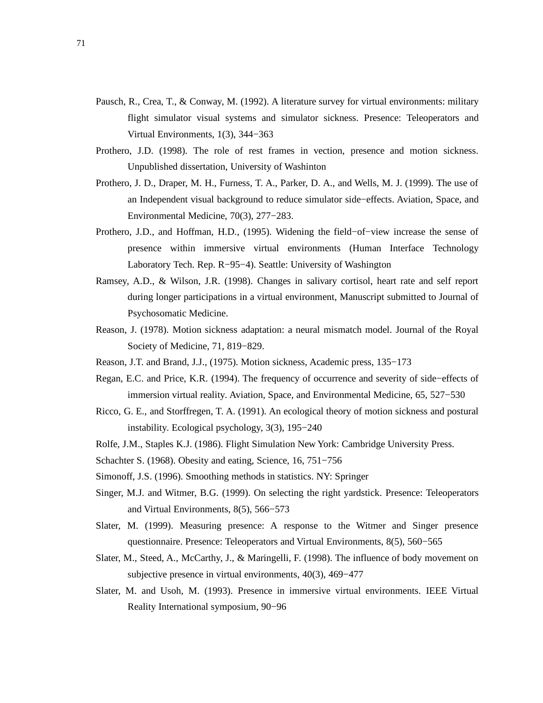- Pausch, R., Crea, T., & Conway, M. (1992). A literature survey for virtual environments: military flight simulator visual systems and simulator sickness. Presence: Teleoperators and Virtual Environments, 1(3), 344−363
- Prothero, J.D. (1998). The role of rest frames in vection, presence and motion sickness. Unpublished dissertation, University of Washinton
- Prothero, J. D., Draper, M. H., Furness, T. A., Parker, D. A., and Wells, M. J. (1999). The use of an Independent visual background to reduce simulator side−effects. Aviation, Space, and Environmental Medicine, 70(3), 277−283.
- Prothero, J.D., and Hoffman, H.D., (1995). Widening the field−of−view increase the sense of presence within immersive virtual environments (Human Interface Technology Laboratory Tech. Rep. R−95−4). Seattle: University of Washington
- Ramsey, A.D., & Wilson, J.R. (1998). Changes in salivary cortisol, heart rate and self report during longer participations in a virtual environment, Manuscript submitted to Journal of Psychosomatic Medicine.
- Reason, J. (1978). Motion sickness adaptation: a neural mismatch model. Journal of the Royal Society of Medicine, 71, 819−829.
- Reason, J.T. and Brand, J.J., (1975). Motion sickness, Academic press, 135−173
- Regan, E.C. and Price, K.R. (1994). The frequency of occurrence and severity of side−effects of immersion virtual reality. Aviation, Space, and Environmental Medicine, 65, 527−530
- Ricco, G. E., and Storffregen, T. A. (1991). An ecological theory of motion sickness and postural instability. Ecological psychology, 3(3), 195−240
- Rolfe, J.M., Staples K.J. (1986). Flight Simulation New York: Cambridge University Press.
- Schachter S. (1968). Obesity and eating, Science, 16, 751−756
- Simonoff, J.S. (1996). Smoothing methods in statistics. NY: Springer
- Singer, M.J. and Witmer, B.G. (1999). On selecting the right yardstick. Presence: Teleoperators and Virtual Environments, 8(5), 566−573
- Slater, M. (1999). Measuring presence: A response to the Witmer and Singer presence questionnaire. Presence: Teleoperators and Virtual Environments, 8(5), 560−565
- Slater, M., Steed, A., McCarthy, J., & Maringelli, F. (1998). The influence of body movement on subjective presence in virtual environments, 40(3), 469−477
- Slater, M. and Usoh, M. (1993). Presence in immersive virtual environments. IEEE Virtual Reality International symposium, 90−96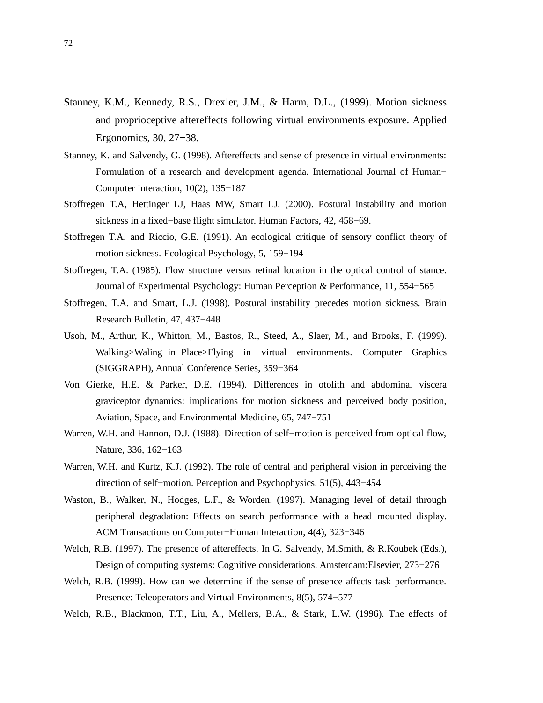- Stanney, K.M., Kennedy, R.S., Drexler, J.M., & Harm, D.L., (1999). Motion sickness and proprioceptive aftereffects following virtual environments exposure. Applied Ergonomics, 30, 27−38.
- Stanney, K. and Salvendy, G. (1998). Aftereffects and sense of presence in virtual environments: Formulation of a research and development agenda. International Journal of Human− Computer Interaction, 10(2), 135−187
- Stoffregen T.A, Hettinger LJ, Haas MW, Smart LJ. (2000). Postural instability and motion sickness in a fixed−base flight simulator. Human Factors, 42, 458−69.
- Stoffregen T.A. and Riccio, G.E. (1991). An ecological critique of sensory conflict theory of motion sickness. Ecological Psychology, 5, 159−194
- Stoffregen, T.A. (1985). Flow structure versus retinal location in the optical control of stance. Journal of Experimental Psychology: Human Perception & Performance, 11, 554−565
- Stoffregen, T.A. and Smart, L.J. (1998). Postural instability precedes motion sickness. Brain Research Bulletin, 47, 437−448
- Usoh, M., Arthur, K., Whitton, M., Bastos, R., Steed, A., Slaer, M., and Brooks, F. (1999). Walking>Waling−in−Place>Flying in virtual environments. Computer Graphics (SIGGRAPH), Annual Conference Series, 359−364
- Von Gierke, H.E. & Parker, D.E. (1994). Differences in otolith and abdominal viscera graviceptor dynamics: implications for motion sickness and perceived body position, Aviation, Space, and Environmental Medicine, 65, 747−751
- Warren, W.H. and Hannon, D.J. (1988). Direction of self−motion is perceived from optical flow, Nature, 336, 162−163
- Warren, W.H. and Kurtz, K.J. (1992). The role of central and peripheral vision in perceiving the direction of self−motion. Perception and Psychophysics. 51(5), 443−454
- Waston, B., Walker, N., Hodges, L.F., & Worden. (1997). Managing level of detail through peripheral degradation: Effects on search performance with a head−mounted display. ACM Transactions on Computer−Human Interaction, 4(4), 323−346
- Welch, R.B. (1997). The presence of aftereffects. In G. Salvendy, M.Smith, & R.Koubek (Eds.), Design of computing systems: Cognitive considerations. Amsterdam:Elsevier, 273−276
- Welch, R.B. (1999). How can we determine if the sense of presence affects task performance. Presence: Teleoperators and Virtual Environments, 8(5), 574−577
- Welch, R.B., Blackmon, T.T., Liu, A., Mellers, B.A., & Stark, L.W. (1996). The effects of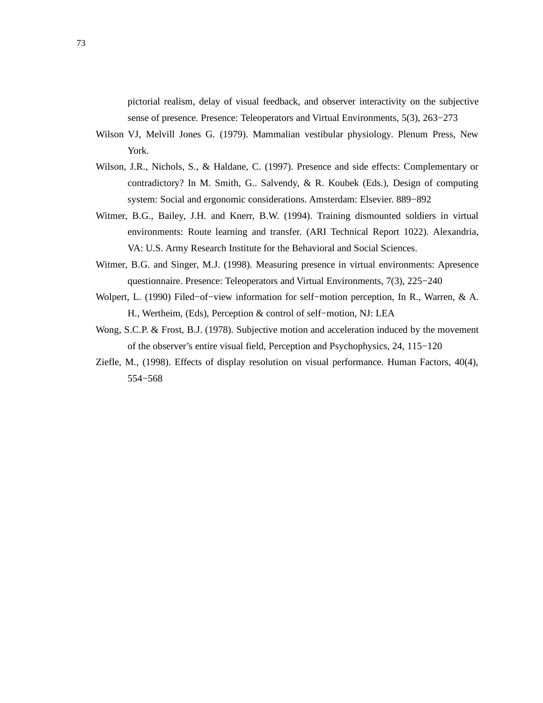pictorial realism, delay of visual feedback, and observer interactivity on the subjective sense of presence. Presence: Teleoperators and Virtual Environments, 5(3), 263−273

- Wilson VJ, Melvill Jones G. (1979). Mammalian vestibular physiology. Plenum Press, New York.
- Wilson, J.R., Nichols, S., & Haldane, C. (1997). Presence and side effects: Complementary or contradictory? In M. Smith, G.. Salvendy, & R. Koubek (Eds.), Design of computing system: Social and ergonomic considerations. Amsterdam: Elsevier. 889−892
- Witmer, B.G., Bailey, J.H. and Knerr, B.W. (1994). Training dismounted soldiers in virtual environments: Route learning and transfer. (ARI Technical Report 1022). Alexandria, VA: U.S. Army Research Institute for the Behavioral and Social Sciences.
- Witmer, B.G. and Singer, M.J. (1998). Measuring presence in virtual environments: Apresence questionnaire. Presence: Teleoperators and Virtual Environments, 7(3), 225−240
- Wolpert, L. (1990) Filed−of−view information for self−motion perception, In R., Warren, & A. H., Wertheim, (Eds), Perception & control of self−motion, NJ: LEA
- Wong, S.C.P. & Frost, B.J. (1978). Subjective motion and acceleration induced by the movement of the observer's entire visual field, Perception and Psychophysics, 24, 115−120
- Ziefle, M., (1998). Effects of display resolution on visual performance. Human Factors, 40(4), 554−568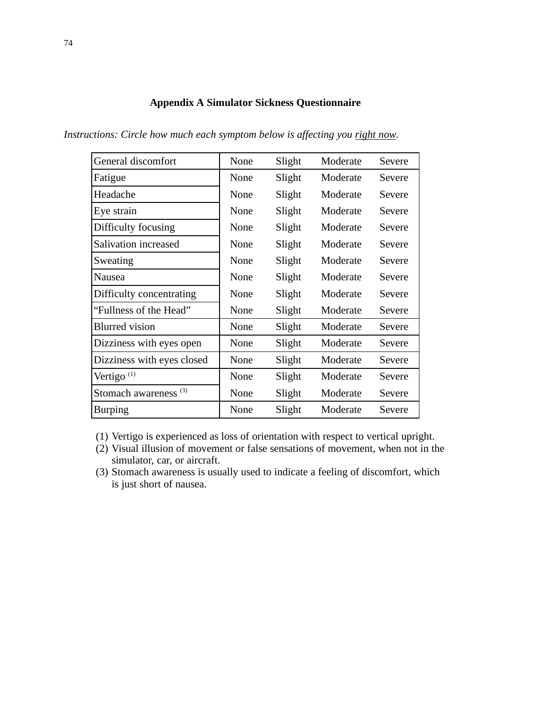# **Appendix A Simulator Sickness Questionnaire**

*Instructions: Circle how much each symptom below is affecting you right now.*

| General discomfort               | None | Slight | Moderate | Severe |
|----------------------------------|------|--------|----------|--------|
| Fatigue                          | None | Slight | Moderate | Severe |
| Headache                         | None | Slight | Moderate | Severe |
| Eye strain                       | None | Slight | Moderate | Severe |
| Difficulty focusing              | None | Slight | Moderate | Severe |
| Salivation increased             | None | Slight | Moderate | Severe |
| Sweating                         | None | Slight | Moderate | Severe |
| Nausea                           | None | Slight | Moderate | Severe |
| Difficulty concentrating         | None | Slight | Moderate | Severe |
| "Fullness of the Head"           | None | Slight | Moderate | Severe |
| <b>Blurred</b> vision            | None | Slight | Moderate | Severe |
| Dizziness with eyes open         | None | Slight | Moderate | Severe |
| Dizziness with eyes closed       | None | Slight | Moderate | Severe |
| Vertigo $(1)$                    | None | Slight | Moderate | Severe |
| Stomach awareness <sup>(3)</sup> | None | Slight | Moderate | Severe |
| <b>Burping</b>                   | None | Slight | Moderate | Severe |

(1) Vertigo is experienced as loss of orientation with respect to vertical upright.

- (2) Visual illusion of movement or false sensations of movement, when not in the simulator, car, or aircraft.
- (3) Stomach awareness is usually used to indicate a feeling of discomfort, which is just short of nausea.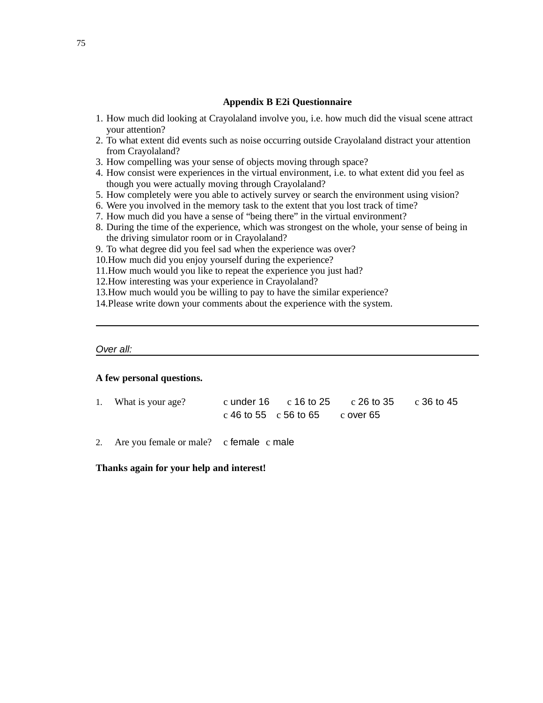## **Appendix B E2i Questionnaire**

- 1. How much did looking at Crayolaland involve you, i.e. how much did the visual scene attract your attention?
- 2. To what extent did events such as noise occurring outside Crayolaland distract your attention from Crayolaland?
- 3. How compelling was your sense of objects moving through space?
- 4. How consist were experiences in the virtual environment, i.e. to what extent did you feel as though you were actually moving through Crayolaland?
- 5. How completely were you able to actively survey or search the environment using vision?
- 6. Were you involved in the memory task to the extent that you lost track of time?
- 7. How much did you have a sense of "being there" in the virtual environment?
- 8. During the time of the experience, which was strongest on the whole, your sense of being in the driving simulator room or in Crayolaland?
- 9. To what degree did you feel sad when the experience was over?
- 10.How much did you enjoy yourself during the experience?
- 11.How much would you like to repeat the experience you just had?
- 12.How interesting was your experience in Crayolaland?
- 13.How much would you be willing to pay to have the similar experience?
- 14.Please write down your comments about the experience with the system.

#### Over all:

## **A few personal questions.**

- 1. What is your age? c under 16 c 16 to 25 c 26 to 35 c 36 to 45 c 46 to 55 c 56 to 65 c over 65
- 2. Are you female or male? c female c male

### **Thanks again for your help and interest!**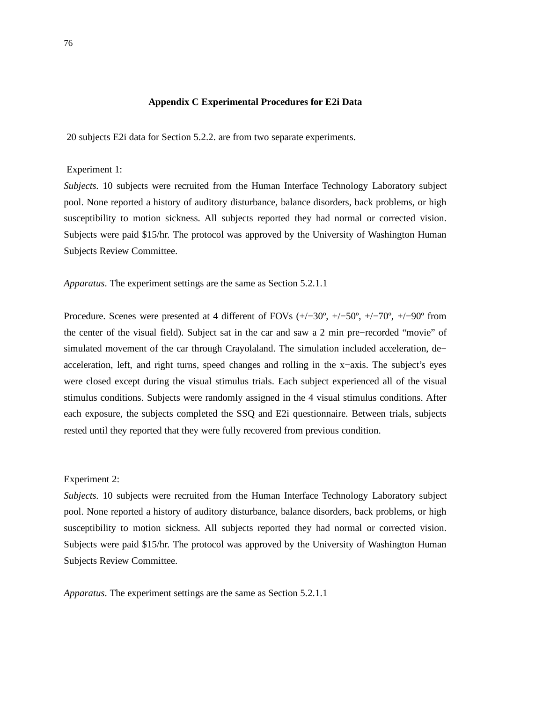# **Appendix C Experimental Procedures for E2i Data**

20 subjects E2i data for Section 5.2.2. are from two separate experiments.

Experiment 1:

*Subjects.* 10 subjects were recruited from the Human Interface Technology Laboratory subject pool. None reported a history of auditory disturbance, balance disorders, back problems, or high susceptibility to motion sickness. All subjects reported they had normal or corrected vision. Subjects were paid \$15/hr. The protocol was approved by the University of Washington Human Subjects Review Committee.

*Apparatus*. The experiment settings are the same as Section 5.2.1.1

Procedure. Scenes were presented at 4 different of FOVs (+/−30º, +/−50º, +/−70º, +/−90º from the center of the visual field). Subject sat in the car and saw a 2 min pre−recorded "movie" of simulated movement of the car through Crayolaland. The simulation included acceleration, de− acceleration, left, and right turns, speed changes and rolling in the x−axis. The subject's eyes were closed except during the visual stimulus trials. Each subject experienced all of the visual stimulus conditions. Subjects were randomly assigned in the 4 visual stimulus conditions. After each exposure, the subjects completed the SSQ and E2i questionnaire. Between trials, subjects rested until they reported that they were fully recovered from previous condition.

### Experiment 2:

*Subjects.* 10 subjects were recruited from the Human Interface Technology Laboratory subject pool. None reported a history of auditory disturbance, balance disorders, back problems, or high susceptibility to motion sickness. All subjects reported they had normal or corrected vision. Subjects were paid \$15/hr. The protocol was approved by the University of Washington Human Subjects Review Committee.

*Apparatus*. The experiment settings are the same as Section 5.2.1.1